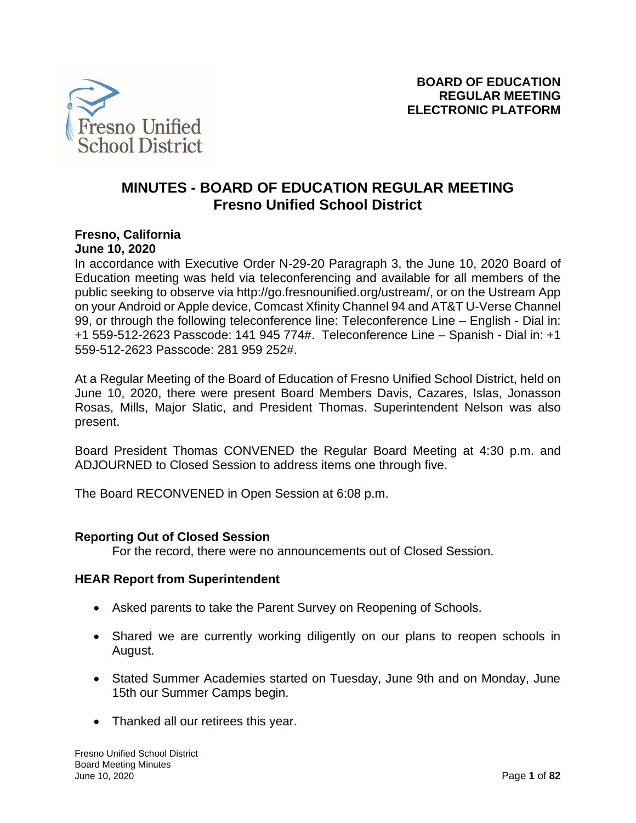

# **MINUTES - BOARD OF EDUCATION REGULAR MEETING Fresno Unified School District**

### **Fresno, California June 10, 2020**

In accordance with Executive Order N-29-20 Paragraph 3, the June 10, 2020 Board of Education meeting was held via teleconferencing and available for all members of the public seeking to observe via http://go.fresnounified.org/ustream/, or on the Ustream App on your Android or Apple device, Comcast Xfinity Channel 94 and AT&T U-Verse Channel 99, or through the following teleconference line: Teleconference Line – English - Dial in: +1 559-512-2623 Passcode: 141 945 774#. Teleconference Line – Spanish - Dial in: +1 559-512-2623 Passcode: 281 959 252#.

At a Regular Meeting of the Board of Education of Fresno Unified School District, held on June 10, 2020, there were present Board Members Davis, Cazares, Islas, Jonasson Rosas, Mills, Major Slatic, and President Thomas. Superintendent Nelson was also present.

Board President Thomas CONVENED the Regular Board Meeting at 4:30 p.m. and ADJOURNED to Closed Session to address items one through five.

The Board RECONVENED in Open Session at 6:08 p.m.

## **Reporting Out of Closed Session**

For the record, there were no announcements out of Closed Session.

#### **HEAR Report from Superintendent**

- Asked parents to take the Parent Survey on Reopening of Schools.
- Shared we are currently working diligently on our plans to reopen schools in August.
- Stated Summer Academies started on Tuesday, June 9th and on Monday, June 15th our Summer Camps begin.
- Thanked all our retirees this year.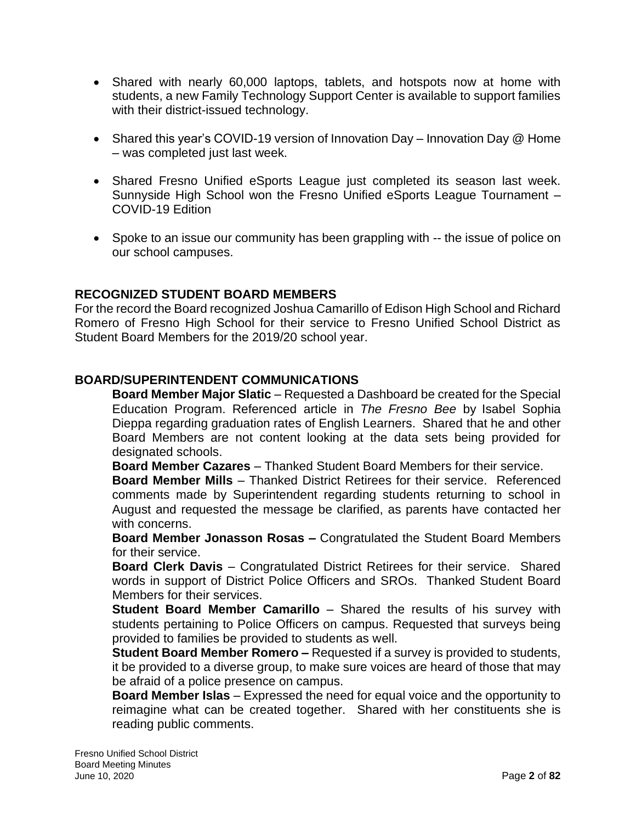- Shared with nearly 60,000 laptops, tablets, and hotspots now at home with students, a new Family Technology Support Center is available to support families with their district-issued technology.
- Shared this year's COVID-19 version of Innovation Day Innovation Day @ Home – was completed just last week.
- Shared Fresno Unified eSports League just completed its season last week. Sunnyside High School won the Fresno Unified eSports League Tournament – COVID-19 Edition
- Spoke to an issue our community has been grappling with -- the issue of police on our school campuses.

# **RECOGNIZED STUDENT BOARD MEMBERS**

For the record the Board recognized Joshua Camarillo of Edison High School and Richard Romero of Fresno High School for their service to Fresno Unified School District as Student Board Members for the 2019/20 school year.

## **BOARD/SUPERINTENDENT COMMUNICATIONS**

**Board Member Major Slatic** – Requested a Dashboard be created for the Special Education Program. Referenced article in *The Fresno Bee* by Isabel Sophia Dieppa regarding graduation rates of English Learners. Shared that he and other Board Members are not content looking at the data sets being provided for designated schools.

**Board Member Cazares** – Thanked Student Board Members for their service.

**Board Member Mills** – Thanked District Retirees for their service. Referenced comments made by Superintendent regarding students returning to school in August and requested the message be clarified, as parents have contacted her with concerns.

**Board Member Jonasson Rosas –** Congratulated the Student Board Members for their service.

**Board Clerk Davis** – Congratulated District Retirees for their service. Shared words in support of District Police Officers and SROs. Thanked Student Board Members for their services.

**Student Board Member Camarillo** – Shared the results of his survey with students pertaining to Police Officers on campus. Requested that surveys being provided to families be provided to students as well.

**Student Board Member Romero –** Requested if a survey is provided to students, it be provided to a diverse group, to make sure voices are heard of those that may be afraid of a police presence on campus.

**Board Member Islas** – Expressed the need for equal voice and the opportunity to reimagine what can be created together. Shared with her constituents she is reading public comments.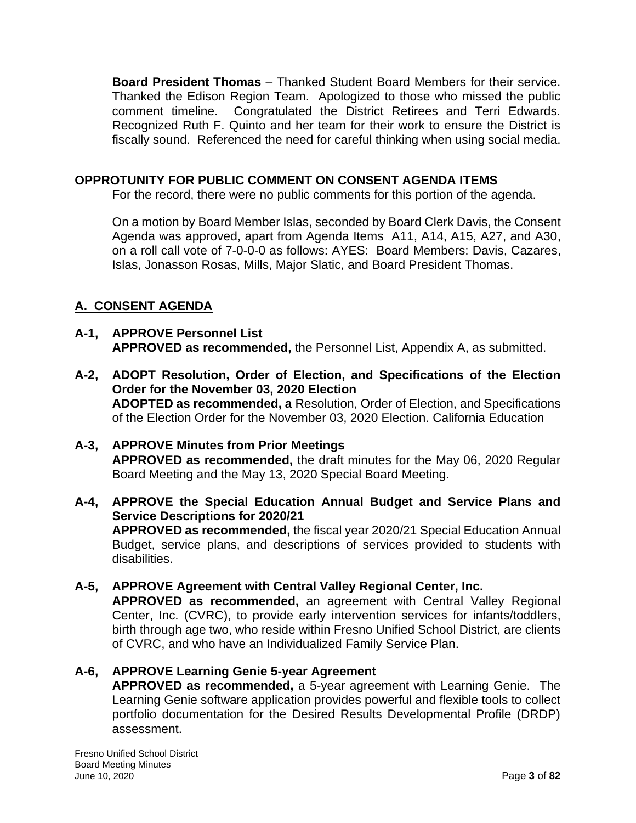**Board President Thomas** – Thanked Student Board Members for their service. Thanked the Edison Region Team. Apologized to those who missed the public comment timeline. Congratulated the District Retirees and Terri Edwards. Recognized Ruth F. Quinto and her team for their work to ensure the District is fiscally sound. Referenced the need for careful thinking when using social media.

# **OPPROTUNITY FOR PUBLIC COMMENT ON CONSENT AGENDA ITEMS**

For the record, there were no public comments for this portion of the agenda.

On a motion by Board Member Islas, seconded by Board Clerk Davis, the Consent Agenda was approved, apart from Agenda Items A11, A14, A15, A27, and A30, on a roll call vote of 7-0-0-0 as follows: AYES: Board Members: Davis, Cazares, Islas, Jonasson Rosas, Mills, Major Slatic, and Board President Thomas.

# **A. CONSENT AGENDA**

- **A-1, APPROVE Personnel List APPROVED as recommended,** the Personnel List, Appendix A, as submitted.
- **A-2, ADOPT Resolution, Order of Election, and Specifications of the Election Order for the November 03, 2020 Election ADOPTED as recommended, a** Resolution, Order of Election, and Specifications of the Election Order for the November 03, 2020 Election. California Education
- **A-3, APPROVE Minutes from Prior Meetings APPROVED as recommended,** the draft minutes for the May 06, 2020 Regular Board Meeting and the May 13, 2020 Special Board Meeting.
- **A-4, APPROVE the Special Education Annual Budget and Service Plans and Service Descriptions for 2020/21 APPROVED as recommended,** the fiscal year 2020/21 Special Education Annual Budget, service plans, and descriptions of services provided to students with

disabilities.

# **A-5, APPROVE Agreement with Central Valley Regional Center, Inc.**

**APPROVED as recommended,** an agreement with Central Valley Regional Center, Inc. (CVRC), to provide early intervention services for infants/toddlers, birth through age two, who reside within Fresno Unified School District, are clients of CVRC, and who have an Individualized Family Service Plan.

## **A-6, APPROVE Learning Genie 5-year Agreement**

**APPROVED as recommended,** a 5-year agreement with Learning Genie. The Learning Genie software application provides powerful and flexible tools to collect portfolio documentation for the Desired Results Developmental Profile (DRDP) assessment.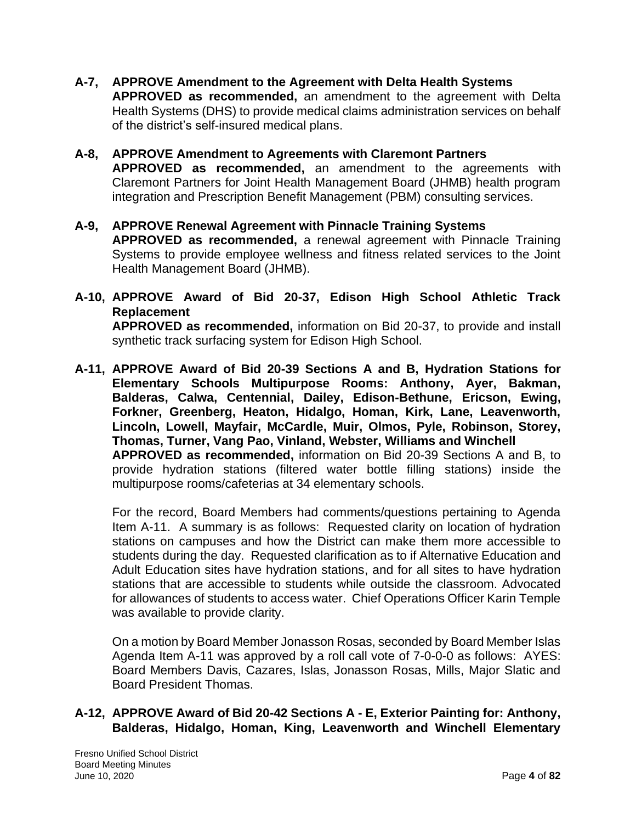- **A-7, APPROVE Amendment to the Agreement with Delta Health Systems APPROVED as recommended,** an amendment to the agreement with Delta Health Systems (DHS) to provide medical claims administration services on behalf of the district's self-insured medical plans.
- **A-8, APPROVE Amendment to Agreements with Claremont Partners APPROVED as recommended,** an amendment to the agreements with Claremont Partners for Joint Health Management Board (JHMB) health program integration and Prescription Benefit Management (PBM) consulting services.
- **A-9, APPROVE Renewal Agreement with Pinnacle Training Systems APPROVED as recommended,** a renewal agreement with Pinnacle Training Systems to provide employee wellness and fitness related services to the Joint Health Management Board (JHMB).
- **A-10, APPROVE Award of Bid 20-37, Edison High School Athletic Track Replacement**

**APPROVED as recommended,** information on Bid 20-37, to provide and install synthetic track surfacing system for Edison High School.

**A-11, APPROVE Award of Bid 20-39 Sections A and B, Hydration Stations for Elementary Schools Multipurpose Rooms: Anthony, Ayer, Bakman, Balderas, Calwa, Centennial, Dailey, Edison-Bethune, Ericson, Ewing, Forkner, Greenberg, Heaton, Hidalgo, Homan, Kirk, Lane, Leavenworth, Lincoln, Lowell, Mayfair, McCardle, Muir, Olmos, Pyle, Robinson, Storey, Thomas, Turner, Vang Pao, Vinland, Webster, Williams and Winchell APPROVED as recommended,** information on Bid 20-39 Sections A and B, to provide hydration stations (filtered water bottle filling stations) inside the multipurpose rooms/cafeterias at 34 elementary schools.

For the record, Board Members had comments/questions pertaining to Agenda Item A-11. A summary is as follows: Requested clarity on location of hydration stations on campuses and how the District can make them more accessible to students during the day. Requested clarification as to if Alternative Education and Adult Education sites have hydration stations, and for all sites to have hydration stations that are accessible to students while outside the classroom. Advocated for allowances of students to access water. Chief Operations Officer Karin Temple was available to provide clarity.

On a motion by Board Member Jonasson Rosas, seconded by Board Member Islas Agenda Item A-11 was approved by a roll call vote of 7-0-0-0 as follows: AYES: Board Members Davis, Cazares, Islas, Jonasson Rosas, Mills, Major Slatic and Board President Thomas.

## **A-12, APPROVE Award of Bid 20-42 Sections A - E, Exterior Painting for: Anthony, Balderas, Hidalgo, Homan, King, Leavenworth and Winchell Elementary**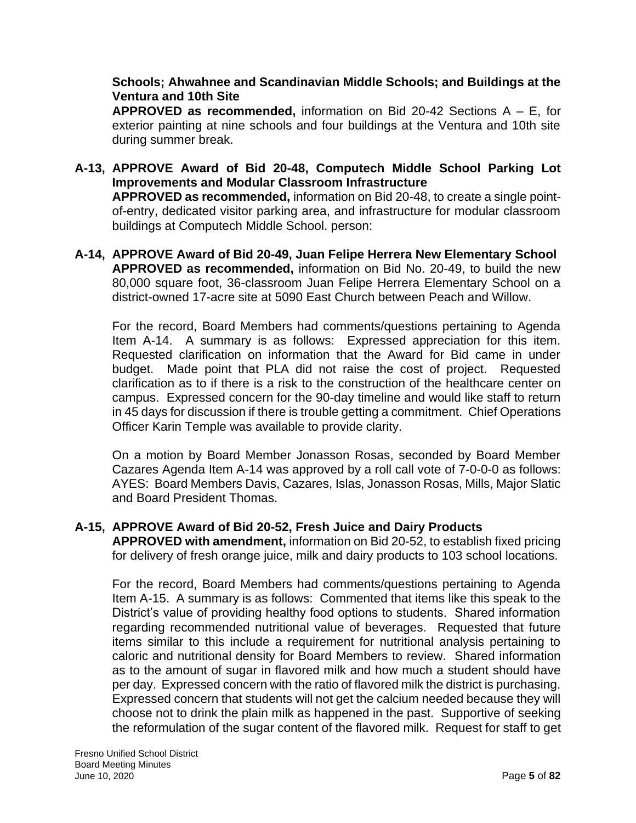## **Schools; Ahwahnee and Scandinavian Middle Schools; and Buildings at the Ventura and 10th Site**

**APPROVED as recommended,** information on Bid 20-42 Sections A – E, for exterior painting at nine schools and four buildings at the Ventura and 10th site during summer break.

- **A-13, APPROVE Award of Bid 20-48, Computech Middle School Parking Lot Improvements and Modular Classroom Infrastructure APPROVED as recommended,** information on Bid 20-48, to create a single pointof-entry, dedicated visitor parking area, and infrastructure for modular classroom buildings at Computech Middle School. person:
- **A-14, APPROVE Award of Bid 20-49, Juan Felipe Herrera New Elementary School APPROVED as recommended,** information on Bid No. 20-49, to build the new 80,000 square foot, 36-classroom Juan Felipe Herrera Elementary School on a district-owned 17-acre site at 5090 East Church between Peach and Willow.

For the record, Board Members had comments/questions pertaining to Agenda Item A-14. A summary is as follows: Expressed appreciation for this item. Requested clarification on information that the Award for Bid came in under budget. Made point that PLA did not raise the cost of project. Requested clarification as to if there is a risk to the construction of the healthcare center on campus. Expressed concern for the 90-day timeline and would like staff to return in 45 days for discussion if there is trouble getting a commitment. Chief Operations Officer Karin Temple was available to provide clarity.

On a motion by Board Member Jonasson Rosas, seconded by Board Member Cazares Agenda Item A-14 was approved by a roll call vote of 7-0-0-0 as follows: AYES: Board Members Davis, Cazares, Islas, Jonasson Rosas, Mills, Major Slatic and Board President Thomas.

## **A-15, APPROVE Award of Bid 20-52, Fresh Juice and Dairy Products**

**APPROVED with amendment,** information on Bid 20-52, to establish fixed pricing for delivery of fresh orange juice, milk and dairy products to 103 school locations.

For the record, Board Members had comments/questions pertaining to Agenda Item A-15. A summary is as follows: Commented that items like this speak to the District's value of providing healthy food options to students. Shared information regarding recommended nutritional value of beverages. Requested that future items similar to this include a requirement for nutritional analysis pertaining to caloric and nutritional density for Board Members to review. Shared information as to the amount of sugar in flavored milk and how much a student should have per day. Expressed concern with the ratio of flavored milk the district is purchasing. Expressed concern that students will not get the calcium needed because they will choose not to drink the plain milk as happened in the past. Supportive of seeking the reformulation of the sugar content of the flavored milk. Request for staff to get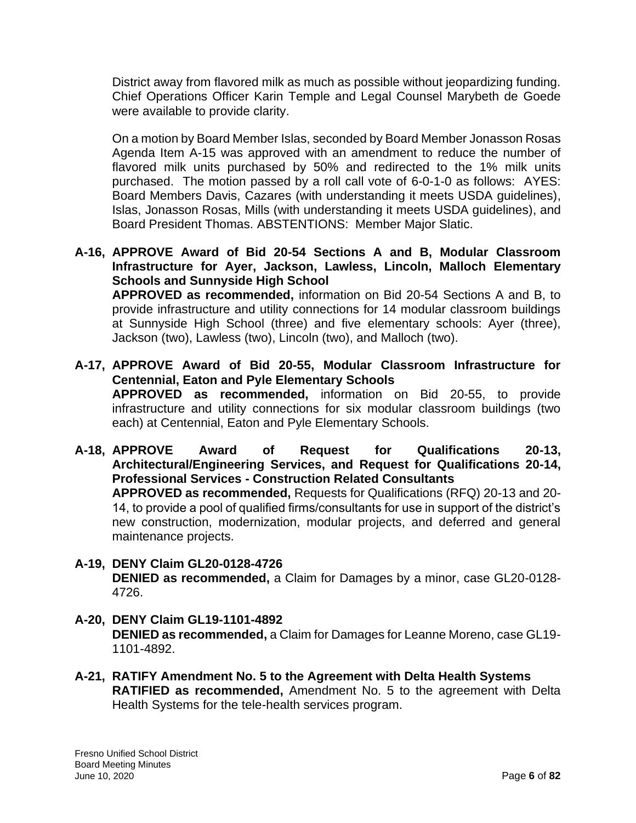District away from flavored milk as much as possible without jeopardizing funding. Chief Operations Officer Karin Temple and Legal Counsel Marybeth de Goede were available to provide clarity.

On a motion by Board Member Islas, seconded by Board Member Jonasson Rosas Agenda Item A-15 was approved with an amendment to reduce the number of flavored milk units purchased by 50% and redirected to the 1% milk units purchased. The motion passed by a roll call vote of 6-0-1-0 as follows: AYES: Board Members Davis, Cazares (with understanding it meets USDA guidelines), Islas, Jonasson Rosas, Mills (with understanding it meets USDA guidelines), and Board President Thomas. ABSTENTIONS: Member Major Slatic.

**A-16, APPROVE Award of Bid 20-54 Sections A and B, Modular Classroom Infrastructure for Ayer, Jackson, Lawless, Lincoln, Malloch Elementary Schools and Sunnyside High School**

**APPROVED as recommended,** information on Bid 20-54 Sections A and B, to provide infrastructure and utility connections for 14 modular classroom buildings at Sunnyside High School (three) and five elementary schools: Ayer (three), Jackson (two), Lawless (two), Lincoln (two), and Malloch (two).

- **A-17, APPROVE Award of Bid 20-55, Modular Classroom Infrastructure for Centennial, Eaton and Pyle Elementary Schools APPROVED as recommended,** information on Bid 20-55, to provide infrastructure and utility connections for six modular classroom buildings (two each) at Centennial, Eaton and Pyle Elementary Schools.
- **A-18, APPROVE Award of Request for Qualifications 20-13, Architectural/Engineering Services, and Request for Qualifications 20-14, Professional Services - Construction Related Consultants APPROVED as recommended,** Requests for Qualifications (RFQ) 20-13 and 20-

14, to provide a pool of qualified firms/consultants for use in support of the district's new construction, modernization, modular projects, and deferred and general maintenance projects.

- **A-19, DENY Claim GL20-0128-4726 DENIED as recommended,** a Claim for Damages by a minor, case GL20-0128- 4726.
- **A-20, DENY Claim GL19-1101-4892 DENIED as recommended,** a Claim for Damages for Leanne Moreno, case GL19- 1101-4892.
- **A-21, RATIFY Amendment No. 5 to the Agreement with Delta Health Systems RATIFIED as recommended,** Amendment No. 5 to the agreement with Delta Health Systems for the tele-health services program.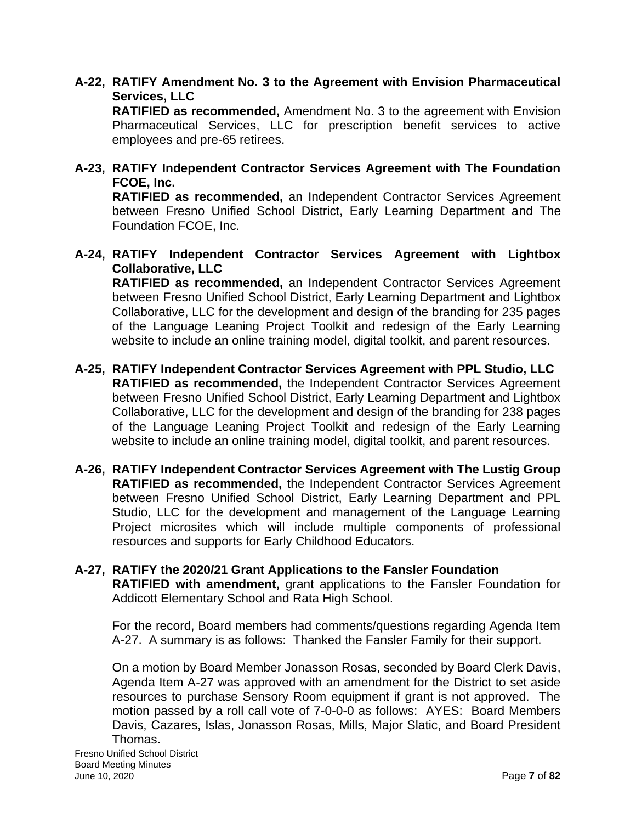# **A-22, RATIFY Amendment No. 3 to the Agreement with Envision Pharmaceutical Services, LLC**

**RATIFIED as recommended,** Amendment No. 3 to the agreement with Envision Pharmaceutical Services, LLC for prescription benefit services to active employees and pre-65 retirees.

**A-23, RATIFY Independent Contractor Services Agreement with The Foundation FCOE, Inc.** 

**RATIFIED as recommended,** an Independent Contractor Services Agreement between Fresno Unified School District, Early Learning Department and The Foundation FCOE, Inc.

**A-24, RATIFY Independent Contractor Services Agreement with Lightbox Collaborative, LLC**

**RATIFIED as recommended,** an Independent Contractor Services Agreement between Fresno Unified School District, Early Learning Department and Lightbox Collaborative, LLC for the development and design of the branding for 235 pages of the Language Leaning Project Toolkit and redesign of the Early Learning website to include an online training model, digital toolkit, and parent resources.

- **A-25, RATIFY Independent Contractor Services Agreement with PPL Studio, LLC RATIFIED as recommended,** the Independent Contractor Services Agreement between Fresno Unified School District, Early Learning Department and Lightbox Collaborative, LLC for the development and design of the branding for 238 pages of the Language Leaning Project Toolkit and redesign of the Early Learning website to include an online training model, digital toolkit, and parent resources.
- **A-26, RATIFY Independent Contractor Services Agreement with The Lustig Group RATIFIED as recommended,** the Independent Contractor Services Agreement between Fresno Unified School District, Early Learning Department and PPL Studio, LLC for the development and management of the Language Learning Project microsites which will include multiple components of professional resources and supports for Early Childhood Educators.
- **A-27, RATIFY the 2020/21 Grant Applications to the Fansler Foundation RATIFIED with amendment,** grant applications to the Fansler Foundation for Addicott Elementary School and Rata High School.

For the record, Board members had comments/questions regarding Agenda Item A-27. A summary is as follows: Thanked the Fansler Family for their support.

On a motion by Board Member Jonasson Rosas, seconded by Board Clerk Davis, Agenda Item A-27 was approved with an amendment for the District to set aside resources to purchase Sensory Room equipment if grant is not approved. The motion passed by a roll call vote of 7-0-0-0 as follows: AYES: Board Members Davis, Cazares, Islas, Jonasson Rosas, Mills, Major Slatic, and Board President Thomas.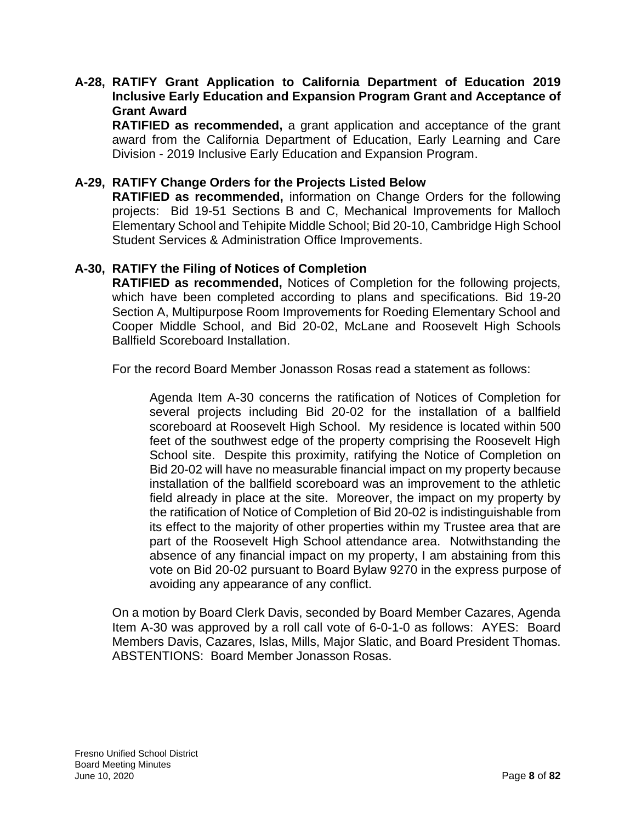### **A-28, RATIFY Grant Application to California Department of Education 2019 Inclusive Early Education and Expansion Program Grant and Acceptance of Grant Award**

**RATIFIED as recommended,** a grant application and acceptance of the grant award from the California Department of Education, Early Learning and Care Division - 2019 Inclusive Early Education and Expansion Program.

### **A-29, RATIFY Change Orders for the Projects Listed Below**

**RATIFIED as recommended,** information on Change Orders for the following projects: Bid 19-51 Sections B and C, Mechanical Improvements for Malloch Elementary School and Tehipite Middle School; Bid 20-10, Cambridge High School Student Services & Administration Office Improvements.

### **A-30, RATIFY the Filing of Notices of Completion**

**RATIFIED as recommended,** Notices of Completion for the following projects, which have been completed according to plans and specifications. Bid 19-20 Section A, Multipurpose Room Improvements for Roeding Elementary School and Cooper Middle School, and Bid 20-02, McLane and Roosevelt High Schools Ballfield Scoreboard Installation.

For the record Board Member Jonasson Rosas read a statement as follows:

Agenda Item A-30 concerns the ratification of Notices of Completion for several projects including Bid 20-02 for the installation of a ballfield scoreboard at Roosevelt High School. My residence is located within 500 feet of the southwest edge of the property comprising the Roosevelt High School site. Despite this proximity, ratifying the Notice of Completion on Bid 20-02 will have no measurable financial impact on my property because installation of the ballfield scoreboard was an improvement to the athletic field already in place at the site. Moreover, the impact on my property by the ratification of Notice of Completion of Bid 20-02 is indistinguishable from its effect to the majority of other properties within my Trustee area that are part of the Roosevelt High School attendance area. Notwithstanding the absence of any financial impact on my property, I am abstaining from this vote on Bid 20-02 pursuant to Board Bylaw 9270 in the express purpose of avoiding any appearance of any conflict.

On a motion by Board Clerk Davis, seconded by Board Member Cazares, Agenda Item A-30 was approved by a roll call vote of 6-0-1-0 as follows: AYES: Board Members Davis, Cazares, Islas, Mills, Major Slatic, and Board President Thomas. ABSTENTIONS: Board Member Jonasson Rosas.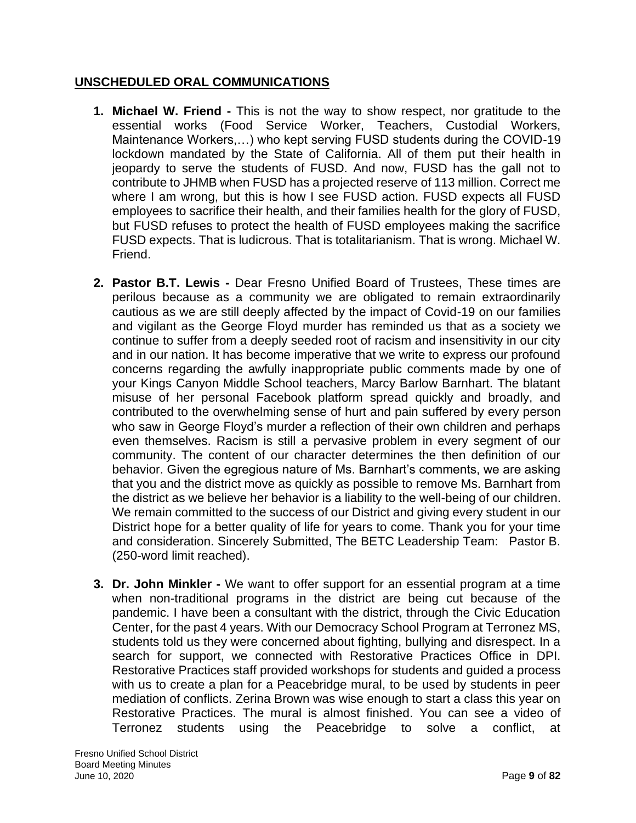# **UNSCHEDULED ORAL COMMUNICATIONS**

- **1. Michael W. Friend -** This is not the way to show respect, nor gratitude to the essential works (Food Service Worker, Teachers, Custodial Workers, Maintenance Workers,…) who kept serving FUSD students during the COVID-19 lockdown mandated by the State of California. All of them put their health in jeopardy to serve the students of FUSD. And now, FUSD has the gall not to contribute to JHMB when FUSD has a projected reserve of 113 million. Correct me where I am wrong, but this is how I see FUSD action. FUSD expects all FUSD employees to sacrifice their health, and their families health for the glory of FUSD, but FUSD refuses to protect the health of FUSD employees making the sacrifice FUSD expects. That is ludicrous. That is totalitarianism. That is wrong. Michael W. Friend.
- **2. Pastor B.T. Lewis -** Dear Fresno Unified Board of Trustees, These times are perilous because as a community we are obligated to remain extraordinarily cautious as we are still deeply affected by the impact of Covid-19 on our families and vigilant as the George Floyd murder has reminded us that as a society we continue to suffer from a deeply seeded root of racism and insensitivity in our city and in our nation. It has become imperative that we write to express our profound concerns regarding the awfully inappropriate public comments made by one of your Kings Canyon Middle School teachers, Marcy Barlow Barnhart. The blatant misuse of her personal Facebook platform spread quickly and broadly, and contributed to the overwhelming sense of hurt and pain suffered by every person who saw in George Floyd's murder a reflection of their own children and perhaps even themselves. Racism is still a pervasive problem in every segment of our community. The content of our character determines the then definition of our behavior. Given the egregious nature of Ms. Barnhart's comments, we are asking that you and the district move as quickly as possible to remove Ms. Barnhart from the district as we believe her behavior is a liability to the well-being of our children. We remain committed to the success of our District and giving every student in our District hope for a better quality of life for years to come. Thank you for your time and consideration. Sincerely Submitted, The BETC Leadership Team: Pastor B. (250-word limit reached).
- **3. Dr. John Minkler -** We want to offer support for an essential program at a time when non-traditional programs in the district are being cut because of the pandemic. I have been a consultant with the district, through the Civic Education Center, for the past 4 years. With our Democracy School Program at Terronez MS, students told us they were concerned about fighting, bullying and disrespect. In a search for support, we connected with Restorative Practices Office in DPI. Restorative Practices staff provided workshops for students and guided a process with us to create a plan for a Peacebridge mural, to be used by students in peer mediation of conflicts. Zerina Brown was wise enough to start a class this year on Restorative Practices. The mural is almost finished. You can see a video of Terronez students using the Peacebridge to solve a conflict, at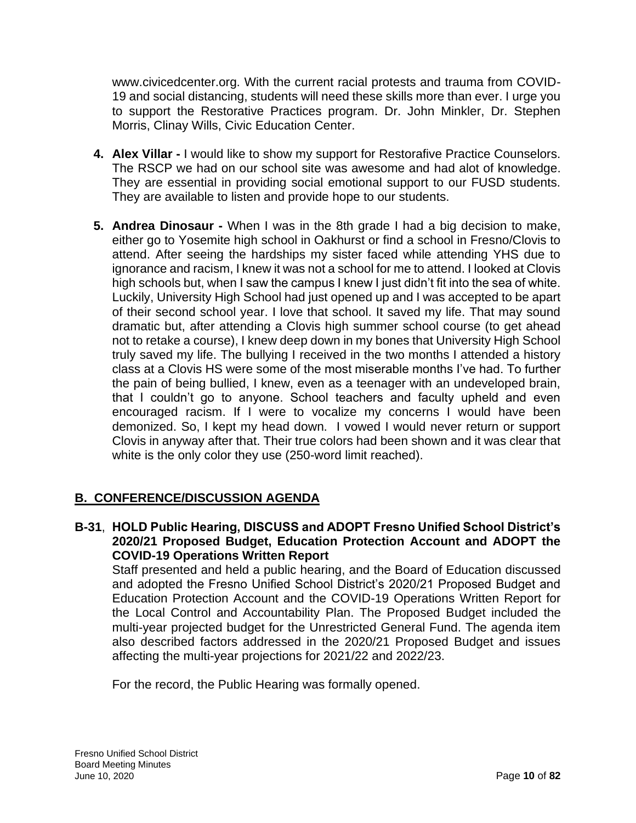www.civicedcenter.org. With the current racial protests and trauma from COVID-19 and social distancing, students will need these skills more than ever. I urge you to support the Restorative Practices program. Dr. John Minkler, Dr. Stephen Morris, Clinay Wills, Civic Education Center.

- **4. Alex Villar -** I would like to show my support for Restorafive Practice Counselors. The RSCP we had on our school site was awesome and had alot of knowledge. They are essential in providing social emotional support to our FUSD students. They are available to listen and provide hope to our students.
- **5. Andrea Dinosaur -** When I was in the 8th grade I had a big decision to make, either go to Yosemite high school in Oakhurst or find a school in Fresno/Clovis to attend. After seeing the hardships my sister faced while attending YHS due to ignorance and racism, I knew it was not a school for me to attend. I looked at Clovis high schools but, when I saw the campus I knew I just didn't fit into the sea of white. Luckily, University High School had just opened up and I was accepted to be apart of their second school year. I love that school. It saved my life. That may sound dramatic but, after attending a Clovis high summer school course (to get ahead not to retake a course), I knew deep down in my bones that University High School truly saved my life. The bullying I received in the two months I attended a history class at a Clovis HS were some of the most miserable months I've had. To further the pain of being bullied, I knew, even as a teenager with an undeveloped brain, that I couldn't go to anyone. School teachers and faculty upheld and even encouraged racism. If I were to vocalize my concerns I would have been demonized. So, I kept my head down. I vowed I would never return or support Clovis in anyway after that. Their true colors had been shown and it was clear that white is the only color they use (250-word limit reached).

# **B. CONFERENCE/DISCUSSION AGENDA**

**B-31**, **HOLD Public Hearing, DISCUSS and ADOPT Fresno Unified School District's 2020/21 Proposed Budget, Education Protection Account and ADOPT the COVID-19 Operations Written Report**

Staff presented and held a public hearing, and the Board of Education discussed and adopted the Fresno Unified School District's 2020/21 Proposed Budget and Education Protection Account and the COVID-19 Operations Written Report for the Local Control and Accountability Plan. The Proposed Budget included the multi-year projected budget for the Unrestricted General Fund. The agenda item also described factors addressed in the 2020/21 Proposed Budget and issues affecting the multi-year projections for 2021/22 and 2022/23.

For the record, the Public Hearing was formally opened.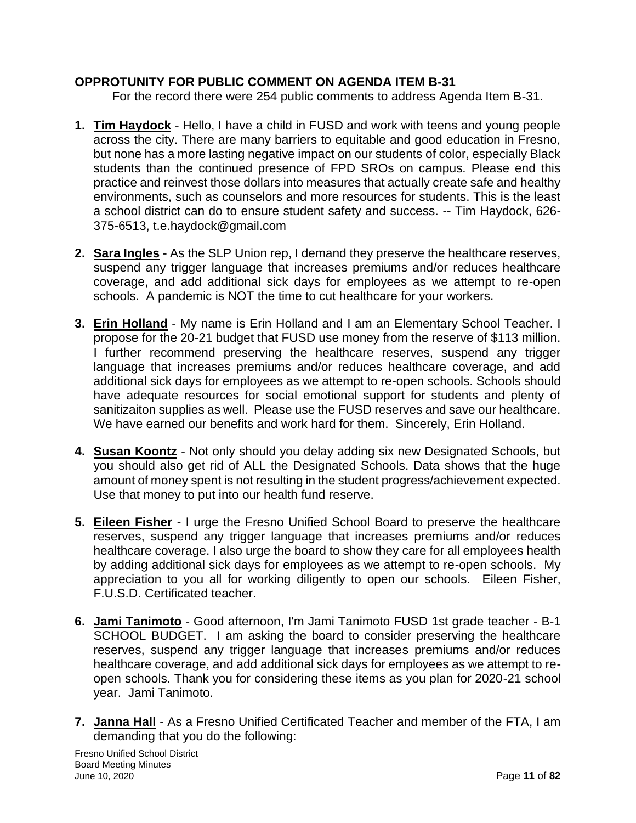# **OPPROTUNITY FOR PUBLIC COMMENT ON AGENDA ITEM B-31**

For the record there were 254 public comments to address Agenda Item B-31.

- **1. Tim Haydock** Hello, I have a child in FUSD and work with teens and young people across the city. There are many barriers to equitable and good education in Fresno, but none has a more lasting negative impact on our students of color, especially Black students than the continued presence of FPD SROs on campus. Please end this practice and reinvest those dollars into measures that actually create safe and healthy environments, such as counselors and more resources for students. This is the least a school district can do to ensure student safety and success. -- Tim Haydock, 626- 375-6513, [t.e.haydock@gmail.com](mailto:t.e.haydock@gmail.com)
- **2. Sara Ingles** As the SLP Union rep, I demand they preserve the healthcare reserves, suspend any trigger language that increases premiums and/or reduces healthcare coverage, and add additional sick days for employees as we attempt to re-open schools. A pandemic is NOT the time to cut healthcare for your workers.
- **3. Erin Holland** My name is Erin Holland and I am an Elementary School Teacher. I propose for the 20-21 budget that FUSD use money from the reserve of \$113 million. I further recommend preserving the healthcare reserves, suspend any trigger language that increases premiums and/or reduces healthcare coverage, and add additional sick days for employees as we attempt to re-open schools. Schools should have adequate resources for social emotional support for students and plenty of sanitizaiton supplies as well. Please use the FUSD reserves and save our healthcare. We have earned our benefits and work hard for them. Sincerely, Erin Holland.
- **4. Susan Koontz** Not only should you delay adding six new Designated Schools, but you should also get rid of ALL the Designated Schools. Data shows that the huge amount of money spent is not resulting in the student progress/achievement expected. Use that money to put into our health fund reserve.
- **5. Eileen Fisher** I urge the Fresno Unified School Board to preserve the healthcare reserves, suspend any trigger language that increases premiums and/or reduces healthcare coverage. I also urge the board to show they care for all employees health by adding additional sick days for employees as we attempt to re-open schools. My appreciation to you all for working diligently to open our schools. Eileen Fisher, F.U.S.D. Certificated teacher.
- **6. Jami Tanimoto** Good afternoon, I'm Jami Tanimoto FUSD 1st grade teacher B-1 SCHOOL BUDGET. I am asking the board to consider preserving the healthcare reserves, suspend any trigger language that increases premiums and/or reduces healthcare coverage, and add additional sick days for employees as we attempt to reopen schools. Thank you for considering these items as you plan for 2020-21 school year. Jami Tanimoto.
- **7. Janna Hall** As a Fresno Unified Certificated Teacher and member of the FTA, I am demanding that you do the following: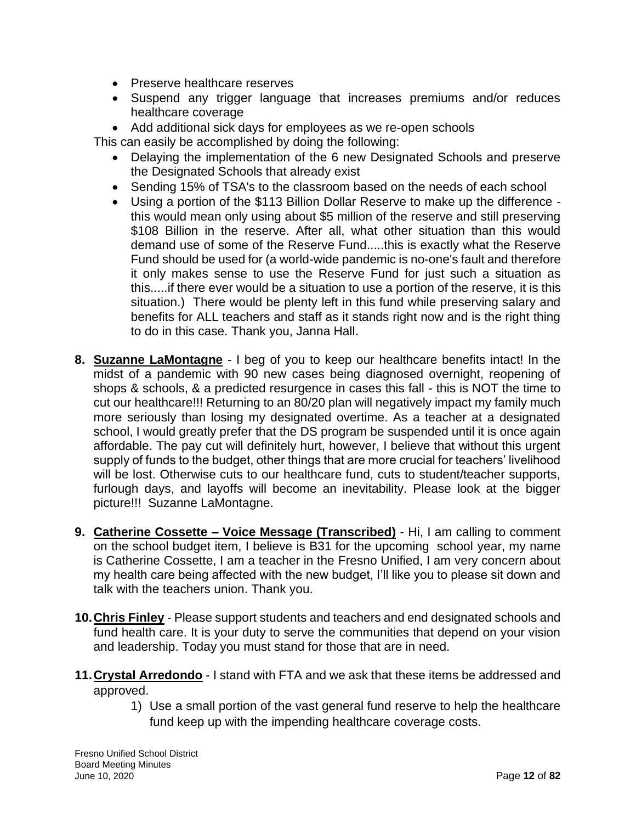- Preserve healthcare reserves
- Suspend any trigger language that increases premiums and/or reduces healthcare coverage
- Add additional sick days for employees as we re-open schools

This can easily be accomplished by doing the following:

- Delaying the implementation of the 6 new Designated Schools and preserve the Designated Schools that already exist
- Sending 15% of TSA's to the classroom based on the needs of each school
- Using a portion of the \$113 Billion Dollar Reserve to make up the difference this would mean only using about \$5 million of the reserve and still preserving \$108 Billion in the reserve. After all, what other situation than this would demand use of some of the Reserve Fund.....this is exactly what the Reserve Fund should be used for (a world-wide pandemic is no-one's fault and therefore it only makes sense to use the Reserve Fund for just such a situation as this.....if there ever would be a situation to use a portion of the reserve, it is this situation.) There would be plenty left in this fund while preserving salary and benefits for ALL teachers and staff as it stands right now and is the right thing to do in this case. Thank you, Janna Hall.
- **8. Suzanne LaMontagne** I beg of you to keep our healthcare benefits intact! In the midst of a pandemic with 90 new cases being diagnosed overnight, reopening of shops & schools, & a predicted resurgence in cases this fall - this is NOT the time to cut our healthcare!!! Returning to an 80/20 plan will negatively impact my family much more seriously than losing my designated overtime. As a teacher at a designated school, I would greatly prefer that the DS program be suspended until it is once again affordable. The pay cut will definitely hurt, however, I believe that without this urgent supply of funds to the budget, other things that are more crucial for teachers' livelihood will be lost. Otherwise cuts to our healthcare fund, cuts to student/teacher supports, furlough days, and layoffs will become an inevitability. Please look at the bigger picture!!! Suzanne LaMontagne.
- **9. Catherine Cossette – Voice Message (Transcribed)** Hi, I am calling to comment on the school budget item, I believe is B31 for the upcoming school year, my name is Catherine Cossette, I am a teacher in the Fresno Unified, I am very concern about my health care being affected with the new budget, I'll like you to please sit down and talk with the teachers union. Thank you.
- **10.Chris Finley** Please support students and teachers and end designated schools and fund health care. It is your duty to serve the communities that depend on your vision and leadership. Today you must stand for those that are in need.
- **11.Crystal Arredondo** I stand with FTA and we ask that these items be addressed and approved.
	- 1) Use a small portion of the vast general fund reserve to help the healthcare fund keep up with the impending healthcare coverage costs.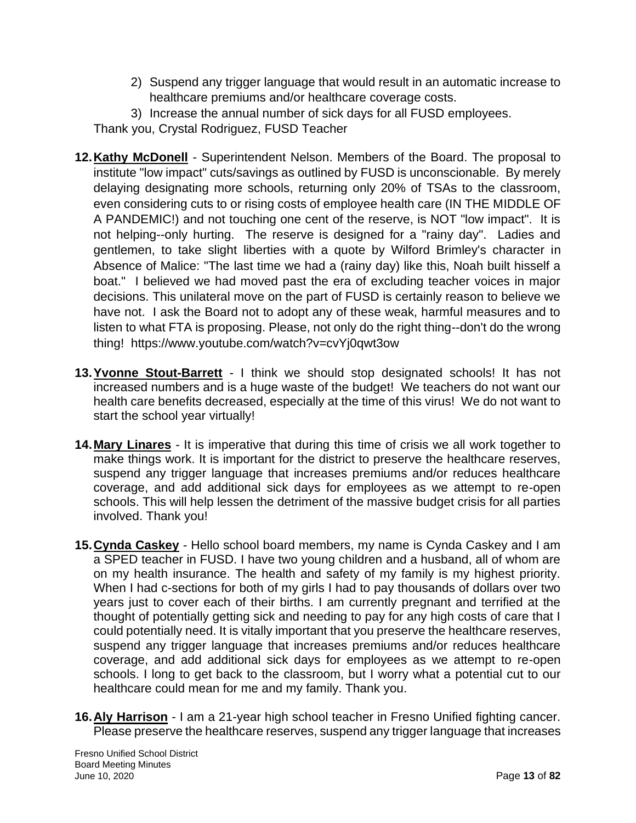- 2) Suspend any trigger language that would result in an automatic increase to healthcare premiums and/or healthcare coverage costs.
- 3) Increase the annual number of sick days for all FUSD employees.

Thank you, Crystal Rodriguez, FUSD Teacher

- **12.Kathy McDonell** Superintendent Nelson. Members of the Board. The proposal to institute "low impact" cuts/savings as outlined by FUSD is unconscionable. By merely delaying designating more schools, returning only 20% of TSAs to the classroom, even considering cuts to or rising costs of employee health care (IN THE MIDDLE OF A PANDEMIC!) and not touching one cent of the reserve, is NOT "low impact". It is not helping--only hurting. The reserve is designed for a "rainy day". Ladies and gentlemen, to take slight liberties with a quote by Wilford Brimley's character in Absence of Malice: "The last time we had a (rainy day) like this, Noah built hisself a boat." I believed we had moved past the era of excluding teacher voices in major decisions. This unilateral move on the part of FUSD is certainly reason to believe we have not. I ask the Board not to adopt any of these weak, harmful measures and to listen to what FTA is proposing. Please, not only do the right thing--don't do the wrong thing! https://www.youtube.com/watch?v=cvYj0qwt3ow
- **13.Yvonne Stout-Barrett** I think we should stop designated schools! It has not increased numbers and is a huge waste of the budget! We teachers do not want our health care benefits decreased, especially at the time of this virus! We do not want to start the school year virtually!
- **14.Mary Linares** It is imperative that during this time of crisis we all work together to make things work. It is important for the district to preserve the healthcare reserves, suspend any trigger language that increases premiums and/or reduces healthcare coverage, and add additional sick days for employees as we attempt to re-open schools. This will help lessen the detriment of the massive budget crisis for all parties involved. Thank you!
- **15.Cynda Caskey** Hello school board members, my name is Cynda Caskey and I am a SPED teacher in FUSD. I have two young children and a husband, all of whom are on my health insurance. The health and safety of my family is my highest priority. When I had c-sections for both of my girls I had to pay thousands of dollars over two years just to cover each of their births. I am currently pregnant and terrified at the thought of potentially getting sick and needing to pay for any high costs of care that I could potentially need. It is vitally important that you preserve the healthcare reserves, suspend any trigger language that increases premiums and/or reduces healthcare coverage, and add additional sick days for employees as we attempt to re-open schools. I long to get back to the classroom, but I worry what a potential cut to our healthcare could mean for me and my family. Thank you.
- **16.Aly Harrison** I am a 21-year high school teacher in Fresno Unified fighting cancer. Please preserve the healthcare reserves, suspend any trigger language that increases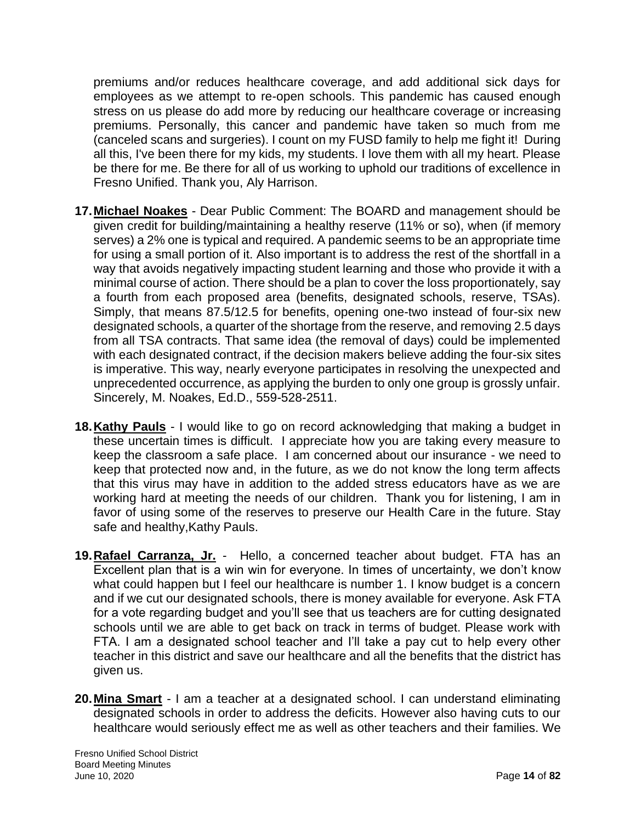premiums and/or reduces healthcare coverage, and add additional sick days for employees as we attempt to re-open schools. This pandemic has caused enough stress on us please do add more by reducing our healthcare coverage or increasing premiums. Personally, this cancer and pandemic have taken so much from me (canceled scans and surgeries). I count on my FUSD family to help me fight it! During all this, I've been there for my kids, my students. I love them with all my heart. Please be there for me. Be there for all of us working to uphold our traditions of excellence in Fresno Unified. Thank you, Aly Harrison.

- **17.Michael Noakes** Dear Public Comment: The BOARD and management should be given credit for building/maintaining a healthy reserve (11% or so), when (if memory serves) a 2% one is typical and required. A pandemic seems to be an appropriate time for using a small portion of it. Also important is to address the rest of the shortfall in a way that avoids negatively impacting student learning and those who provide it with a minimal course of action. There should be a plan to cover the loss proportionately, say a fourth from each proposed area (benefits, designated schools, reserve, TSAs). Simply, that means 87.5/12.5 for benefits, opening one-two instead of four-six new designated schools, a quarter of the shortage from the reserve, and removing 2.5 days from all TSA contracts. That same idea (the removal of days) could be implemented with each designated contract, if the decision makers believe adding the four-six sites is imperative. This way, nearly everyone participates in resolving the unexpected and unprecedented occurrence, as applying the burden to only one group is grossly unfair. Sincerely, M. Noakes, Ed.D., 559-528-2511.
- **18.Kathy Pauls** I would like to go on record acknowledging that making a budget in these uncertain times is difficult. I appreciate how you are taking every measure to keep the classroom a safe place. I am concerned about our insurance - we need to keep that protected now and, in the future, as we do not know the long term affects that this virus may have in addition to the added stress educators have as we are working hard at meeting the needs of our children. Thank you for listening, I am in favor of using some of the reserves to preserve our Health Care in the future. Stay safe and healthy, Kathy Pauls.
- **19.Rafael Carranza, Jr.** Hello, a concerned teacher about budget. FTA has an Excellent plan that is a win win for everyone. In times of uncertainty, we don't know what could happen but I feel our healthcare is number 1. I know budget is a concern and if we cut our designated schools, there is money available for everyone. Ask FTA for a vote regarding budget and you'll see that us teachers are for cutting designated schools until we are able to get back on track in terms of budget. Please work with FTA. I am a designated school teacher and I'll take a pay cut to help every other teacher in this district and save our healthcare and all the benefits that the district has given us.
- **20.Mina Smart** I am a teacher at a designated school. I can understand eliminating designated schools in order to address the deficits. However also having cuts to our healthcare would seriously effect me as well as other teachers and their families. We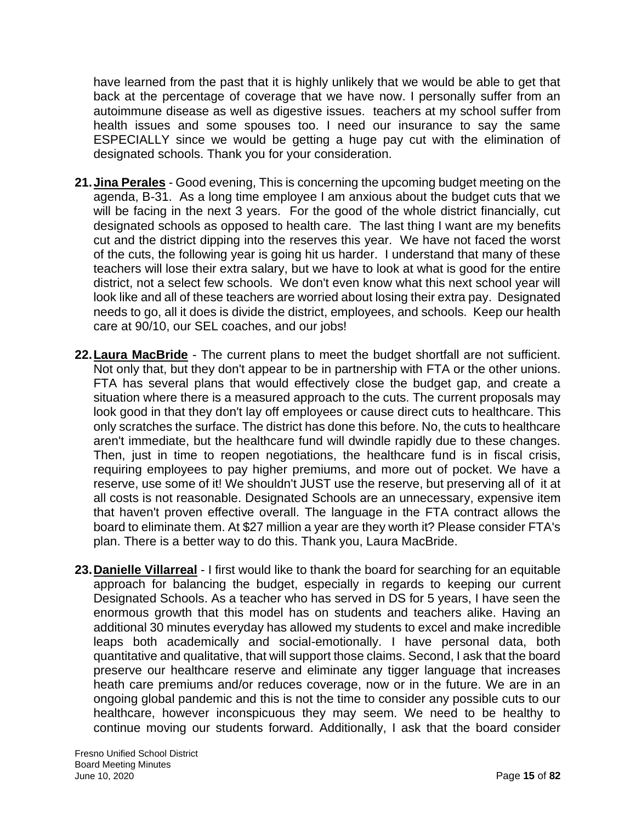have learned from the past that it is highly unlikely that we would be able to get that back at the percentage of coverage that we have now. I personally suffer from an autoimmune disease as well as digestive issues. teachers at my school suffer from health issues and some spouses too. I need our insurance to say the same ESPECIALLY since we would be getting a huge pay cut with the elimination of designated schools. Thank you for your consideration.

- **21.Jina Perales** Good evening, This is concerning the upcoming budget meeting on the agenda, B-31. As a long time employee I am anxious about the budget cuts that we will be facing in the next 3 years. For the good of the whole district financially, cut designated schools as opposed to health care. The last thing I want are my benefits cut and the district dipping into the reserves this year. We have not faced the worst of the cuts, the following year is going hit us harder. I understand that many of these teachers will lose their extra salary, but we have to look at what is good for the entire district, not a select few schools. We don't even know what this next school year will look like and all of these teachers are worried about losing their extra pay. Designated needs to go, all it does is divide the district, employees, and schools. Keep our health care at 90/10, our SEL coaches, and our jobs!
- **22.Laura MacBride** The current plans to meet the budget shortfall are not sufficient. Not only that, but they don't appear to be in partnership with FTA or the other unions. FTA has several plans that would effectively close the budget gap, and create a situation where there is a measured approach to the cuts. The current proposals may look good in that they don't lay off employees or cause direct cuts to healthcare. This only scratches the surface. The district has done this before. No, the cuts to healthcare aren't immediate, but the healthcare fund will dwindle rapidly due to these changes. Then, just in time to reopen negotiations, the healthcare fund is in fiscal crisis, requiring employees to pay higher premiums, and more out of pocket. We have a reserve, use some of it! We shouldn't JUST use the reserve, but preserving all of it at all costs is not reasonable. Designated Schools are an unnecessary, expensive item that haven't proven effective overall. The language in the FTA contract allows the board to eliminate them. At \$27 million a year are they worth it? Please consider FTA's plan. There is a better way to do this. Thank you, Laura MacBride.
- **23.Danielle Villarreal** I first would like to thank the board for searching for an equitable approach for balancing the budget, especially in regards to keeping our current Designated Schools. As a teacher who has served in DS for 5 years, I have seen the enormous growth that this model has on students and teachers alike. Having an additional 30 minutes everyday has allowed my students to excel and make incredible leaps both academically and social-emotionally. I have personal data, both quantitative and qualitative, that will support those claims. Second, I ask that the board preserve our healthcare reserve and eliminate any tigger language that increases heath care premiums and/or reduces coverage, now or in the future. We are in an ongoing global pandemic and this is not the time to consider any possible cuts to our healthcare, however inconspicuous they may seem. We need to be healthy to continue moving our students forward. Additionally, I ask that the board consider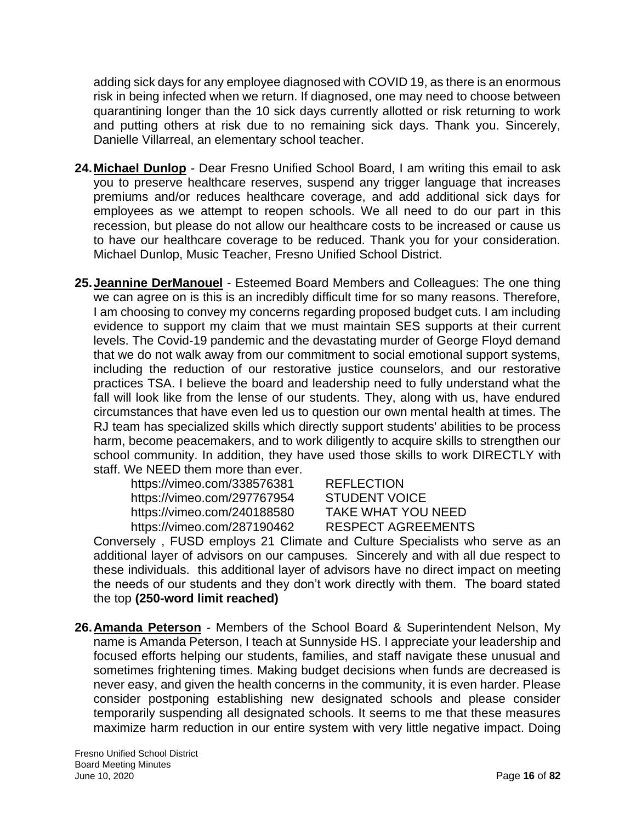adding sick days for any employee diagnosed with COVID 19, as there is an enormous risk in being infected when we return. If diagnosed, one may need to choose between quarantining longer than the 10 sick days currently allotted or risk returning to work and putting others at risk due to no remaining sick days. Thank you. Sincerely, Danielle Villarreal, an elementary school teacher.

- **24.Michael Dunlop** Dear Fresno Unified School Board, I am writing this email to ask you to preserve healthcare reserves, suspend any trigger language that increases premiums and/or reduces healthcare coverage, and add additional sick days for employees as we attempt to reopen schools. We all need to do our part in this recession, but please do not allow our healthcare costs to be increased or cause us to have our healthcare coverage to be reduced. Thank you for your consideration. Michael Dunlop, Music Teacher, Fresno Unified School District.
- **25.Jeannine DerManouel** Esteemed Board Members and Colleagues: The one thing we can agree on is this is an incredibly difficult time for so many reasons. Therefore, I am choosing to convey my concerns regarding proposed budget cuts. I am including evidence to support my claim that we must maintain SES supports at their current levels. The Covid-19 pandemic and the devastating murder of George Floyd demand that we do not walk away from our commitment to social emotional support systems, including the reduction of our restorative justice counselors, and our restorative practices TSA. I believe the board and leadership need to fully understand what the fall will look like from the lense of our students. They, along with us, have endured circumstances that have even led us to question our own mental health at times. The RJ team has specialized skills which directly support students' abilities to be process harm, become peacemakers, and to work diligently to acquire skills to strengthen our school community. In addition, they have used those skills to work DIRECTLY with staff. We NEED them more than ever.

https://vimeo.com/338576381 REFLECTION https://vimeo.com/297767954 STUDENT VOICE https://vimeo.com/240188580 TAKE WHAT YOU NEED https://vimeo.com/287190462 RESPECT AGREEMENTS

Conversely , FUSD employs 21 Climate and Culture Specialists who serve as an additional layer of advisors on our campuses. Sincerely and with all due respect to these individuals. this additional layer of advisors have no direct impact on meeting the needs of our students and they don't work directly with them. The board stated the top **(250-word limit reached)**

**26.Amanda Peterson** - Members of the School Board & Superintendent Nelson, My name is Amanda Peterson, I teach at Sunnyside HS. I appreciate your leadership and focused efforts helping our students, families, and staff navigate these unusual and sometimes frightening times. Making budget decisions when funds are decreased is never easy, and given the health concerns in the community, it is even harder. Please consider postponing establishing new designated schools and please consider temporarily suspending all designated schools. It seems to me that these measures maximize harm reduction in our entire system with very little negative impact. Doing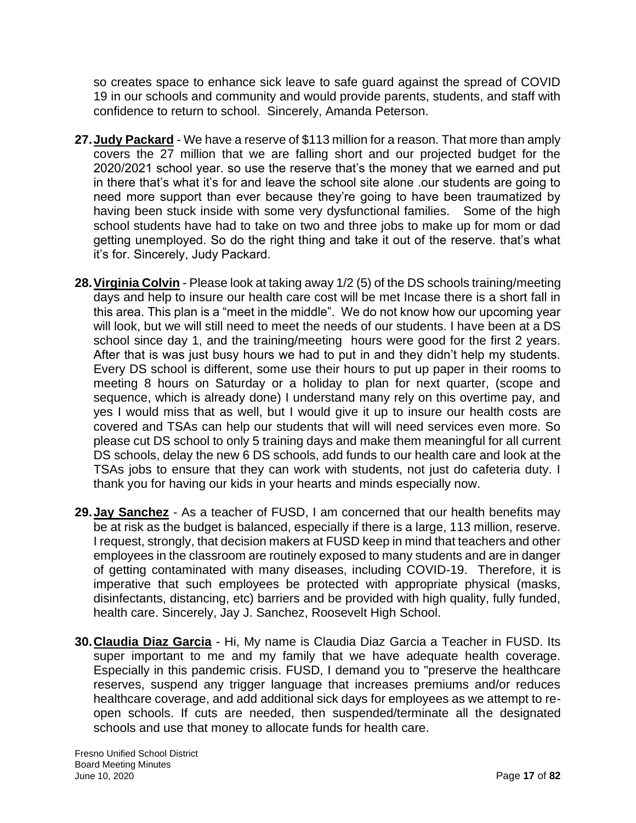so creates space to enhance sick leave to safe guard against the spread of COVID 19 in our schools and community and would provide parents, students, and staff with confidence to return to school. Sincerely, Amanda Peterson.

- **27.Judy Packard** We have a reserve of \$113 million for a reason. That more than amply covers the 27 million that we are falling short and our projected budget for the 2020/2021 school year. so use the reserve that's the money that we earned and put in there that's what it's for and leave the school site alone .our students are going to need more support than ever because they're going to have been traumatized by having been stuck inside with some very dysfunctional families. Some of the high school students have had to take on two and three jobs to make up for mom or dad getting unemployed. So do the right thing and take it out of the reserve. that's what it's for. Sincerely, Judy Packard.
- **28.Virginia Colvin** Please look at taking away 1/2 (5) of the DS schools training/meeting days and help to insure our health care cost will be met Incase there is a short fall in this area. This plan is a "meet in the middle". We do not know how our upcoming year will look, but we will still need to meet the needs of our students. I have been at a DS school since day 1, and the training/meeting hours were good for the first 2 years. After that is was just busy hours we had to put in and they didn't help my students. Every DS school is different, some use their hours to put up paper in their rooms to meeting 8 hours on Saturday or a holiday to plan for next quarter, (scope and sequence, which is already done) I understand many rely on this overtime pay, and yes I would miss that as well, but I would give it up to insure our health costs are covered and TSAs can help our students that will will need services even more. So please cut DS school to only 5 training days and make them meaningful for all current DS schools, delay the new 6 DS schools, add funds to our health care and look at the TSAs jobs to ensure that they can work with students, not just do cafeteria duty. I thank you for having our kids in your hearts and minds especially now.
- **29.Jay Sanchez** As a teacher of FUSD, I am concerned that our health benefits may be at risk as the budget is balanced, especially if there is a large, 113 million, reserve. I request, strongly, that decision makers at FUSD keep in mind that teachers and other employees in the classroom are routinely exposed to many students and are in danger of getting contaminated with many diseases, including COVID-19. Therefore, it is imperative that such employees be protected with appropriate physical (masks, disinfectants, distancing, etc) barriers and be provided with high quality, fully funded, health care. Sincerely, Jay J. Sanchez, Roosevelt High School.
- **30.Claudia Diaz Garcia** Hi, My name is Claudia Diaz Garcia a Teacher in FUSD. Its super important to me and my family that we have adequate health coverage. Especially in this pandemic crisis. FUSD, I demand you to "preserve the healthcare reserves, suspend any trigger language that increases premiums and/or reduces healthcare coverage, and add additional sick days for employees as we attempt to reopen schools. If cuts are needed, then suspended/terminate all the designated schools and use that money to allocate funds for health care.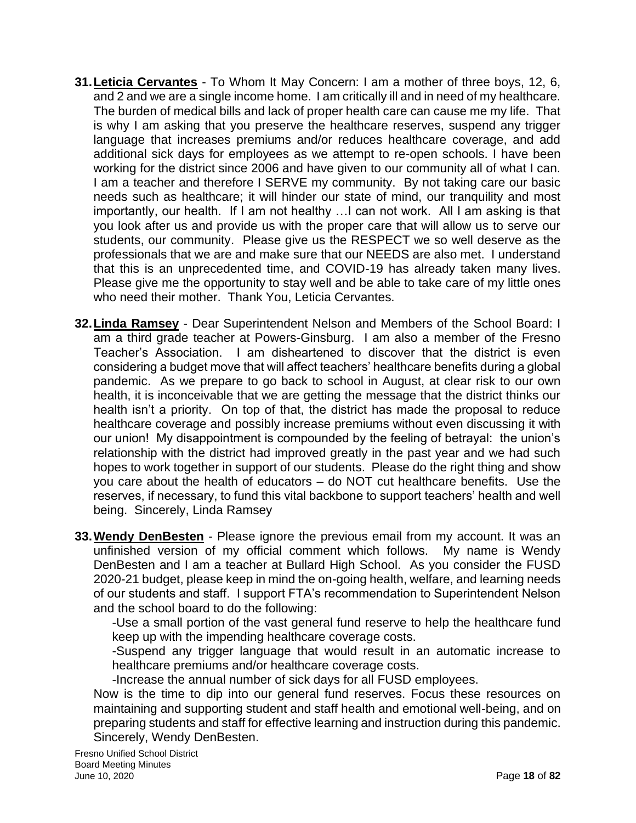- **31.Leticia Cervantes** To Whom It May Concern: I am a mother of three boys, 12, 6, and 2 and we are a single income home. I am critically ill and in need of my healthcare. The burden of medical bills and lack of proper health care can cause me my life. That is why I am asking that you preserve the healthcare reserves, suspend any trigger language that increases premiums and/or reduces healthcare coverage, and add additional sick days for employees as we attempt to re-open schools. I have been working for the district since 2006 and have given to our community all of what I can. I am a teacher and therefore I SERVE my community. By not taking care our basic needs such as healthcare; it will hinder our state of mind, our tranquility and most importantly, our health. If I am not healthy …I can not work. All I am asking is that you look after us and provide us with the proper care that will allow us to serve our students, our community. Please give us the RESPECT we so well deserve as the professionals that we are and make sure that our NEEDS are also met. I understand that this is an unprecedented time, and COVID-19 has already taken many lives. Please give me the opportunity to stay well and be able to take care of my little ones who need their mother. Thank You, Leticia Cervantes.
- **32.Linda Ramsey** Dear Superintendent Nelson and Members of the School Board: I am a third grade teacher at Powers-Ginsburg. I am also a member of the Fresno Teacher's Association. I am disheartened to discover that the district is even considering a budget move that will affect teachers' healthcare benefits during a global pandemic. As we prepare to go back to school in August, at clear risk to our own health, it is inconceivable that we are getting the message that the district thinks our health isn't a priority. On top of that, the district has made the proposal to reduce healthcare coverage and possibly increase premiums without even discussing it with our union! My disappointment is compounded by the feeling of betrayal: the union's relationship with the district had improved greatly in the past year and we had such hopes to work together in support of our students. Please do the right thing and show you care about the health of educators – do NOT cut healthcare benefits. Use the reserves, if necessary, to fund this vital backbone to support teachers' health and well being. Sincerely, Linda Ramsey
- **33.Wendy DenBesten** Please ignore the previous email from my account. It was an unfinished version of my official comment which follows. My name is Wendy DenBesten and I am a teacher at Bullard High School. As you consider the FUSD 2020-21 budget, please keep in mind the on-going health, welfare, and learning needs of our students and staff. I support FTA's recommendation to Superintendent Nelson and the school board to do the following:

-Use a small portion of the vast general fund reserve to help the healthcare fund keep up with the impending healthcare coverage costs.

-Suspend any trigger language that would result in an automatic increase to healthcare premiums and/or healthcare coverage costs.

-Increase the annual number of sick days for all FUSD employees.

Now is the time to dip into our general fund reserves. Focus these resources on maintaining and supporting student and staff health and emotional well-being, and on preparing students and staff for effective learning and instruction during this pandemic. Sincerely, Wendy DenBesten.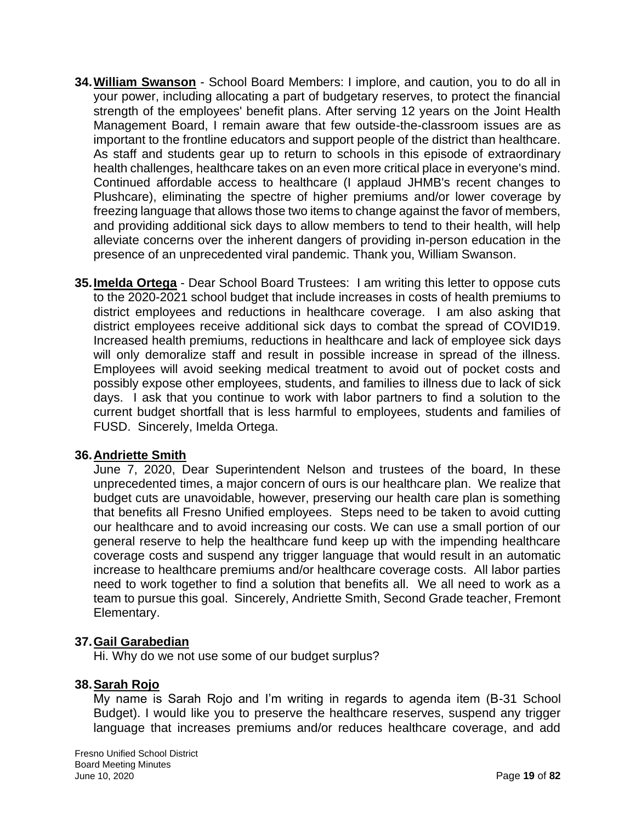- **34.William Swanson** School Board Members: I implore, and caution, you to do all in your power, including allocating a part of budgetary reserves, to protect the financial strength of the employees' benefit plans. After serving 12 years on the Joint Health Management Board, I remain aware that few outside-the-classroom issues are as important to the frontline educators and support people of the district than healthcare. As staff and students gear up to return to schools in this episode of extraordinary health challenges, healthcare takes on an even more critical place in everyone's mind. Continued affordable access to healthcare (I applaud JHMB's recent changes to Plushcare), eliminating the spectre of higher premiums and/or lower coverage by freezing language that allows those two items to change against the favor of members, and providing additional sick days to allow members to tend to their health, will help alleviate concerns over the inherent dangers of providing in-person education in the presence of an unprecedented viral pandemic. Thank you, William Swanson.
- **35.Imelda Ortega** Dear School Board Trustees: I am writing this letter to oppose cuts to the 2020-2021 school budget that include increases in costs of health premiums to district employees and reductions in healthcare coverage. I am also asking that district employees receive additional sick days to combat the spread of COVID19. Increased health premiums, reductions in healthcare and lack of employee sick days will only demoralize staff and result in possible increase in spread of the illness. Employees will avoid seeking medical treatment to avoid out of pocket costs and possibly expose other employees, students, and families to illness due to lack of sick days. I ask that you continue to work with labor partners to find a solution to the current budget shortfall that is less harmful to employees, students and families of FUSD. Sincerely, Imelda Ortega.

#### **36.Andriette Smith**

June 7, 2020, Dear Superintendent Nelson and trustees of the board, In these unprecedented times, a major concern of ours is our healthcare plan. We realize that budget cuts are unavoidable, however, preserving our health care plan is something that benefits all Fresno Unified employees. Steps need to be taken to avoid cutting our healthcare and to avoid increasing our costs. We can use a small portion of our general reserve to help the healthcare fund keep up with the impending healthcare coverage costs and suspend any trigger language that would result in an automatic increase to healthcare premiums and/or healthcare coverage costs. All labor parties need to work together to find a solution that benefits all. We all need to work as a team to pursue this goal. Sincerely, Andriette Smith, Second Grade teacher, Fremont Elementary.

## **37.Gail Garabedian**

Hi. Why do we not use some of our budget surplus?

## **38.Sarah Rojo**

My name is Sarah Rojo and I'm writing in regards to agenda item (B-31 School Budget). I would like you to preserve the healthcare reserves, suspend any trigger language that increases premiums and/or reduces healthcare coverage, and add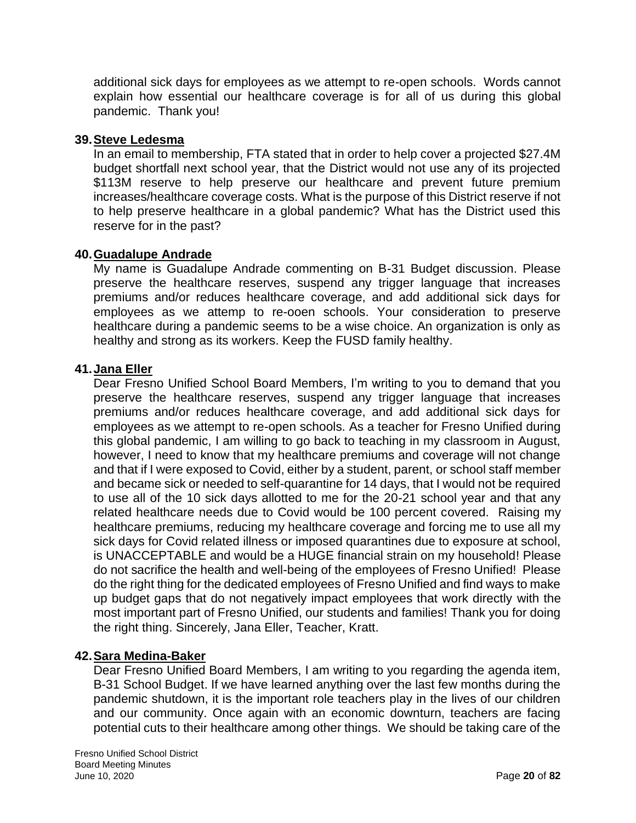additional sick days for employees as we attempt to re-open schools. Words cannot explain how essential our healthcare coverage is for all of us during this global pandemic. Thank you!

### **39.Steve Ledesma**

In an email to membership, FTA stated that in order to help cover a projected \$27.4M budget shortfall next school year, that the District would not use any of its projected \$113M reserve to help preserve our healthcare and prevent future premium increases/healthcare coverage costs. What is the purpose of this District reserve if not to help preserve healthcare in a global pandemic? What has the District used this reserve for in the past?

## **40.Guadalupe Andrade**

My name is Guadalupe Andrade commenting on B-31 Budget discussion. Please preserve the healthcare reserves, suspend any trigger language that increases premiums and/or reduces healthcare coverage, and add additional sick days for employees as we attemp to re-ooen schools. Your consideration to preserve healthcare during a pandemic seems to be a wise choice. An organization is only as healthy and strong as its workers. Keep the FUSD family healthy.

### **41.Jana Eller**

Dear Fresno Unified School Board Members, I'm writing to you to demand that you preserve the healthcare reserves, suspend any trigger language that increases premiums and/or reduces healthcare coverage, and add additional sick days for employees as we attempt to re-open schools. As a teacher for Fresno Unified during this global pandemic, I am willing to go back to teaching in my classroom in August, however, I need to know that my healthcare premiums and coverage will not change and that if I were exposed to Covid, either by a student, parent, or school staff member and became sick or needed to self-quarantine for 14 days, that I would not be required to use all of the 10 sick days allotted to me for the 20-21 school year and that any related healthcare needs due to Covid would be 100 percent covered. Raising my healthcare premiums, reducing my healthcare coverage and forcing me to use all my sick days for Covid related illness or imposed quarantines due to exposure at school, is UNACCEPTABLE and would be a HUGE financial strain on my household! Please do not sacrifice the health and well-being of the employees of Fresno Unified! Please do the right thing for the dedicated employees of Fresno Unified and find ways to make up budget gaps that do not negatively impact employees that work directly with the most important part of Fresno Unified, our students and families! Thank you for doing the right thing. Sincerely, Jana Eller, Teacher, Kratt.

## **42.Sara Medina-Baker**

Dear Fresno Unified Board Members, I am writing to you regarding the agenda item, B-31 School Budget. If we have learned anything over the last few months during the pandemic shutdown, it is the important role teachers play in the lives of our children and our community. Once again with an economic downturn, teachers are facing potential cuts to their healthcare among other things. We should be taking care of the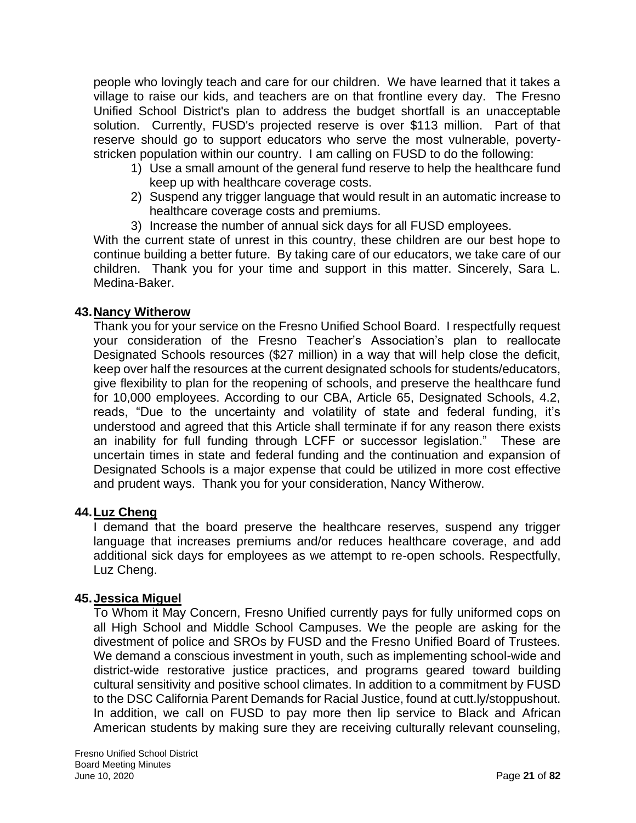people who lovingly teach and care for our children. We have learned that it takes a village to raise our kids, and teachers are on that frontline every day. The Fresno Unified School District's plan to address the budget shortfall is an unacceptable solution. Currently, FUSD's projected reserve is over \$113 million. Part of that reserve should go to support educators who serve the most vulnerable, povertystricken population within our country. I am calling on FUSD to do the following:

- 1) Use a small amount of the general fund reserve to help the healthcare fund keep up with healthcare coverage costs.
- 2) Suspend any trigger language that would result in an automatic increase to healthcare coverage costs and premiums.
- 3) Increase the number of annual sick days for all FUSD employees.

With the current state of unrest in this country, these children are our best hope to continue building a better future. By taking care of our educators, we take care of our children. Thank you for your time and support in this matter. Sincerely, Sara L. Medina-Baker.

## **43.Nancy Witherow**

Thank you for your service on the Fresno Unified School Board. I respectfully request your consideration of the Fresno Teacher's Association's plan to reallocate Designated Schools resources (\$27 million) in a way that will help close the deficit, keep over half the resources at the current designated schools for students/educators, give flexibility to plan for the reopening of schools, and preserve the healthcare fund for 10,000 employees. According to our CBA, Article 65, Designated Schools, 4.2, reads, "Due to the uncertainty and volatility of state and federal funding, it's understood and agreed that this Article shall terminate if for any reason there exists an inability for full funding through LCFF or successor legislation." These are uncertain times in state and federal funding and the continuation and expansion of Designated Schools is a major expense that could be utilized in more cost effective and prudent ways. Thank you for your consideration, Nancy Witherow.

# **44.Luz Cheng**

I demand that the board preserve the healthcare reserves, suspend any trigger language that increases premiums and/or reduces healthcare coverage, and add additional sick days for employees as we attempt to re-open schools. Respectfully, Luz Cheng.

## **45.Jessica Miguel**

To Whom it May Concern, Fresno Unified currently pays for fully uniformed cops on all High School and Middle School Campuses. We the people are asking for the divestment of police and SROs by FUSD and the Fresno Unified Board of Trustees. We demand a conscious investment in youth, such as implementing school-wide and district-wide restorative justice practices, and programs geared toward building cultural sensitivity and positive school climates. In addition to a commitment by FUSD to the DSC California Parent Demands for Racial Justice, found at cutt.ly/stoppushout. In addition, we call on FUSD to pay more then lip service to Black and African American students by making sure they are receiving culturally relevant counseling,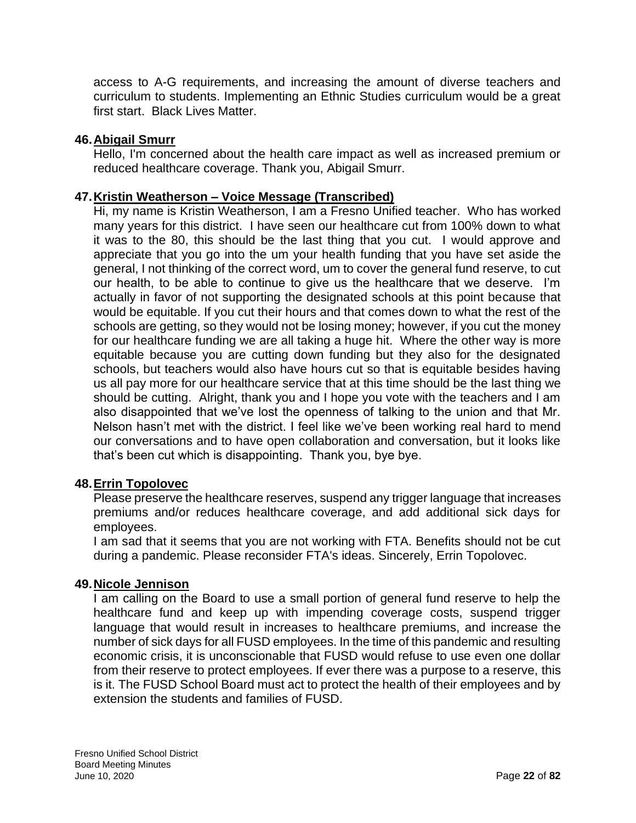access to A-G requirements, and increasing the amount of diverse teachers and curriculum to students. Implementing an Ethnic Studies curriculum would be a great first start. Black Lives Matter.

## **46.Abigail Smurr**

Hello, I'm concerned about the health care impact as well as increased premium or reduced healthcare coverage. Thank you, Abigail Smurr.

# **47.Kristin Weatherson – Voice Message (Transcribed)**

Hi, my name is Kristin Weatherson, I am a Fresno Unified teacher. Who has worked many years for this district. I have seen our healthcare cut from 100% down to what it was to the 80, this should be the last thing that you cut. I would approve and appreciate that you go into the um your health funding that you have set aside the general, I not thinking of the correct word, um to cover the general fund reserve, to cut our health, to be able to continue to give us the healthcare that we deserve. I'm actually in favor of not supporting the designated schools at this point because that would be equitable. If you cut their hours and that comes down to what the rest of the schools are getting, so they would not be losing money; however, if you cut the money for our healthcare funding we are all taking a huge hit. Where the other way is more equitable because you are cutting down funding but they also for the designated schools, but teachers would also have hours cut so that is equitable besides having us all pay more for our healthcare service that at this time should be the last thing we should be cutting. Alright, thank you and I hope you vote with the teachers and I am also disappointed that we've lost the openness of talking to the union and that Mr. Nelson hasn't met with the district. I feel like we've been working real hard to mend our conversations and to have open collaboration and conversation, but it looks like that's been cut which is disappointing. Thank you, bye bye.

## **48.Errin Topolovec**

Please preserve the healthcare reserves, suspend any trigger language that increases premiums and/or reduces healthcare coverage, and add additional sick days for employees.

I am sad that it seems that you are not working with FTA. Benefits should not be cut during a pandemic. Please reconsider FTA's ideas. Sincerely, Errin Topolovec.

## **49.Nicole Jennison**

I am calling on the Board to use a small portion of general fund reserve to help the healthcare fund and keep up with impending coverage costs, suspend trigger language that would result in increases to healthcare premiums, and increase the number of sick days for all FUSD employees. In the time of this pandemic and resulting economic crisis, it is unconscionable that FUSD would refuse to use even one dollar from their reserve to protect employees. If ever there was a purpose to a reserve, this is it. The FUSD School Board must act to protect the health of their employees and by extension the students and families of FUSD.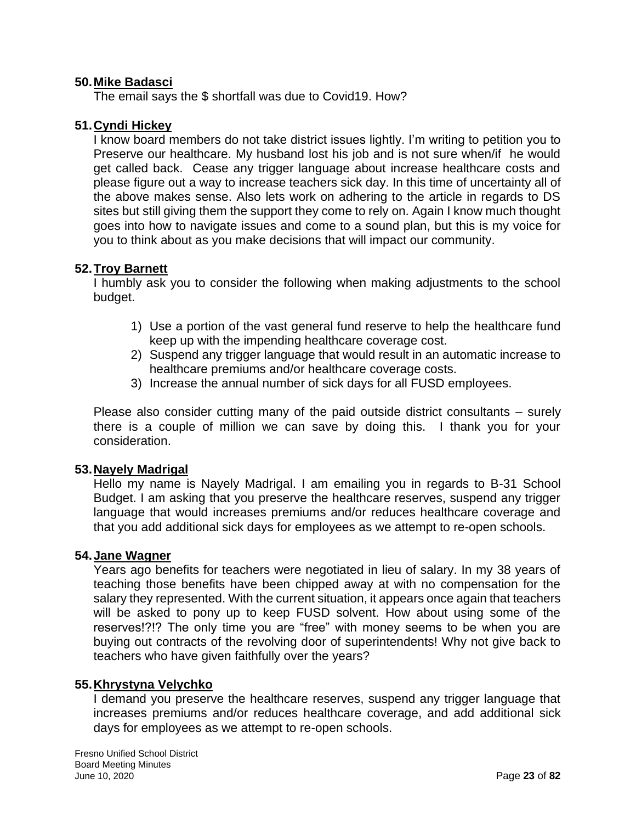### **50.Mike Badasci**

The email says the \$ shortfall was due to Covid19. How?

### **51.Cyndi Hickey**

I know board members do not take district issues lightly. I'm writing to petition you to Preserve our healthcare. My husband lost his job and is not sure when/if he would get called back. Cease any trigger language about increase healthcare costs and please figure out a way to increase teachers sick day. In this time of uncertainty all of the above makes sense. Also lets work on adhering to the article in regards to DS sites but still giving them the support they come to rely on. Again I know much thought goes into how to navigate issues and come to a sound plan, but this is my voice for you to think about as you make decisions that will impact our community.

## **52.Troy Barnett**

I humbly ask you to consider the following when making adjustments to the school budget.

- 1) Use a portion of the vast general fund reserve to help the healthcare fund keep up with the impending healthcare coverage cost.
- 2) Suspend any trigger language that would result in an automatic increase to healthcare premiums and/or healthcare coverage costs.
- 3) Increase the annual number of sick days for all FUSD employees.

Please also consider cutting many of the paid outside district consultants – surely there is a couple of million we can save by doing this. I thank you for your consideration.

#### **53.Nayely Madrigal**

Hello my name is Nayely Madrigal. I am emailing you in regards to B-31 School Budget. I am asking that you preserve the healthcare reserves, suspend any trigger language that would increases premiums and/or reduces healthcare coverage and that you add additional sick days for employees as we attempt to re-open schools.

#### **54.Jane Wagner**

Years ago benefits for teachers were negotiated in lieu of salary. In my 38 years of teaching those benefits have been chipped away at with no compensation for the salary they represented. With the current situation, it appears once again that teachers will be asked to pony up to keep FUSD solvent. How about using some of the reserves!?!? The only time you are "free" with money seems to be when you are buying out contracts of the revolving door of superintendents! Why not give back to teachers who have given faithfully over the years?

#### **55.Khrystyna Velychko**

I demand you preserve the healthcare reserves, suspend any trigger language that increases premiums and/or reduces healthcare coverage, and add additional sick days for employees as we attempt to re-open schools.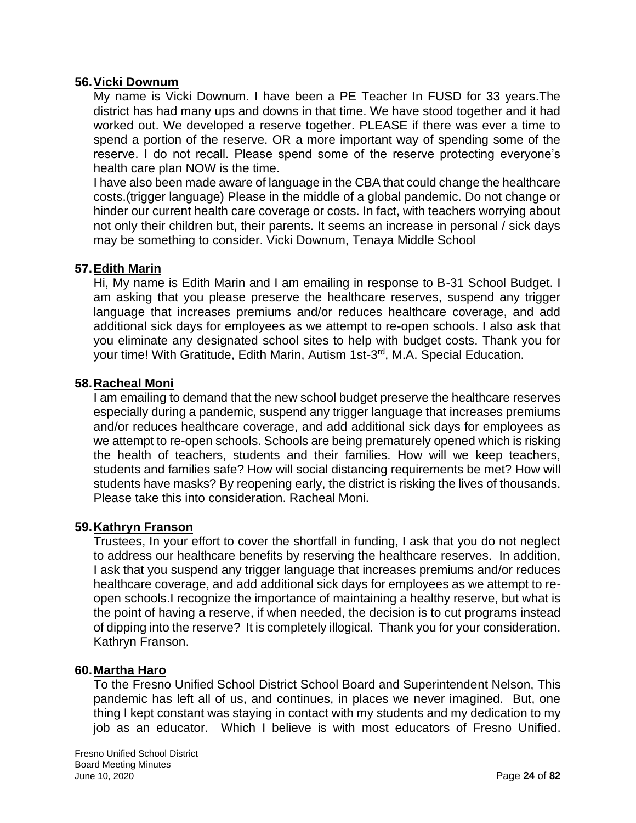### **56.Vicki Downum**

My name is Vicki Downum. I have been a PE Teacher In FUSD for 33 years.The district has had many ups and downs in that time. We have stood together and it had worked out. We developed a reserve together. PLEASE if there was ever a time to spend a portion of the reserve. OR a more important way of spending some of the reserve. I do not recall. Please spend some of the reserve protecting everyone's health care plan NOW is the time.

I have also been made aware of language in the CBA that could change the healthcare costs.(trigger language) Please in the middle of a global pandemic. Do not change or hinder our current health care coverage or costs. In fact, with teachers worrying about not only their children but, their parents. It seems an increase in personal / sick days may be something to consider. Vicki Downum, Tenaya Middle School

### **57.Edith Marin**

Hi, My name is Edith Marin and I am emailing in response to B-31 School Budget. I am asking that you please preserve the healthcare reserves, suspend any trigger language that increases premiums and/or reduces healthcare coverage, and add additional sick days for employees as we attempt to re-open schools. I also ask that you eliminate any designated school sites to help with budget costs. Thank you for your time! With Gratitude, Edith Marin, Autism 1st-3<sup>rd</sup>, M.A. Special Education.

### **58.Racheal Moni**

I am emailing to demand that the new school budget preserve the healthcare reserves especially during a pandemic, suspend any trigger language that increases premiums and/or reduces healthcare coverage, and add additional sick days for employees as we attempt to re-open schools. Schools are being prematurely opened which is risking the health of teachers, students and their families. How will we keep teachers, students and families safe? How will social distancing requirements be met? How will students have masks? By reopening early, the district is risking the lives of thousands. Please take this into consideration. Racheal Moni.

## **59.Kathryn Franson**

Trustees, In your effort to cover the shortfall in funding, I ask that you do not neglect to address our healthcare benefits by reserving the healthcare reserves. In addition, I ask that you suspend any trigger language that increases premiums and/or reduces healthcare coverage, and add additional sick days for employees as we attempt to reopen schools.I recognize the importance of maintaining a healthy reserve, but what is the point of having a reserve, if when needed, the decision is to cut programs instead of dipping into the reserve? It is completely illogical. Thank you for your consideration. Kathryn Franson.

## **60.Martha Haro**

To the Fresno Unified School District School Board and Superintendent Nelson, This pandemic has left all of us, and continues, in places we never imagined. But, one thing I kept constant was staying in contact with my students and my dedication to my job as an educator. Which I believe is with most educators of Fresno Unified.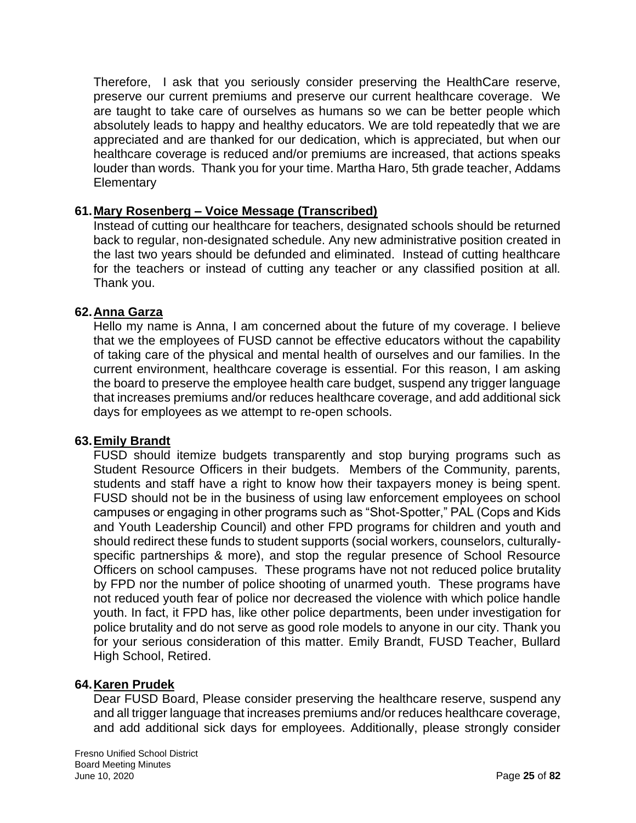Therefore, I ask that you seriously consider preserving the HealthCare reserve, preserve our current premiums and preserve our current healthcare coverage. We are taught to take care of ourselves as humans so we can be better people which absolutely leads to happy and healthy educators. We are told repeatedly that we are appreciated and are thanked for our dedication, which is appreciated, but when our healthcare coverage is reduced and/or premiums are increased, that actions speaks louder than words. Thank you for your time. Martha Haro, 5th grade teacher, Addams **Elementary** 

### **61.Mary Rosenberg – Voice Message (Transcribed)**

Instead of cutting our healthcare for teachers, designated schools should be returned back to regular, non-designated schedule. Any new administrative position created in the last two years should be defunded and eliminated. Instead of cutting healthcare for the teachers or instead of cutting any teacher or any classified position at all. Thank you.

### **62.Anna Garza**

Hello my name is Anna, I am concerned about the future of my coverage. I believe that we the employees of FUSD cannot be effective educators without the capability of taking care of the physical and mental health of ourselves and our families. In the current environment, healthcare coverage is essential. For this reason, I am asking the board to preserve the employee health care budget, suspend any trigger language that increases premiums and/or reduces healthcare coverage, and add additional sick days for employees as we attempt to re-open schools.

#### **63.Emily Brandt**

FUSD should itemize budgets transparently and stop burying programs such as Student Resource Officers in their budgets. Members of the Community, parents, students and staff have a right to know how their taxpayers money is being spent. FUSD should not be in the business of using law enforcement employees on school campuses or engaging in other programs such as "Shot-Spotter," PAL (Cops and Kids and Youth Leadership Council) and other FPD programs for children and youth and should redirect these funds to student supports (social workers, counselors, culturallyspecific partnerships & more), and stop the regular presence of School Resource Officers on school campuses. These programs have not not reduced police brutality by FPD nor the number of police shooting of unarmed youth. These programs have not reduced youth fear of police nor decreased the violence with which police handle youth. In fact, it FPD has, like other police departments, been under investigation for police brutality and do not serve as good role models to anyone in our city. Thank you for your serious consideration of this matter. Emily Brandt, FUSD Teacher, Bullard High School, Retired.

#### **64.Karen Prudek**

Dear FUSD Board, Please consider preserving the healthcare reserve, suspend any and all trigger language that increases premiums and/or reduces healthcare coverage, and add additional sick days for employees. Additionally, please strongly consider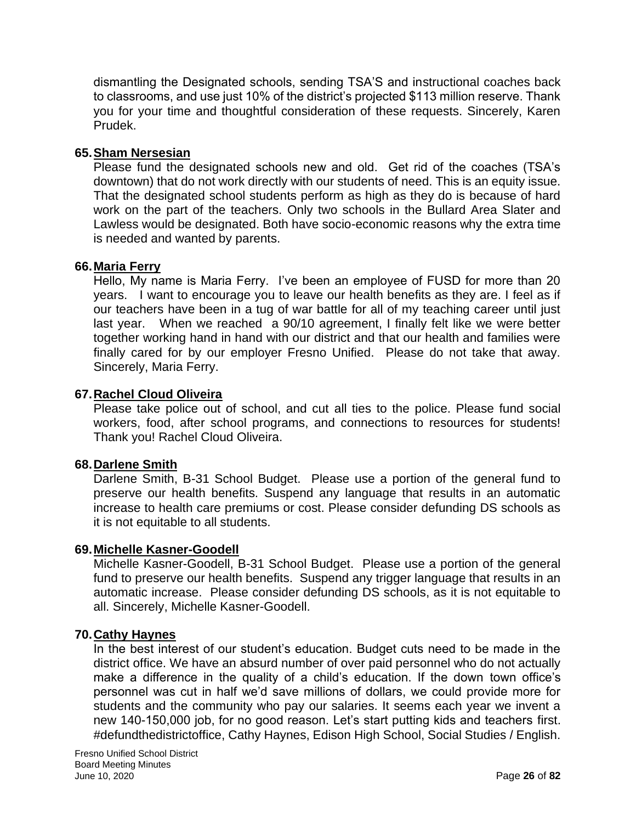dismantling the Designated schools, sending TSA'S and instructional coaches back to classrooms, and use just 10% of the district's projected \$113 million reserve. Thank you for your time and thoughtful consideration of these requests. Sincerely, Karen Prudek.

## **65.Sham Nersesian**

Please fund the designated schools new and old. Get rid of the coaches (TSA's downtown) that do not work directly with our students of need. This is an equity issue. That the designated school students perform as high as they do is because of hard work on the part of the teachers. Only two schools in the Bullard Area Slater and Lawless would be designated. Both have socio-economic reasons why the extra time is needed and wanted by parents.

## **66.Maria Ferry**

Hello, My name is Maria Ferry. I've been an employee of FUSD for more than 20 years. I want to encourage you to leave our health benefits as they are. I feel as if our teachers have been in a tug of war battle for all of my teaching career until just last year. When we reached a 90/10 agreement, I finally felt like we were better together working hand in hand with our district and that our health and families were finally cared for by our employer Fresno Unified. Please do not take that away. Sincerely, Maria Ferry.

## **67.Rachel Cloud Oliveira**

Please take police out of school, and cut all ties to the police. Please fund social workers, food, after school programs, and connections to resources for students! Thank you! Rachel Cloud Oliveira.

## **68.Darlene Smith**

Darlene Smith, B-31 School Budget. Please use a portion of the general fund to preserve our health benefits. Suspend any language that results in an automatic increase to health care premiums or cost. Please consider defunding DS schools as it is not equitable to all students.

## **69.Michelle Kasner-Goodell**

Michelle Kasner-Goodell, B-31 School Budget. Please use a portion of the general fund to preserve our health benefits. Suspend any trigger language that results in an automatic increase. Please consider defunding DS schools, as it is not equitable to all. Sincerely, Michelle Kasner-Goodell.

## **70.Cathy Haynes**

In the best interest of our student's education. Budget cuts need to be made in the district office. We have an absurd number of over paid personnel who do not actually make a difference in the quality of a child's education. If the down town office's personnel was cut in half we'd save millions of dollars, we could provide more for students and the community who pay our salaries. It seems each year we invent a new 140-150,000 job, for no good reason. Let's start putting kids and teachers first. #defundthedistrictoffice, Cathy Haynes, Edison High School, Social Studies / English.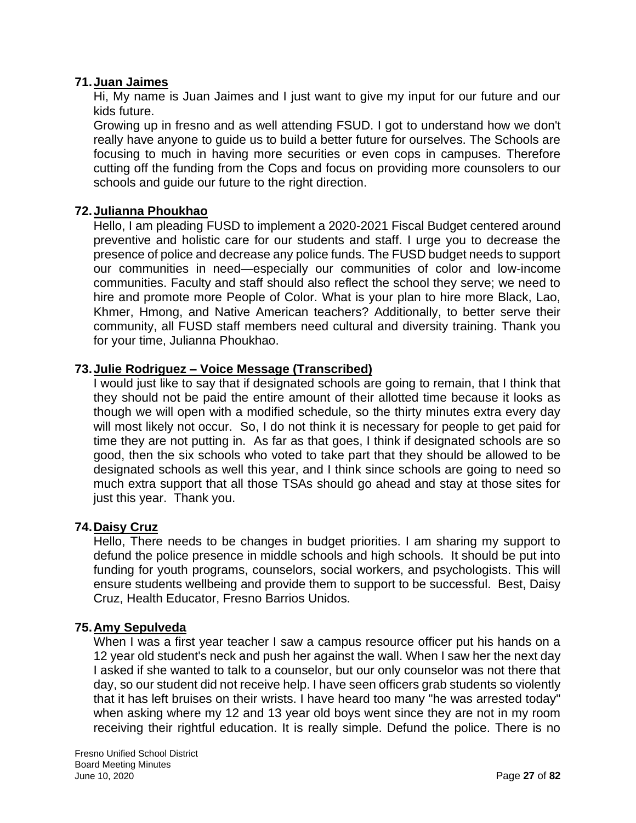## **71.Juan Jaimes**

Hi, My name is Juan Jaimes and I just want to give my input for our future and our kids future.

Growing up in fresno and as well attending FSUD. I got to understand how we don't really have anyone to guide us to build a better future for ourselves. The Schools are focusing to much in having more securities or even cops in campuses. Therefore cutting off the funding from the Cops and focus on providing more counsolers to our schools and guide our future to the right direction.

# **72.Julianna Phoukhao**

Hello, I am pleading FUSD to implement a 2020-2021 Fiscal Budget centered around preventive and holistic care for our students and staff. I urge you to decrease the presence of police and decrease any police funds. The FUSD budget needs to support our communities in need—especially our communities of color and low-income communities. Faculty and staff should also reflect the school they serve; we need to hire and promote more People of Color. What is your plan to hire more Black, Lao, Khmer, Hmong, and Native American teachers? Additionally, to better serve their community, all FUSD staff members need cultural and diversity training. Thank you for your time, Julianna Phoukhao.

# **73.Julie Rodriguez – Voice Message (Transcribed)**

I would just like to say that if designated schools are going to remain, that I think that they should not be paid the entire amount of their allotted time because it looks as though we will open with a modified schedule, so the thirty minutes extra every day will most likely not occur. So, I do not think it is necessary for people to get paid for time they are not putting in. As far as that goes, I think if designated schools are so good, then the six schools who voted to take part that they should be allowed to be designated schools as well this year, and I think since schools are going to need so much extra support that all those TSAs should go ahead and stay at those sites for just this year. Thank you.

## **74.Daisy Cruz**

Hello, There needs to be changes in budget priorities. I am sharing my support to defund the police presence in middle schools and high schools. It should be put into funding for youth programs, counselors, social workers, and psychologists. This will ensure students wellbeing and provide them to support to be successful. Best, Daisy Cruz, Health Educator, Fresno Barrios Unidos.

## **75.Amy Sepulveda**

When I was a first year teacher I saw a campus resource officer put his hands on a 12 year old student's neck and push her against the wall. When I saw her the next day I asked if she wanted to talk to a counselor, but our only counselor was not there that day, so our student did not receive help. I have seen officers grab students so violently that it has left bruises on their wrists. I have heard too many "he was arrested today" when asking where my 12 and 13 year old boys went since they are not in my room receiving their rightful education. It is really simple. Defund the police. There is no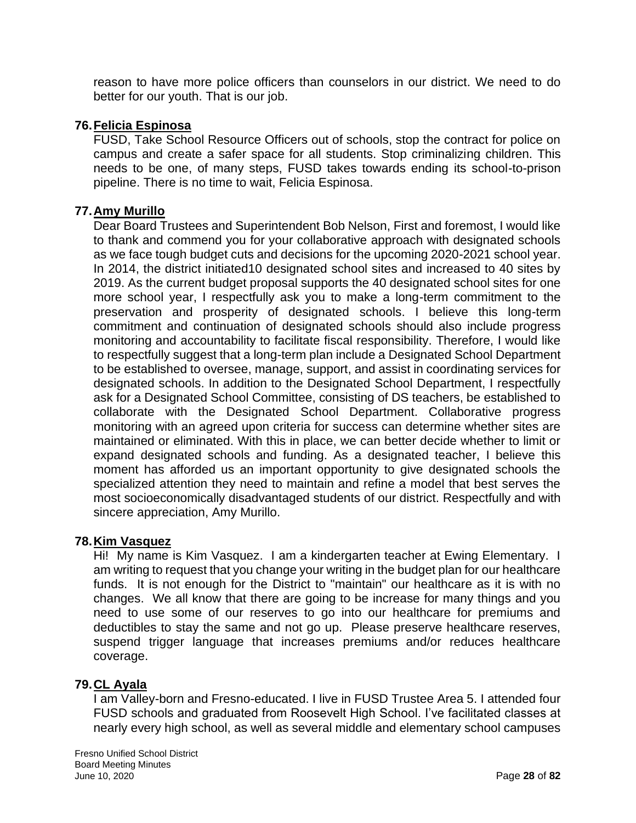reason to have more police officers than counselors in our district. We need to do better for our youth. That is our job.

## **76.Felicia Espinosa**

FUSD, Take School Resource Officers out of schools, stop the contract for police on campus and create a safer space for all students. Stop criminalizing children. This needs to be one, of many steps, FUSD takes towards ending its school-to-prison pipeline. There is no time to wait, Felicia Espinosa.

## **77.Amy Murillo**

Dear Board Trustees and Superintendent Bob Nelson, First and foremost, I would like to thank and commend you for your collaborative approach with designated schools as we face tough budget cuts and decisions for the upcoming 2020-2021 school year. In 2014, the district initiated10 designated school sites and increased to 40 sites by 2019. As the current budget proposal supports the 40 designated school sites for one more school year, I respectfully ask you to make a long-term commitment to the preservation and prosperity of designated schools. I believe this long-term commitment and continuation of designated schools should also include progress monitoring and accountability to facilitate fiscal responsibility. Therefore, I would like to respectfully suggest that a long-term plan include a Designated School Department to be established to oversee, manage, support, and assist in coordinating services for designated schools. In addition to the Designated School Department, I respectfully ask for a Designated School Committee, consisting of DS teachers, be established to collaborate with the Designated School Department. Collaborative progress monitoring with an agreed upon criteria for success can determine whether sites are maintained or eliminated. With this in place, we can better decide whether to limit or expand designated schools and funding. As a designated teacher, I believe this moment has afforded us an important opportunity to give designated schools the specialized attention they need to maintain and refine a model that best serves the most socioeconomically disadvantaged students of our district. Respectfully and with sincere appreciation, Amy Murillo.

## **78.Kim Vasquez**

Hi! My name is Kim Vasquez. I am a kindergarten teacher at Ewing Elementary. I am writing to request that you change your writing in the budget plan for our healthcare funds. It is not enough for the District to "maintain" our healthcare as it is with no changes. We all know that there are going to be increase for many things and you need to use some of our reserves to go into our healthcare for premiums and deductibles to stay the same and not go up. Please preserve healthcare reserves, suspend trigger language that increases premiums and/or reduces healthcare coverage.

## **79.CL Ayala**

I am Valley-born and Fresno-educated. I live in FUSD Trustee Area 5. I attended four FUSD schools and graduated from Roosevelt High School. I've facilitated classes at nearly every high school, as well as several middle and elementary school campuses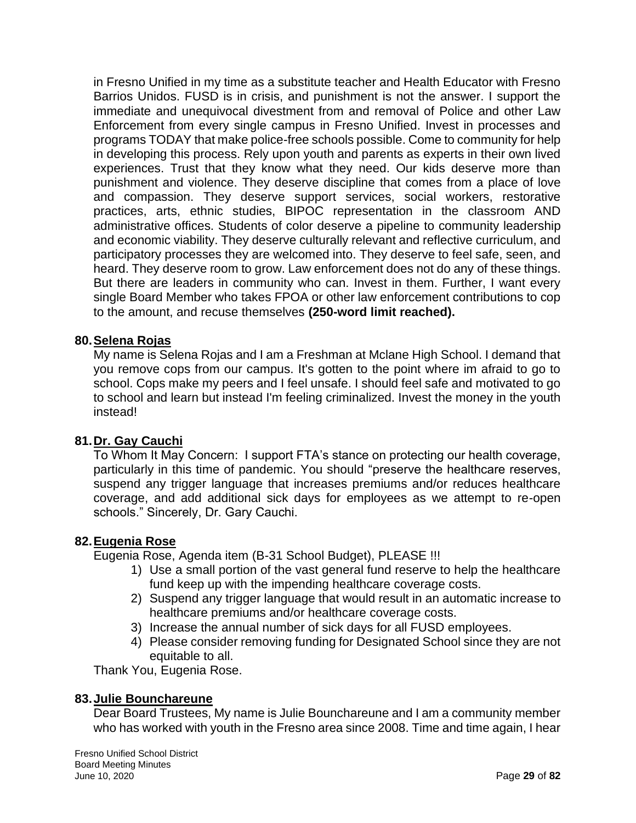in Fresno Unified in my time as a substitute teacher and Health Educator with Fresno Barrios Unidos. FUSD is in crisis, and punishment is not the answer. I support the immediate and unequivocal divestment from and removal of Police and other Law Enforcement from every single campus in Fresno Unified. Invest in processes and programs TODAY that make police-free schools possible. Come to community for help in developing this process. Rely upon youth and parents as experts in their own lived experiences. Trust that they know what they need. Our kids deserve more than punishment and violence. They deserve discipline that comes from a place of love and compassion. They deserve support services, social workers, restorative practices, arts, ethnic studies, BIPOC representation in the classroom AND administrative offices. Students of color deserve a pipeline to community leadership and economic viability. They deserve culturally relevant and reflective curriculum, and participatory processes they are welcomed into. They deserve to feel safe, seen, and heard. They deserve room to grow. Law enforcement does not do any of these things. But there are leaders in community who can. Invest in them. Further, I want every single Board Member who takes FPOA or other law enforcement contributions to cop to the amount, and recuse themselves **(250-word limit reached).**

## **80.Selena Rojas**

My name is Selena Rojas and I am a Freshman at Mclane High School. I demand that you remove cops from our campus. It's gotten to the point where im afraid to go to school. Cops make my peers and I feel unsafe. I should feel safe and motivated to go to school and learn but instead I'm feeling criminalized. Invest the money in the youth instead!

## **81.Dr. Gay Cauchi**

To Whom It May Concern: I support FTA's stance on protecting our health coverage, particularly in this time of pandemic. You should "preserve the healthcare reserves, suspend any trigger language that increases premiums and/or reduces healthcare coverage, and add additional sick days for employees as we attempt to re-open schools." Sincerely, Dr. Gary Cauchi.

#### **82.Eugenia Rose**

Eugenia Rose, Agenda item (B-31 School Budget), PLEASE !!!

- 1) Use a small portion of the vast general fund reserve to help the healthcare fund keep up with the impending healthcare coverage costs.
- 2) Suspend any trigger language that would result in an automatic increase to healthcare premiums and/or healthcare coverage costs.
- 3) Increase the annual number of sick days for all FUSD employees.
- 4) Please consider removing funding for Designated School since they are not equitable to all.

Thank You, Eugenia Rose.

## **83.Julie Bounchareune**

Dear Board Trustees, My name is Julie Bounchareune and I am a community member who has worked with youth in the Fresno area since 2008. Time and time again, I hear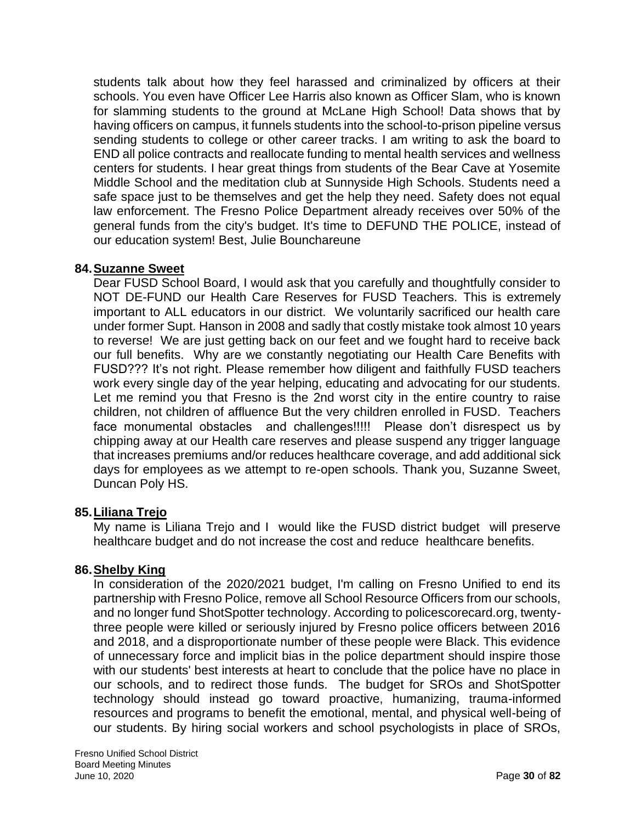students talk about how they feel harassed and criminalized by officers at their schools. You even have Officer Lee Harris also known as Officer Slam, who is known for slamming students to the ground at McLane High School! Data shows that by having officers on campus, it funnels students into the school-to-prison pipeline versus sending students to college or other career tracks. I am writing to ask the board to END all police contracts and reallocate funding to mental health services and wellness centers for students. I hear great things from students of the Bear Cave at Yosemite Middle School and the meditation club at Sunnyside High Schools. Students need a safe space just to be themselves and get the help they need. Safety does not equal law enforcement. The Fresno Police Department already receives over 50% of the general funds from the city's budget. It's time to DEFUND THE POLICE, instead of our education system! Best, Julie Bounchareune

## **84.Suzanne Sweet**

Dear FUSD School Board, I would ask that you carefully and thoughtfully consider to NOT DE-FUND our Health Care Reserves for FUSD Teachers. This is extremely important to ALL educators in our district. We voluntarily sacrificed our health care under former Supt. Hanson in 2008 and sadly that costly mistake took almost 10 years to reverse! We are just getting back on our feet and we fought hard to receive back our full benefits. Why are we constantly negotiating our Health Care Benefits with FUSD??? It's not right. Please remember how diligent and faithfully FUSD teachers work every single day of the year helping, educating and advocating for our students. Let me remind you that Fresno is the 2nd worst city in the entire country to raise children, not children of affluence But the very children enrolled in FUSD. Teachers face monumental obstacles and challenges!!!!! Please don't disrespect us by chipping away at our Health care reserves and please suspend any trigger language that increases premiums and/or reduces healthcare coverage, and add additional sick days for employees as we attempt to re-open schools. Thank you, Suzanne Sweet, Duncan Poly HS.

## **85.Liliana Trejo**

My name is Liliana Trejo and I would like the FUSD district budget will preserve healthcare budget and do not increase the cost and reduce healthcare benefits.

# **86.Shelby King**

In consideration of the 2020/2021 budget, I'm calling on Fresno Unified to end its partnership with Fresno Police, remove all School Resource Officers from our schools, and no longer fund ShotSpotter technology. According to policescorecard.org, twentythree people were killed or seriously injured by Fresno police officers between 2016 and 2018, and a disproportionate number of these people were Black. This evidence of unnecessary force and implicit bias in the police department should inspire those with our students' best interests at heart to conclude that the police have no place in our schools, and to redirect those funds. The budget for SROs and ShotSpotter technology should instead go toward proactive, humanizing, trauma-informed resources and programs to benefit the emotional, mental, and physical well-being of our students. By hiring social workers and school psychologists in place of SROs,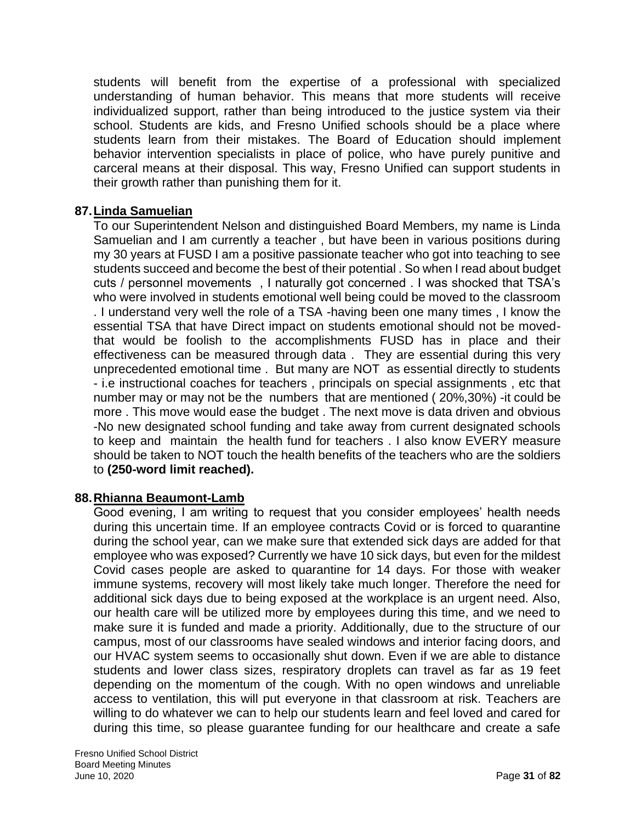students will benefit from the expertise of a professional with specialized understanding of human behavior. This means that more students will receive individualized support, rather than being introduced to the justice system via their school. Students are kids, and Fresno Unified schools should be a place where students learn from their mistakes. The Board of Education should implement behavior intervention specialists in place of police, who have purely punitive and carceral means at their disposal. This way, Fresno Unified can support students in their growth rather than punishing them for it.

## **87.Linda Samuelian**

To our Superintendent Nelson and distinguished Board Members, my name is Linda Samuelian and I am currently a teacher , but have been in various positions during my 30 years at FUSD I am a positive passionate teacher who got into teaching to see students succeed and become the best of their potential . So when I read about budget cuts / personnel movements , I naturally got concerned . I was shocked that TSA's who were involved in students emotional well being could be moved to the classroom . I understand very well the role of a TSA -having been one many times , I know the essential TSA that have Direct impact on students emotional should not be movedthat would be foolish to the accomplishments FUSD has in place and their effectiveness can be measured through data . They are essential during this very unprecedented emotional time . But many are NOT as essential directly to students - i.e instructional coaches for teachers , principals on special assignments , etc that number may or may not be the numbers that are mentioned ( 20%,30%) -it could be more . This move would ease the budget . The next move is data driven and obvious -No new designated school funding and take away from current designated schools to keep and maintain the health fund for teachers . I also know EVERY measure should be taken to NOT touch the health benefits of the teachers who are the soldiers to **(250-word limit reached).**

## **88.Rhianna Beaumont-Lamb**

Good evening, I am writing to request that you consider employees' health needs during this uncertain time. If an employee contracts Covid or is forced to quarantine during the school year, can we make sure that extended sick days are added for that employee who was exposed? Currently we have 10 sick days, but even for the mildest Covid cases people are asked to quarantine for 14 days. For those with weaker immune systems, recovery will most likely take much longer. Therefore the need for additional sick days due to being exposed at the workplace is an urgent need. Also, our health care will be utilized more by employees during this time, and we need to make sure it is funded and made a priority. Additionally, due to the structure of our campus, most of our classrooms have sealed windows and interior facing doors, and our HVAC system seems to occasionally shut down. Even if we are able to distance students and lower class sizes, respiratory droplets can travel as far as 19 feet depending on the momentum of the cough. With no open windows and unreliable access to ventilation, this will put everyone in that classroom at risk. Teachers are willing to do whatever we can to help our students learn and feel loved and cared for during this time, so please guarantee funding for our healthcare and create a safe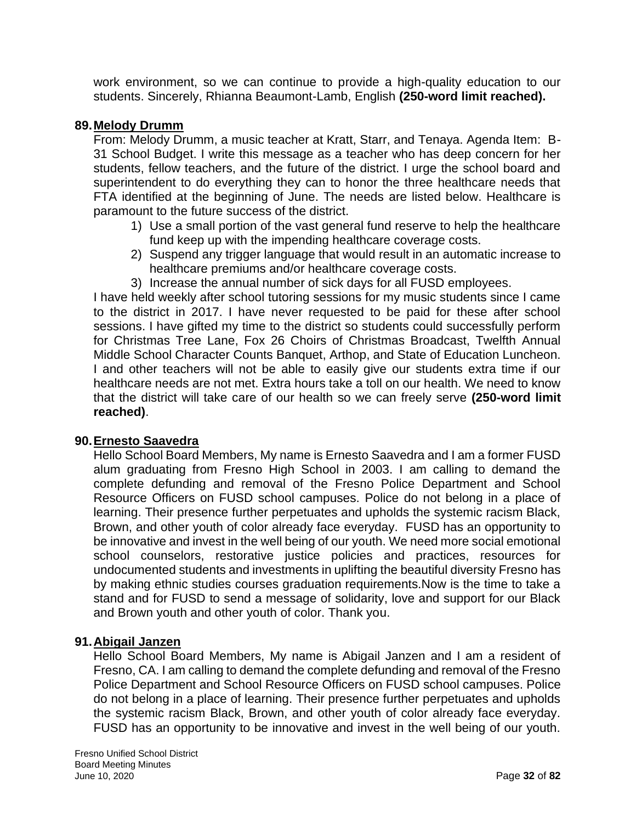work environment, so we can continue to provide a high-quality education to our students. Sincerely, Rhianna Beaumont-Lamb, English **(250-word limit reached).**

### **89.Melody Drumm**

From: Melody Drumm, a music teacher at Kratt, Starr, and Tenaya. Agenda Item: B-31 School Budget. I write this message as a teacher who has deep concern for her students, fellow teachers, and the future of the district. I urge the school board and superintendent to do everything they can to honor the three healthcare needs that FTA identified at the beginning of June. The needs are listed below. Healthcare is paramount to the future success of the district.

- 1) Use a small portion of the vast general fund reserve to help the healthcare fund keep up with the impending healthcare coverage costs.
- 2) Suspend any trigger language that would result in an automatic increase to healthcare premiums and/or healthcare coverage costs.
- 3) Increase the annual number of sick days for all FUSD employees.

I have held weekly after school tutoring sessions for my music students since I came to the district in 2017. I have never requested to be paid for these after school sessions. I have gifted my time to the district so students could successfully perform for Christmas Tree Lane, Fox 26 Choirs of Christmas Broadcast, Twelfth Annual Middle School Character Counts Banquet, Arthop, and State of Education Luncheon. I and other teachers will not be able to easily give our students extra time if our healthcare needs are not met. Extra hours take a toll on our health. We need to know that the district will take care of our health so we can freely serve **(250-word limit reached)**.

## **90.Ernesto Saavedra**

Hello School Board Members, My name is Ernesto Saavedra and I am a former FUSD alum graduating from Fresno High School in 2003. I am calling to demand the complete defunding and removal of the Fresno Police Department and School Resource Officers on FUSD school campuses. Police do not belong in a place of learning. Their presence further perpetuates and upholds the systemic racism Black, Brown, and other youth of color already face everyday. FUSD has an opportunity to be innovative and invest in the well being of our youth. We need more social emotional school counselors, restorative justice policies and practices, resources for undocumented students and investments in uplifting the beautiful diversity Fresno has by making ethnic studies courses graduation requirements.Now is the time to take a stand and for FUSD to send a message of solidarity, love and support for our Black and Brown youth and other youth of color. Thank you.

#### **91.Abigail Janzen**

Hello School Board Members, My name is Abigail Janzen and I am a resident of Fresno, CA. I am calling to demand the complete defunding and removal of the Fresno Police Department and School Resource Officers on FUSD school campuses. Police do not belong in a place of learning. Their presence further perpetuates and upholds the systemic racism Black, Brown, and other youth of color already face everyday. FUSD has an opportunity to be innovative and invest in the well being of our youth.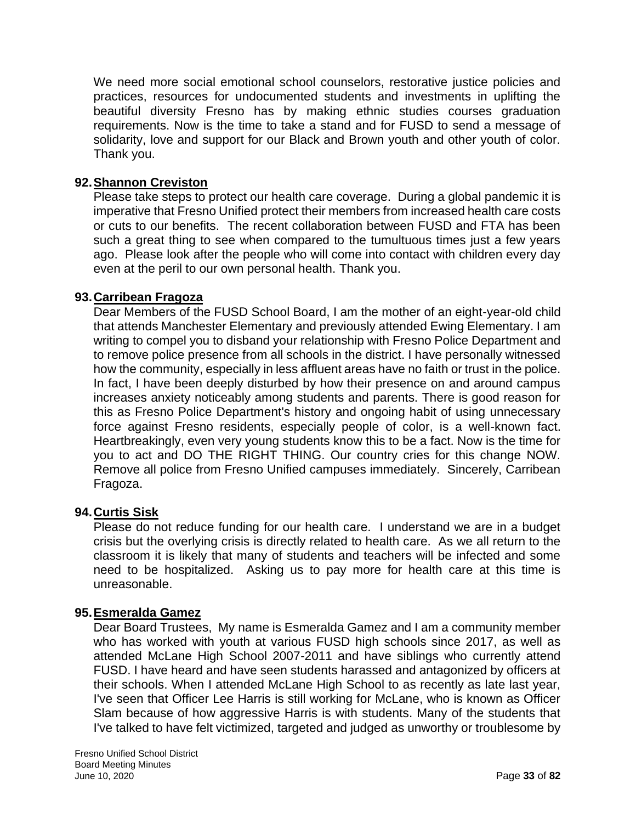We need more social emotional school counselors, restorative justice policies and practices, resources for undocumented students and investments in uplifting the beautiful diversity Fresno has by making ethnic studies courses graduation requirements. Now is the time to take a stand and for FUSD to send a message of solidarity, love and support for our Black and Brown youth and other youth of color. Thank you.

## **92.Shannon Creviston**

Please take steps to protect our health care coverage. During a global pandemic it is imperative that Fresno Unified protect their members from increased health care costs or cuts to our benefits. The recent collaboration between FUSD and FTA has been such a great thing to see when compared to the tumultuous times just a few years ago. Please look after the people who will come into contact with children every day even at the peril to our own personal health. Thank you.

## **93.Carribean Fragoza**

Dear Members of the FUSD School Board, I am the mother of an eight-year-old child that attends Manchester Elementary and previously attended Ewing Elementary. I am writing to compel you to disband your relationship with Fresno Police Department and to remove police presence from all schools in the district. I have personally witnessed how the community, especially in less affluent areas have no faith or trust in the police. In fact, I have been deeply disturbed by how their presence on and around campus increases anxiety noticeably among students and parents. There is good reason for this as Fresno Police Department's history and ongoing habit of using unnecessary force against Fresno residents, especially people of color, is a well-known fact. Heartbreakingly, even very young students know this to be a fact. Now is the time for you to act and DO THE RIGHT THING. Our country cries for this change NOW. Remove all police from Fresno Unified campuses immediately. Sincerely, Carribean Fragoza.

## **94.Curtis Sisk**

Please do not reduce funding for our health care. I understand we are in a budget crisis but the overlying crisis is directly related to health care. As we all return to the classroom it is likely that many of students and teachers will be infected and some need to be hospitalized. Asking us to pay more for health care at this time is unreasonable.

## **95.Esmeralda Gamez**

Dear Board Trustees, My name is Esmeralda Gamez and I am a community member who has worked with youth at various FUSD high schools since 2017, as well as attended McLane High School 2007-2011 and have siblings who currently attend FUSD. I have heard and have seen students harassed and antagonized by officers at their schools. When I attended McLane High School to as recently as late last year, I've seen that Officer Lee Harris is still working for McLane, who is known as Officer Slam because of how aggressive Harris is with students. Many of the students that I've talked to have felt victimized, targeted and judged as unworthy or troublesome by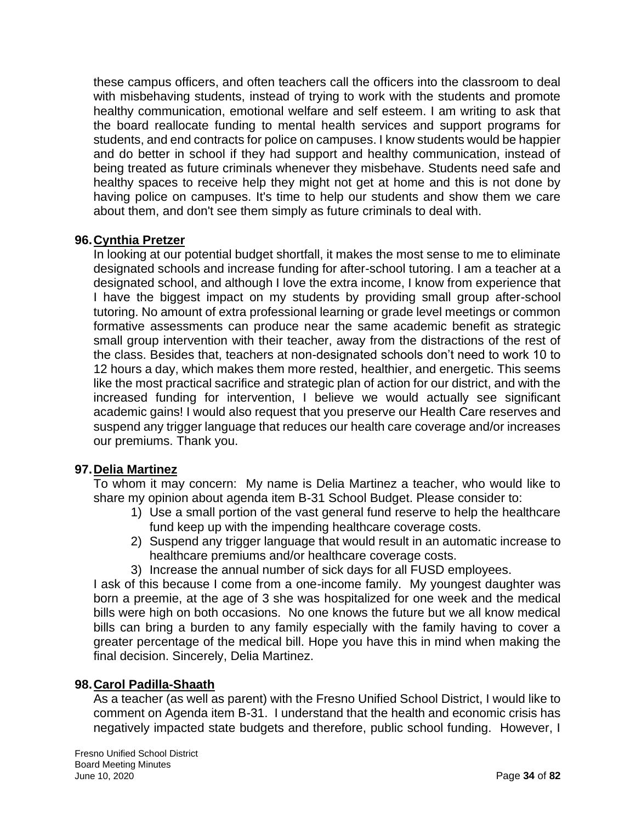these campus officers, and often teachers call the officers into the classroom to deal with misbehaving students, instead of trying to work with the students and promote healthy communication, emotional welfare and self esteem. I am writing to ask that the board reallocate funding to mental health services and support programs for students, and end contracts for police on campuses. I know students would be happier and do better in school if they had support and healthy communication, instead of being treated as future criminals whenever they misbehave. Students need safe and healthy spaces to receive help they might not get at home and this is not done by having police on campuses. It's time to help our students and show them we care about them, and don't see them simply as future criminals to deal with.

# **96.Cynthia Pretzer**

In looking at our potential budget shortfall, it makes the most sense to me to eliminate designated schools and increase funding for after-school tutoring. I am a teacher at a designated school, and although I love the extra income, I know from experience that I have the biggest impact on my students by providing small group after-school tutoring. No amount of extra professional learning or grade level meetings or common formative assessments can produce near the same academic benefit as strategic small group intervention with their teacher, away from the distractions of the rest of the class. Besides that, teachers at non-designated schools don't need to work 10 to 12 hours a day, which makes them more rested, healthier, and energetic. This seems like the most practical sacrifice and strategic plan of action for our district, and with the increased funding for intervention, I believe we would actually see significant academic gains! I would also request that you preserve our Health Care reserves and suspend any trigger language that reduces our health care coverage and/or increases our premiums. Thank you.

## **97.Delia Martinez**

To whom it may concern: My name is Delia Martinez a teacher, who would like to share my opinion about agenda item B-31 School Budget. Please consider to:

- 1) Use a small portion of the vast general fund reserve to help the healthcare fund keep up with the impending healthcare coverage costs.
- 2) Suspend any trigger language that would result in an automatic increase to healthcare premiums and/or healthcare coverage costs.
- 3) Increase the annual number of sick days for all FUSD employees.

I ask of this because I come from a one-income family. My youngest daughter was born a preemie, at the age of 3 she was hospitalized for one week and the medical bills were high on both occasions. No one knows the future but we all know medical bills can bring a burden to any family especially with the family having to cover a greater percentage of the medical bill. Hope you have this in mind when making the final decision. Sincerely, Delia Martinez.

## **98.Carol Padilla-Shaath**

As a teacher (as well as parent) with the Fresno Unified School District, I would like to comment on Agenda item B-31. I understand that the health and economic crisis has negatively impacted state budgets and therefore, public school funding. However, I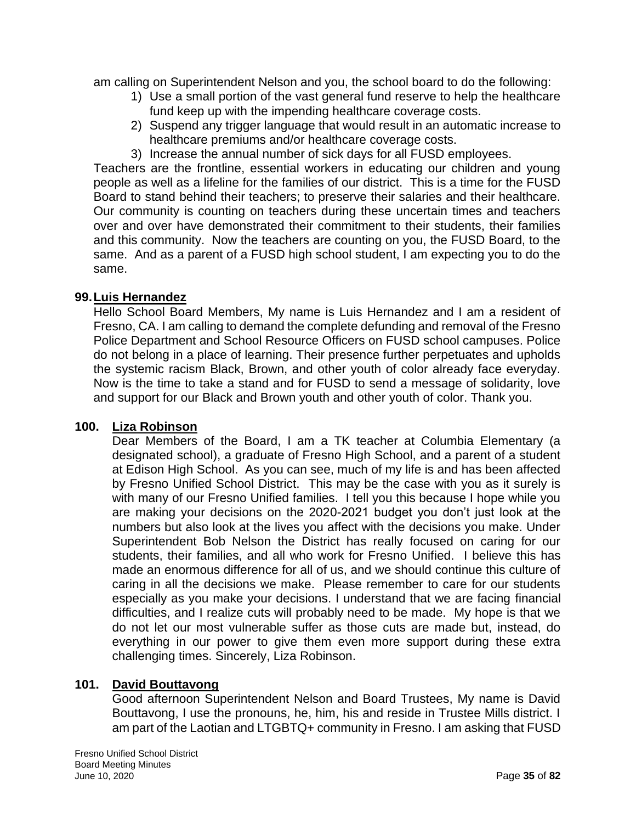am calling on Superintendent Nelson and you, the school board to do the following:

- 1) Use a small portion of the vast general fund reserve to help the healthcare fund keep up with the impending healthcare coverage costs.
- 2) Suspend any trigger language that would result in an automatic increase to healthcare premiums and/or healthcare coverage costs.
- 3) Increase the annual number of sick days for all FUSD employees.

Teachers are the frontline, essential workers in educating our children and young people as well as a lifeline for the families of our district. This is a time for the FUSD Board to stand behind their teachers; to preserve their salaries and their healthcare. Our community is counting on teachers during these uncertain times and teachers over and over have demonstrated their commitment to their students, their families and this community. Now the teachers are counting on you, the FUSD Board, to the same. And as a parent of a FUSD high school student, I am expecting you to do the same.

### **99.Luis Hernandez**

Hello School Board Members, My name is Luis Hernandez and I am a resident of Fresno, CA. I am calling to demand the complete defunding and removal of the Fresno Police Department and School Resource Officers on FUSD school campuses. Police do not belong in a place of learning. Their presence further perpetuates and upholds the systemic racism Black, Brown, and other youth of color already face everyday. Now is the time to take a stand and for FUSD to send a message of solidarity, love and support for our Black and Brown youth and other youth of color. Thank you.

#### **100. Liza Robinson**

Dear Members of the Board, I am a TK teacher at Columbia Elementary (a designated school), a graduate of Fresno High School, and a parent of a student at Edison High School. As you can see, much of my life is and has been affected by Fresno Unified School District. This may be the case with you as it surely is with many of our Fresno Unified families. I tell you this because I hope while you are making your decisions on the 2020-2021 budget you don't just look at the numbers but also look at the lives you affect with the decisions you make. Under Superintendent Bob Nelson the District has really focused on caring for our students, their families, and all who work for Fresno Unified. I believe this has made an enormous difference for all of us, and we should continue this culture of caring in all the decisions we make. Please remember to care for our students especially as you make your decisions. I understand that we are facing financial difficulties, and I realize cuts will probably need to be made. My hope is that we do not let our most vulnerable suffer as those cuts are made but, instead, do everything in our power to give them even more support during these extra challenging times. Sincerely, Liza Robinson.

## **101. David Bouttavong**

Good afternoon Superintendent Nelson and Board Trustees, My name is David Bouttavong, I use the pronouns, he, him, his and reside in Trustee Mills district. I am part of the Laotian and LTGBTQ+ community in Fresno. I am asking that FUSD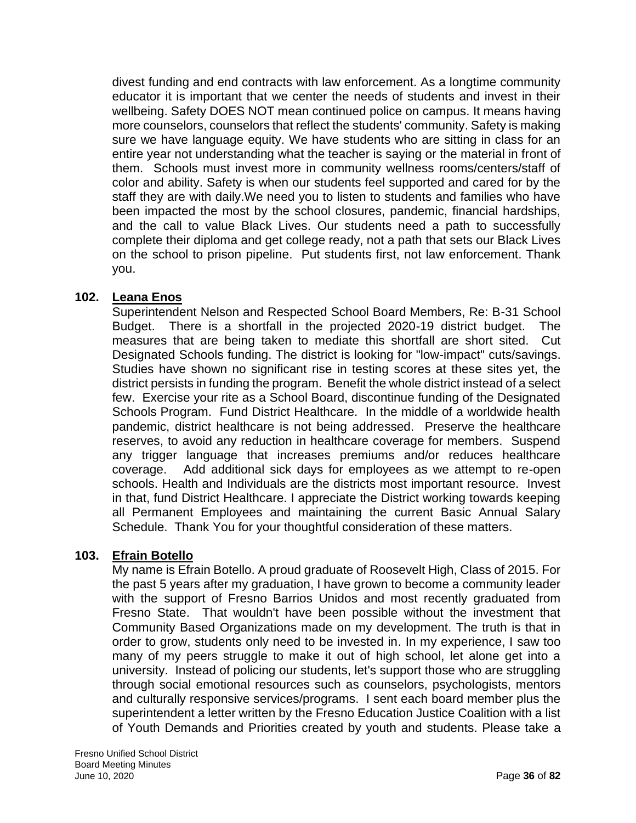divest funding and end contracts with law enforcement. As a longtime community educator it is important that we center the needs of students and invest in their wellbeing. Safety DOES NOT mean continued police on campus. It means having more counselors, counselors that reflect the students' community. Safety is making sure we have language equity. We have students who are sitting in class for an entire year not understanding what the teacher is saying or the material in front of them. Schools must invest more in community wellness rooms/centers/staff of color and ability. Safety is when our students feel supported and cared for by the staff they are with daily.We need you to listen to students and families who have been impacted the most by the school closures, pandemic, financial hardships, and the call to value Black Lives. Our students need a path to successfully complete their diploma and get college ready, not a path that sets our Black Lives on the school to prison pipeline. Put students first, not law enforcement. Thank you.

# **102. Leana Enos**

Superintendent Nelson and Respected School Board Members, Re: B-31 School Budget. There is a shortfall in the projected 2020-19 district budget. The measures that are being taken to mediate this shortfall are short sited. Cut Designated Schools funding. The district is looking for "low-impact" cuts/savings. Studies have shown no significant rise in testing scores at these sites yet, the district persists in funding the program. Benefit the whole district instead of a select few. Exercise your rite as a School Board, discontinue funding of the Designated Schools Program. Fund District Healthcare. In the middle of a worldwide health pandemic, district healthcare is not being addressed. Preserve the healthcare reserves, to avoid any reduction in healthcare coverage for members. Suspend any trigger language that increases premiums and/or reduces healthcare coverage. Add additional sick days for employees as we attempt to re-open schools. Health and Individuals are the districts most important resource. Invest in that, fund District Healthcare. I appreciate the District working towards keeping all Permanent Employees and maintaining the current Basic Annual Salary Schedule. Thank You for your thoughtful consideration of these matters.

## **103. Efrain Botello**

My name is Efrain Botello. A proud graduate of Roosevelt High, Class of 2015. For the past 5 years after my graduation, I have grown to become a community leader with the support of Fresno Barrios Unidos and most recently graduated from Fresno State. That wouldn't have been possible without the investment that Community Based Organizations made on my development. The truth is that in order to grow, students only need to be invested in. In my experience, I saw too many of my peers struggle to make it out of high school, let alone get into a university. Instead of policing our students, let's support those who are struggling through social emotional resources such as counselors, psychologists, mentors and culturally responsive services/programs. I sent each board member plus the superintendent a letter written by the Fresno Education Justice Coalition with a list of Youth Demands and Priorities created by youth and students. Please take a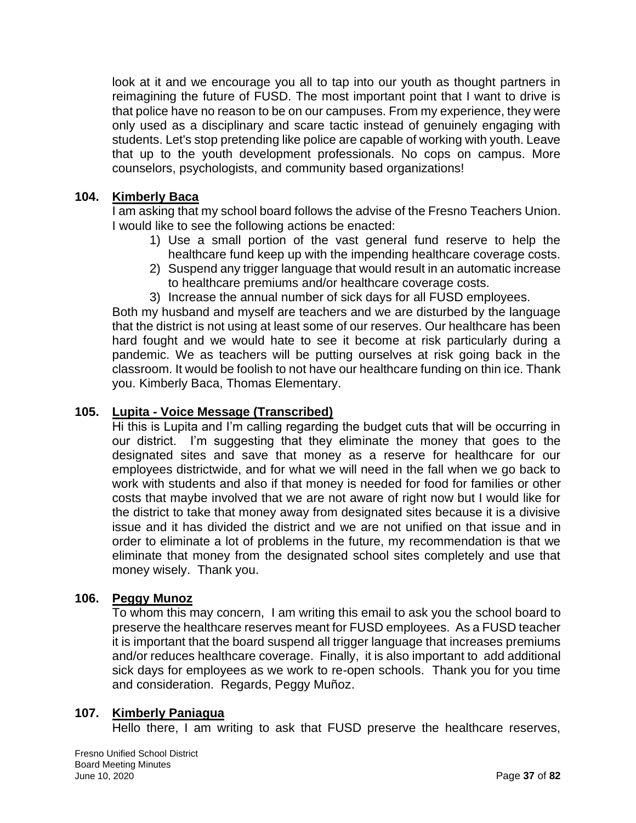look at it and we encourage you all to tap into our youth as thought partners in reimagining the future of FUSD. The most important point that I want to drive is that police have no reason to be on our campuses. From my experience, they were only used as a disciplinary and scare tactic instead of genuinely engaging with students. Let's stop pretending like police are capable of working with youth. Leave that up to the youth development professionals. No cops on campus. More counselors, psychologists, and community based organizations!

### **104. Kimberly Baca**

I am asking that my school board follows the advise of the Fresno Teachers Union. I would like to see the following actions be enacted:

- 1) Use a small portion of the vast general fund reserve to help the healthcare fund keep up with the impending healthcare coverage costs.
- 2) Suspend any trigger language that would result in an automatic increase to healthcare premiums and/or healthcare coverage costs.
- 3) Increase the annual number of sick days for all FUSD employees.

Both my husband and myself are teachers and we are disturbed by the language that the district is not using at least some of our reserves. Our healthcare has been hard fought and we would hate to see it become at risk particularly during a pandemic. We as teachers will be putting ourselves at risk going back in the classroom. It would be foolish to not have our healthcare funding on thin ice. Thank you. Kimberly Baca, Thomas Elementary.

### **105. Lupita - Voice Message (Transcribed)**

Hi this is Lupita and I'm calling regarding the budget cuts that will be occurring in our district. I'm suggesting that they eliminate the money that goes to the designated sites and save that money as a reserve for healthcare for our employees districtwide, and for what we will need in the fall when we go back to work with students and also if that money is needed for food for families or other costs that maybe involved that we are not aware of right now but I would like for the district to take that money away from designated sites because it is a divisive issue and it has divided the district and we are not unified on that issue and in order to eliminate a lot of problems in the future, my recommendation is that we eliminate that money from the designated school sites completely and use that money wisely. Thank you.

### **106. Peggy Munoz**

To whom this may concern, I am writing this email to ask you the school board to preserve the healthcare reserves meant for FUSD employees. As a FUSD teacher it is important that the board suspend all trigger language that increases premiums and/or reduces healthcare coverage. Finally, it is also important to add additional sick days for employees as we work to re-open schools. Thank you for you time and consideration. Regards, Peggy Muñoz.

### **107. Kimberly Paniagua**

Hello there, I am writing to ask that FUSD preserve the healthcare reserves,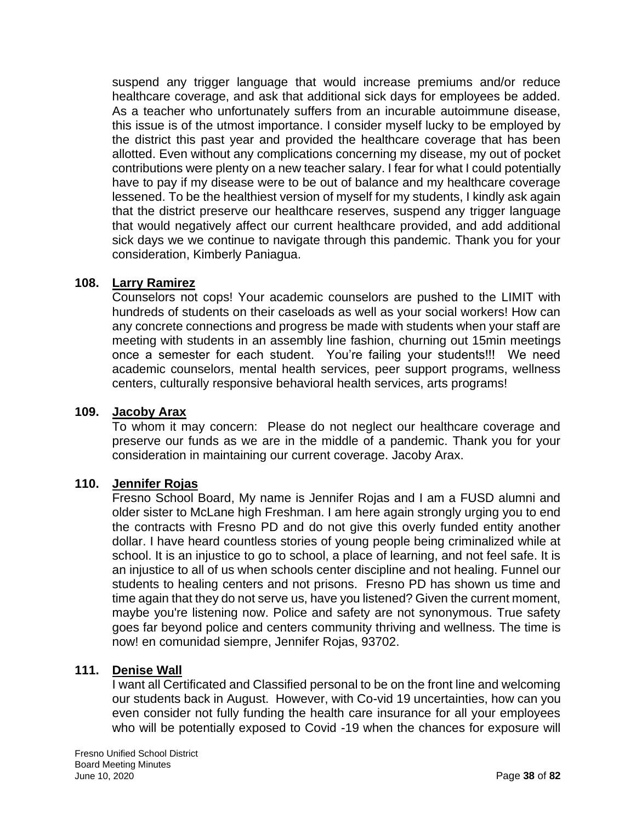suspend any trigger language that would increase premiums and/or reduce healthcare coverage, and ask that additional sick days for employees be added. As a teacher who unfortunately suffers from an incurable autoimmune disease, this issue is of the utmost importance. I consider myself lucky to be employed by the district this past year and provided the healthcare coverage that has been allotted. Even without any complications concerning my disease, my out of pocket contributions were plenty on a new teacher salary. I fear for what I could potentially have to pay if my disease were to be out of balance and my healthcare coverage lessened. To be the healthiest version of myself for my students, I kindly ask again that the district preserve our healthcare reserves, suspend any trigger language that would negatively affect our current healthcare provided, and add additional sick days we we continue to navigate through this pandemic. Thank you for your consideration, Kimberly Paniagua.

### **108. Larry Ramirez**

Counselors not cops! Your academic counselors are pushed to the LIMIT with hundreds of students on their caseloads as well as your social workers! How can any concrete connections and progress be made with students when your staff are meeting with students in an assembly line fashion, churning out 15min meetings once a semester for each student. You're failing your students!!! We need academic counselors, mental health services, peer support programs, wellness centers, culturally responsive behavioral health services, arts programs!

#### **109. Jacoby Arax**

To whom it may concern: Please do not neglect our healthcare coverage and preserve our funds as we are in the middle of a pandemic. Thank you for your consideration in maintaining our current coverage. Jacoby Arax.

### **110. Jennifer Rojas**

Fresno School Board, My name is Jennifer Rojas and I am a FUSD alumni and older sister to McLane high Freshman. I am here again strongly urging you to end the contracts with Fresno PD and do not give this overly funded entity another dollar. I have heard countless stories of young people being criminalized while at school. It is an injustice to go to school, a place of learning, and not feel safe. It is an injustice to all of us when schools center discipline and not healing. Funnel our students to healing centers and not prisons. Fresno PD has shown us time and time again that they do not serve us, have you listened? Given the current moment, maybe you're listening now. Police and safety are not synonymous. True safety goes far beyond police and centers community thriving and wellness. The time is now! en comunidad siempre, Jennifer Rojas, 93702.

#### **111. Denise Wall**

I want all Certificated and Classified personal to be on the front line and welcoming our students back in August. However, with Co-vid 19 uncertainties, how can you even consider not fully funding the health care insurance for all your employees who will be potentially exposed to Covid -19 when the chances for exposure will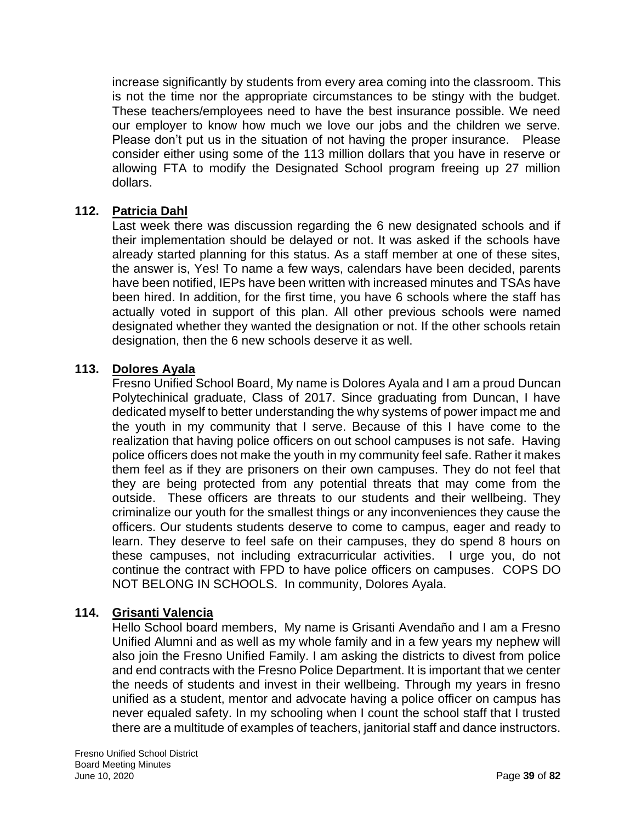increase significantly by students from every area coming into the classroom. This is not the time nor the appropriate circumstances to be stingy with the budget. These teachers/employees need to have the best insurance possible. We need our employer to know how much we love our jobs and the children we serve. Please don't put us in the situation of not having the proper insurance. Please consider either using some of the 113 million dollars that you have in reserve or allowing FTA to modify the Designated School program freeing up 27 million dollars.

## **112. Patricia Dahl**

Last week there was discussion regarding the 6 new designated schools and if their implementation should be delayed or not. It was asked if the schools have already started planning for this status. As a staff member at one of these sites, the answer is, Yes! To name a few ways, calendars have been decided, parents have been notified, IEPs have been written with increased minutes and TSAs have been hired. In addition, for the first time, you have 6 schools where the staff has actually voted in support of this plan. All other previous schools were named designated whether they wanted the designation or not. If the other schools retain designation, then the 6 new schools deserve it as well.

### **113. Dolores Ayala**

Fresno Unified School Board, My name is Dolores Ayala and I am a proud Duncan Polytechinical graduate, Class of 2017. Since graduating from Duncan, I have dedicated myself to better understanding the why systems of power impact me and the youth in my community that I serve. Because of this I have come to the realization that having police officers on out school campuses is not safe. Having police officers does not make the youth in my community feel safe. Rather it makes them feel as if they are prisoners on their own campuses. They do not feel that they are being protected from any potential threats that may come from the outside. These officers are threats to our students and their wellbeing. They criminalize our youth for the smallest things or any inconveniences they cause the officers. Our students students deserve to come to campus, eager and ready to learn. They deserve to feel safe on their campuses, they do spend 8 hours on these campuses, not including extracurricular activities. I urge you, do not continue the contract with FPD to have police officers on campuses. COPS DO NOT BELONG IN SCHOOLS. In community, Dolores Ayala.

### **114. Grisanti Valencia**

Hello School board members, My name is Grisanti Avendaño and I am a Fresno Unified Alumni and as well as my whole family and in a few years my nephew will also join the Fresno Unified Family. I am asking the districts to divest from police and end contracts with the Fresno Police Department. It is important that we center the needs of students and invest in their wellbeing. Through my years in fresno unified as a student, mentor and advocate having a police officer on campus has never equaled safety. In my schooling when I count the school staff that I trusted there are a multitude of examples of teachers, janitorial staff and dance instructors.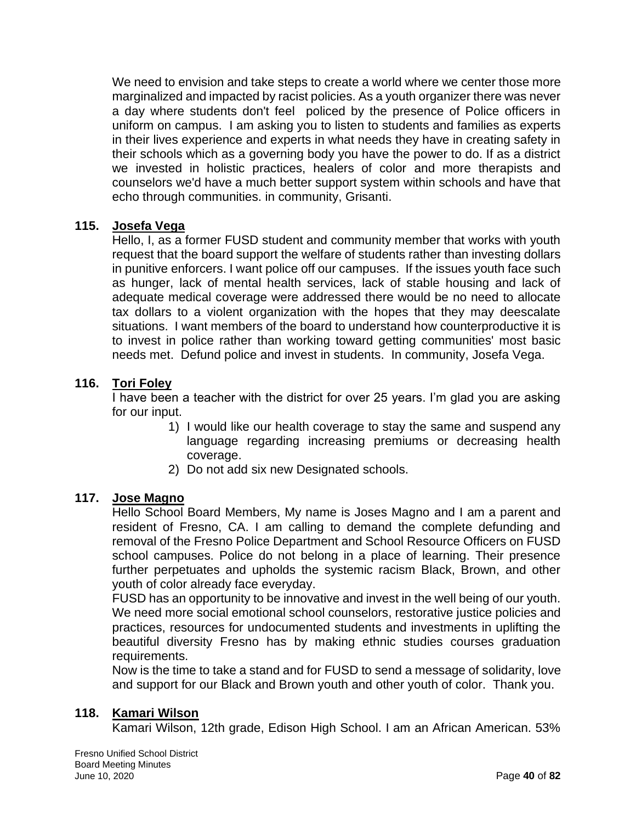We need to envision and take steps to create a world where we center those more marginalized and impacted by racist policies. As a youth organizer there was never a day where students don't feel policed by the presence of Police officers in uniform on campus. I am asking you to listen to students and families as experts in their lives experience and experts in what needs they have in creating safety in their schools which as a governing body you have the power to do. If as a district we invested in holistic practices, healers of color and more therapists and counselors we'd have a much better support system within schools and have that echo through communities. in community, Grisanti.

### **115. Josefa Vega**

Hello, I, as a former FUSD student and community member that works with youth request that the board support the welfare of students rather than investing dollars in punitive enforcers. I want police off our campuses. If the issues youth face such as hunger, lack of mental health services, lack of stable housing and lack of adequate medical coverage were addressed there would be no need to allocate tax dollars to a violent organization with the hopes that they may deescalate situations. I want members of the board to understand how counterproductive it is to invest in police rather than working toward getting communities' most basic needs met. Defund police and invest in students. In community, Josefa Vega.

## **116. Tori Foley**

I have been a teacher with the district for over 25 years. I'm glad you are asking for our input.

- 1) I would like our health coverage to stay the same and suspend any language regarding increasing premiums or decreasing health coverage.
- 2) Do not add six new Designated schools.

### **117. Jose Magno**

Hello School Board Members, My name is Joses Magno and I am a parent and resident of Fresno, CA. I am calling to demand the complete defunding and removal of the Fresno Police Department and School Resource Officers on FUSD school campuses. Police do not belong in a place of learning. Their presence further perpetuates and upholds the systemic racism Black, Brown, and other youth of color already face everyday.

FUSD has an opportunity to be innovative and invest in the well being of our youth. We need more social emotional school counselors, restorative justice policies and practices, resources for undocumented students and investments in uplifting the beautiful diversity Fresno has by making ethnic studies courses graduation requirements.

Now is the time to take a stand and for FUSD to send a message of solidarity, love and support for our Black and Brown youth and other youth of color. Thank you.

### **118. Kamari Wilson**

Kamari Wilson, 12th grade, Edison High School. I am an African American. 53%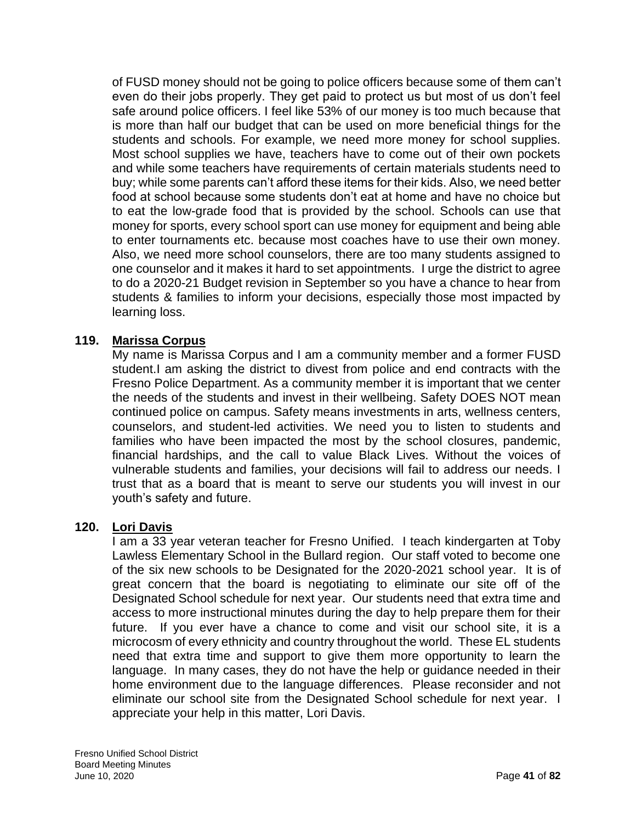of FUSD money should not be going to police officers because some of them can't even do their jobs properly. They get paid to protect us but most of us don't feel safe around police officers. I feel like 53% of our money is too much because that is more than half our budget that can be used on more beneficial things for the students and schools. For example, we need more money for school supplies. Most school supplies we have, teachers have to come out of their own pockets and while some teachers have requirements of certain materials students need to buy; while some parents can't afford these items for their kids. Also, we need better food at school because some students don't eat at home and have no choice but to eat the low-grade food that is provided by the school. Schools can use that money for sports, every school sport can use money for equipment and being able to enter tournaments etc. because most coaches have to use their own money. Also, we need more school counselors, there are too many students assigned to one counselor and it makes it hard to set appointments. I urge the district to agree to do a 2020-21 Budget revision in September so you have a chance to hear from students & families to inform your decisions, especially those most impacted by learning loss.

## **119. Marissa Corpus**

My name is Marissa Corpus and I am a community member and a former FUSD student.I am asking the district to divest from police and end contracts with the Fresno Police Department. As a community member it is important that we center the needs of the students and invest in their wellbeing. Safety DOES NOT mean continued police on campus. Safety means investments in arts, wellness centers, counselors, and student-led activities. We need you to listen to students and families who have been impacted the most by the school closures, pandemic, financial hardships, and the call to value Black Lives. Without the voices of vulnerable students and families, your decisions will fail to address our needs. I trust that as a board that is meant to serve our students you will invest in our youth's safety and future.

### **120. Lori Davis**

I am a 33 year veteran teacher for Fresno Unified. I teach kindergarten at Toby Lawless Elementary School in the Bullard region. Our staff voted to become one of the six new schools to be Designated for the 2020-2021 school year. It is of great concern that the board is negotiating to eliminate our site off of the Designated School schedule for next year. Our students need that extra time and access to more instructional minutes during the day to help prepare them for their future. If you ever have a chance to come and visit our school site, it is a microcosm of every ethnicity and country throughout the world. These EL students need that extra time and support to give them more opportunity to learn the language. In many cases, they do not have the help or guidance needed in their home environment due to the language differences. Please reconsider and not eliminate our school site from the Designated School schedule for next year. I appreciate your help in this matter, Lori Davis.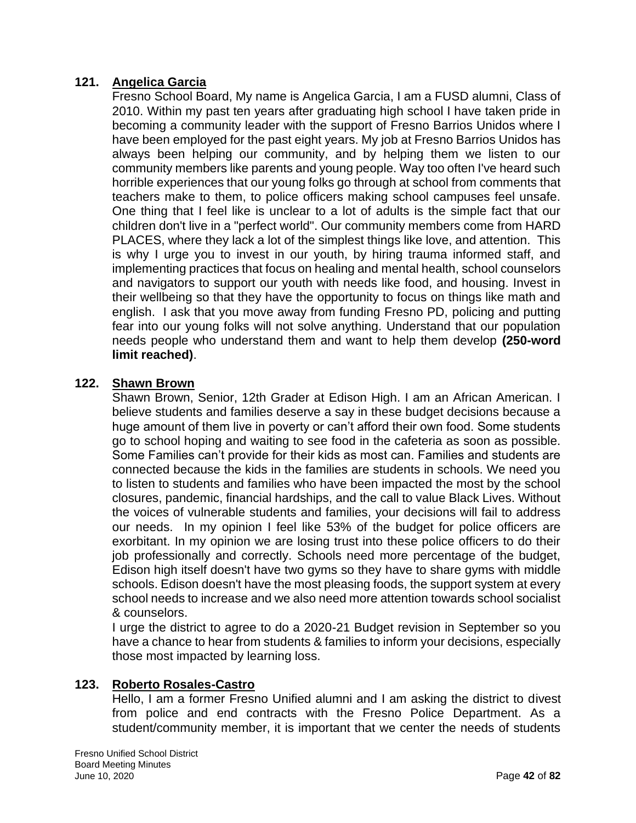# **121. Angelica Garcia**

Fresno School Board, My name is Angelica Garcia, I am a FUSD alumni, Class of 2010. Within my past ten years after graduating high school I have taken pride in becoming a community leader with the support of Fresno Barrios Unidos where I have been employed for the past eight years. My job at Fresno Barrios Unidos has always been helping our community, and by helping them we listen to our community members like parents and young people. Way too often I've heard such horrible experiences that our young folks go through at school from comments that teachers make to them, to police officers making school campuses feel unsafe. One thing that I feel like is unclear to a lot of adults is the simple fact that our children don't live in a "perfect world". Our community members come from HARD PLACES, where they lack a lot of the simplest things like love, and attention. This is why I urge you to invest in our youth, by hiring trauma informed staff, and implementing practices that focus on healing and mental health, school counselors and navigators to support our youth with needs like food, and housing. Invest in their wellbeing so that they have the opportunity to focus on things like math and english. I ask that you move away from funding Fresno PD, policing and putting fear into our young folks will not solve anything. Understand that our population needs people who understand them and want to help them develop **(250-word limit reached)**.

### **122. Shawn Brown**

Shawn Brown, Senior, 12th Grader at Edison High. I am an African American. I believe students and families deserve a say in these budget decisions because a huge amount of them live in poverty or can't afford their own food. Some students go to school hoping and waiting to see food in the cafeteria as soon as possible. Some Families can't provide for their kids as most can. Families and students are connected because the kids in the families are students in schools. We need you to listen to students and families who have been impacted the most by the school closures, pandemic, financial hardships, and the call to value Black Lives. Without the voices of vulnerable students and families, your decisions will fail to address our needs. In my opinion I feel like 53% of the budget for police officers are exorbitant. In my opinion we are losing trust into these police officers to do their job professionally and correctly. Schools need more percentage of the budget, Edison high itself doesn't have two gyms so they have to share gyms with middle schools. Edison doesn't have the most pleasing foods, the support system at every school needs to increase and we also need more attention towards school socialist & counselors.

I urge the district to agree to do a 2020-21 Budget revision in September so you have a chance to hear from students & families to inform your decisions, especially those most impacted by learning loss.

### **123. Roberto Rosales-Castro**

Hello, I am a former Fresno Unified alumni and I am asking the district to divest from police and end contracts with the Fresno Police Department. As a student/community member, it is important that we center the needs of students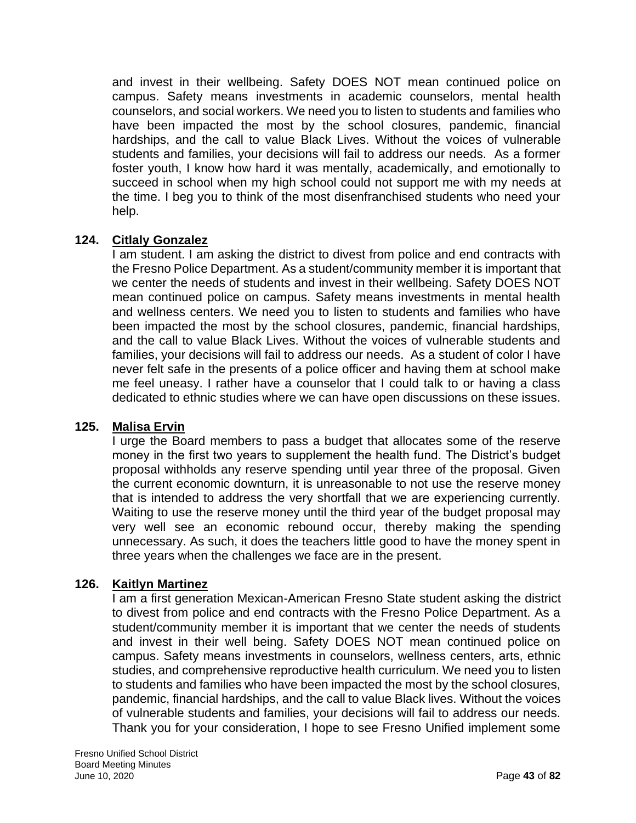and invest in their wellbeing. Safety DOES NOT mean continued police on campus. Safety means investments in academic counselors, mental health counselors, and social workers. We need you to listen to students and families who have been impacted the most by the school closures, pandemic, financial hardships, and the call to value Black Lives. Without the voices of vulnerable students and families, your decisions will fail to address our needs. As a former foster youth, I know how hard it was mentally, academically, and emotionally to succeed in school when my high school could not support me with my needs at the time. I beg you to think of the most disenfranchised students who need your help.

## **124. Citlaly Gonzalez**

I am student. I am asking the district to divest from police and end contracts with the Fresno Police Department. As a student/community member it is important that we center the needs of students and invest in their wellbeing. Safety DOES NOT mean continued police on campus. Safety means investments in mental health and wellness centers. We need you to listen to students and families who have been impacted the most by the school closures, pandemic, financial hardships, and the call to value Black Lives. Without the voices of vulnerable students and families, your decisions will fail to address our needs. As a student of color I have never felt safe in the presents of a police officer and having them at school make me feel uneasy. I rather have a counselor that I could talk to or having a class dedicated to ethnic studies where we can have open discussions on these issues.

### **125. Malisa Ervin**

I urge the Board members to pass a budget that allocates some of the reserve money in the first two years to supplement the health fund. The District's budget proposal withholds any reserve spending until year three of the proposal. Given the current economic downturn, it is unreasonable to not use the reserve money that is intended to address the very shortfall that we are experiencing currently. Waiting to use the reserve money until the third year of the budget proposal may very well see an economic rebound occur, thereby making the spending unnecessary. As such, it does the teachers little good to have the money spent in three years when the challenges we face are in the present.

### **126. Kaitlyn Martinez**

I am a first generation Mexican-American Fresno State student asking the district to divest from police and end contracts with the Fresno Police Department. As a student/community member it is important that we center the needs of students and invest in their well being. Safety DOES NOT mean continued police on campus. Safety means investments in counselors, wellness centers, arts, ethnic studies, and comprehensive reproductive health curriculum. We need you to listen to students and families who have been impacted the most by the school closures, pandemic, financial hardships, and the call to value Black lives. Without the voices of vulnerable students and families, your decisions will fail to address our needs. Thank you for your consideration, I hope to see Fresno Unified implement some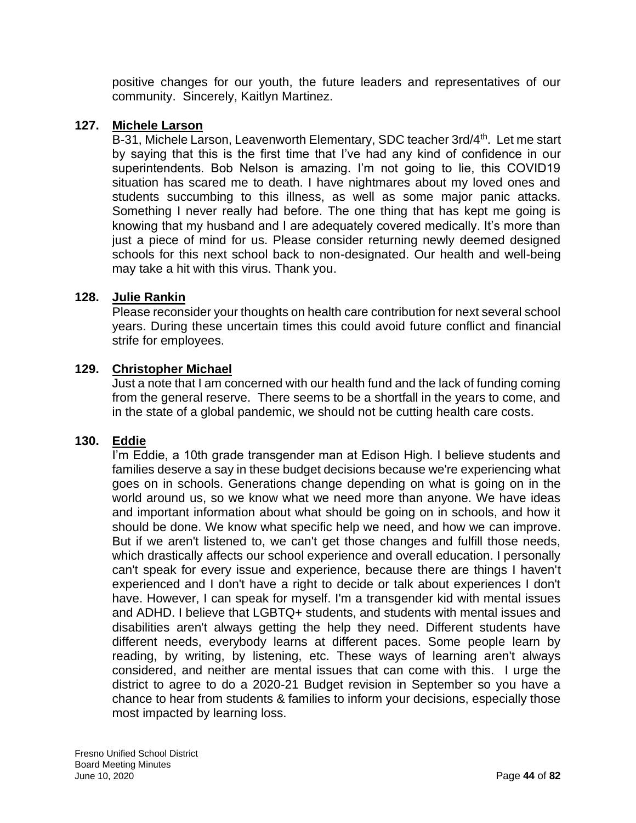positive changes for our youth, the future leaders and representatives of our community. Sincerely, Kaitlyn Martinez.

### **127. Michele Larson**

B-31, Michele Larson, Leavenworth Elementary, SDC teacher 3rd/4<sup>th</sup>. Let me start by saying that this is the first time that I've had any kind of confidence in our superintendents. Bob Nelson is amazing. I'm not going to lie, this COVID19 situation has scared me to death. I have nightmares about my loved ones and students succumbing to this illness, as well as some major panic attacks. Something I never really had before. The one thing that has kept me going is knowing that my husband and I are adequately covered medically. It's more than just a piece of mind for us. Please consider returning newly deemed designed schools for this next school back to non-designated. Our health and well-being may take a hit with this virus. Thank you.

### **128. Julie Rankin**

Please reconsider your thoughts on health care contribution for next several school years. During these uncertain times this could avoid future conflict and financial strife for employees.

### **129. Christopher Michael**

Just a note that I am concerned with our health fund and the lack of funding coming from the general reserve. There seems to be a shortfall in the years to come, and in the state of a global pandemic, we should not be cutting health care costs.

### **130. Eddie**

I'm Eddie, a 10th grade transgender man at Edison High. I believe students and families deserve a say in these budget decisions because we're experiencing what goes on in schools. Generations change depending on what is going on in the world around us, so we know what we need more than anyone. We have ideas and important information about what should be going on in schools, and how it should be done. We know what specific help we need, and how we can improve. But if we aren't listened to, we can't get those changes and fulfill those needs, which drastically affects our school experience and overall education. I personally can't speak for every issue and experience, because there are things I haven't experienced and I don't have a right to decide or talk about experiences I don't have. However, I can speak for myself. I'm a transgender kid with mental issues and ADHD. I believe that LGBTQ+ students, and students with mental issues and disabilities aren't always getting the help they need. Different students have different needs, everybody learns at different paces. Some people learn by reading, by writing, by listening, etc. These ways of learning aren't always considered, and neither are mental issues that can come with this. I urge the district to agree to do a 2020-21 Budget revision in September so you have a chance to hear from students & families to inform your decisions, especially those most impacted by learning loss.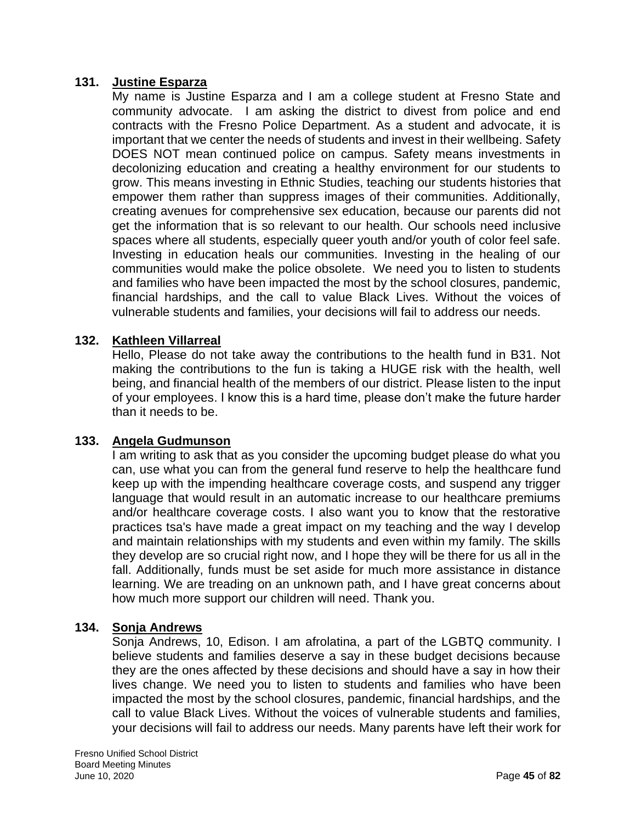### **131. Justine Esparza**

My name is Justine Esparza and I am a college student at Fresno State and community advocate. I am asking the district to divest from police and end contracts with the Fresno Police Department. As a student and advocate, it is important that we center the needs of students and invest in their wellbeing. Safety DOES NOT mean continued police on campus. Safety means investments in decolonizing education and creating a healthy environment for our students to grow. This means investing in Ethnic Studies, teaching our students histories that empower them rather than suppress images of their communities. Additionally, creating avenues for comprehensive sex education, because our parents did not get the information that is so relevant to our health. Our schools need inclusive spaces where all students, especially queer youth and/or youth of color feel safe. Investing in education heals our communities. Investing in the healing of our communities would make the police obsolete. We need you to listen to students and families who have been impacted the most by the school closures, pandemic, financial hardships, and the call to value Black Lives. Without the voices of vulnerable students and families, your decisions will fail to address our needs.

## **132. Kathleen Villarreal**

Hello, Please do not take away the contributions to the health fund in B31. Not making the contributions to the fun is taking a HUGE risk with the health, well being, and financial health of the members of our district. Please listen to the input of your employees. I know this is a hard time, please don't make the future harder than it needs to be.

### **133. Angela Gudmunson**

I am writing to ask that as you consider the upcoming budget please do what you can, use what you can from the general fund reserve to help the healthcare fund keep up with the impending healthcare coverage costs, and suspend any trigger language that would result in an automatic increase to our healthcare premiums and/or healthcare coverage costs. I also want you to know that the restorative practices tsa's have made a great impact on my teaching and the way I develop and maintain relationships with my students and even within my family. The skills they develop are so crucial right now, and I hope they will be there for us all in the fall. Additionally, funds must be set aside for much more assistance in distance learning. We are treading on an unknown path, and I have great concerns about how much more support our children will need. Thank you.

### **134. Sonja Andrews**

Sonja Andrews, 10, Edison. I am afrolatina, a part of the LGBTQ community. I believe students and families deserve a say in these budget decisions because they are the ones affected by these decisions and should have a say in how their lives change. We need you to listen to students and families who have been impacted the most by the school closures, pandemic, financial hardships, and the call to value Black Lives. Without the voices of vulnerable students and families, your decisions will fail to address our needs. Many parents have left their work for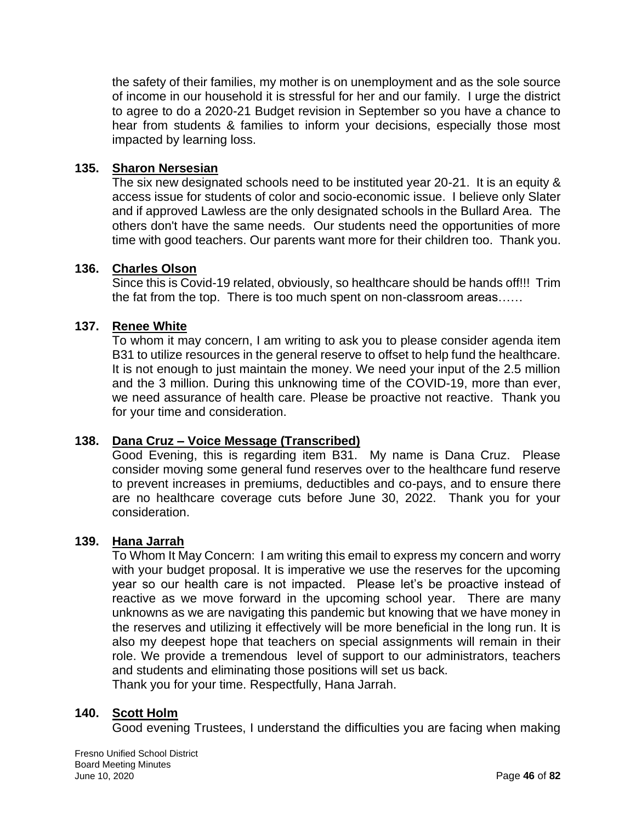the safety of their families, my mother is on unemployment and as the sole source of income in our household it is stressful for her and our family. I urge the district to agree to do a 2020-21 Budget revision in September so you have a chance to hear from students & families to inform your decisions, especially those most impacted by learning loss.

### **135. Sharon Nersesian**

The six new designated schools need to be instituted year 20-21. It is an equity & access issue for students of color and socio-economic issue. I believe only Slater and if approved Lawless are the only designated schools in the Bullard Area. The others don't have the same needs. Our students need the opportunities of more time with good teachers. Our parents want more for their children too. Thank you.

### **136. Charles Olson**

Since this is Covid-19 related, obviously, so healthcare should be hands off!!! Trim the fat from the top. There is too much spent on non-classroom areas……

### **137. Renee White**

To whom it may concern, I am writing to ask you to please consider agenda item B31 to utilize resources in the general reserve to offset to help fund the healthcare. It is not enough to just maintain the money. We need your input of the 2.5 million and the 3 million. During this unknowing time of the COVID-19, more than ever, we need assurance of health care. Please be proactive not reactive. Thank you for your time and consideration.

## **138. Dana Cruz – Voice Message (Transcribed)**

Good Evening, this is regarding item B31. My name is Dana Cruz. Please consider moving some general fund reserves over to the healthcare fund reserve to prevent increases in premiums, deductibles and co-pays, and to ensure there are no healthcare coverage cuts before June 30, 2022. Thank you for your consideration.

#### **139. Hana Jarrah**

To Whom It May Concern: I am writing this email to express my concern and worry with your budget proposal. It is imperative we use the reserves for the upcoming year so our health care is not impacted. Please let's be proactive instead of reactive as we move forward in the upcoming school year. There are many unknowns as we are navigating this pandemic but knowing that we have money in the reserves and utilizing it effectively will be more beneficial in the long run. It is also my deepest hope that teachers on special assignments will remain in their role. We provide a tremendous level of support to our administrators, teachers and students and eliminating those positions will set us back. Thank you for your time. Respectfully, Hana Jarrah.

#### **140. Scott Holm**

Good evening Trustees, I understand the difficulties you are facing when making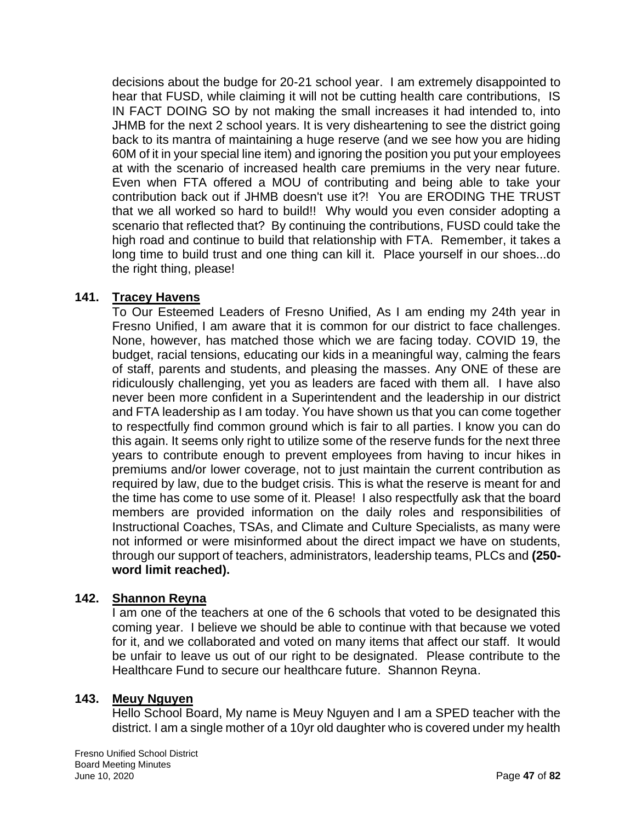decisions about the budge for 20-21 school year. I am extremely disappointed to hear that FUSD, while claiming it will not be cutting health care contributions, IS IN FACT DOING SO by not making the small increases it had intended to, into JHMB for the next 2 school years. It is very disheartening to see the district going back to its mantra of maintaining a huge reserve (and we see how you are hiding 60M of it in your special line item) and ignoring the position you put your employees at with the scenario of increased health care premiums in the very near future. Even when FTA offered a MOU of contributing and being able to take your contribution back out if JHMB doesn't use it?! You are ERODING THE TRUST that we all worked so hard to build!! Why would you even consider adopting a scenario that reflected that? By continuing the contributions, FUSD could take the high road and continue to build that relationship with FTA. Remember, it takes a long time to build trust and one thing can kill it. Place yourself in our shoes...do the right thing, please!

## **141. Tracey Havens**

To Our Esteemed Leaders of Fresno Unified, As I am ending my 24th year in Fresno Unified, I am aware that it is common for our district to face challenges. None, however, has matched those which we are facing today. COVID 19, the budget, racial tensions, educating our kids in a meaningful way, calming the fears of staff, parents and students, and pleasing the masses. Any ONE of these are ridiculously challenging, yet you as leaders are faced with them all. I have also never been more confident in a Superintendent and the leadership in our district and FTA leadership as I am today. You have shown us that you can come together to respectfully find common ground which is fair to all parties. I know you can do this again. It seems only right to utilize some of the reserve funds for the next three years to contribute enough to prevent employees from having to incur hikes in premiums and/or lower coverage, not to just maintain the current contribution as required by law, due to the budget crisis. This is what the reserve is meant for and the time has come to use some of it. Please! I also respectfully ask that the board members are provided information on the daily roles and responsibilities of Instructional Coaches, TSAs, and Climate and Culture Specialists, as many were not informed or were misinformed about the direct impact we have on students, through our support of teachers, administrators, leadership teams, PLCs and **(250 word limit reached).**

### **142. Shannon Reyna**

I am one of the teachers at one of the 6 schools that voted to be designated this coming year. I believe we should be able to continue with that because we voted for it, and we collaborated and voted on many items that affect our staff. It would be unfair to leave us out of our right to be designated. Please contribute to the Healthcare Fund to secure our healthcare future. Shannon Reyna.

### **143. Meuy Nguyen**

Hello School Board, My name is Meuy Nguyen and I am a SPED teacher with the district. I am a single mother of a 10yr old daughter who is covered under my health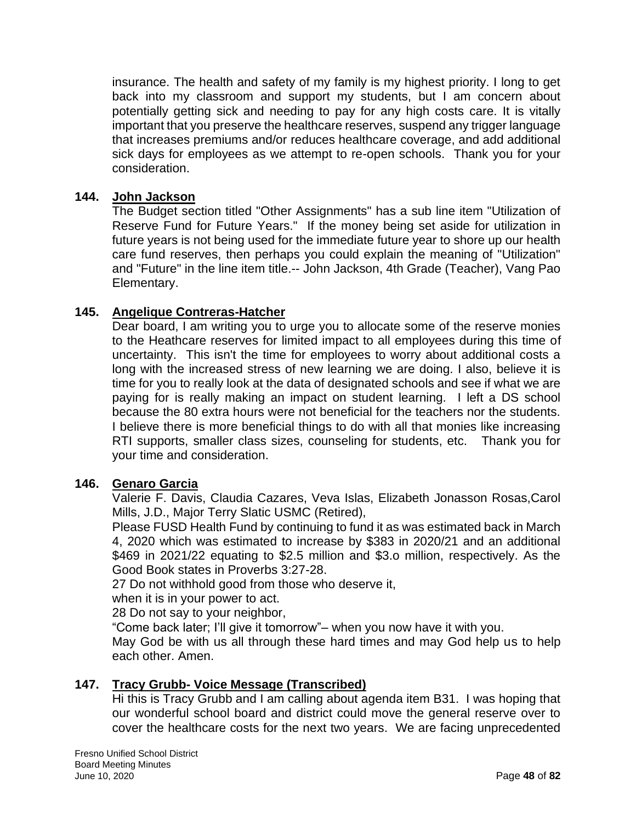insurance. The health and safety of my family is my highest priority. I long to get back into my classroom and support my students, but I am concern about potentially getting sick and needing to pay for any high costs care. It is vitally important that you preserve the healthcare reserves, suspend any trigger language that increases premiums and/or reduces healthcare coverage, and add additional sick days for employees as we attempt to re-open schools. Thank you for your consideration.

### **144. John Jackson**

The Budget section titled "Other Assignments" has a sub line item "Utilization of Reserve Fund for Future Years." If the money being set aside for utilization in future years is not being used for the immediate future year to shore up our health care fund reserves, then perhaps you could explain the meaning of "Utilization" and "Future" in the line item title.-- John Jackson, 4th Grade (Teacher), Vang Pao Elementary.

## **145. Angelique Contreras-Hatcher**

Dear board, I am writing you to urge you to allocate some of the reserve monies to the Heathcare reserves for limited impact to all employees during this time of uncertainty. This isn't the time for employees to worry about additional costs a long with the increased stress of new learning we are doing. I also, believe it is time for you to really look at the data of designated schools and see if what we are paying for is really making an impact on student learning. I left a DS school because the 80 extra hours were not beneficial for the teachers nor the students. I believe there is more beneficial things to do with all that monies like increasing RTI supports, smaller class sizes, counseling for students, etc. Thank you for your time and consideration.

### **146. Genaro Garcia**

Valerie F. Davis, Claudia Cazares, Veva Islas, Elizabeth Jonasson Rosas,Carol Mills, J.D., Major Terry Slatic USMC (Retired),

Please FUSD Health Fund by continuing to fund it as was estimated back in March 4, 2020 which was estimated to increase by \$383 in 2020/21 and an additional \$469 in 2021/22 equating to \$2.5 million and \$3.o million, respectively. As the Good Book states in Proverbs 3:27-28.

27 Do not withhold good from those who deserve it,

when it is in your power to act.

28 Do not say to your neighbor,

"Come back later; I'll give it tomorrow"– when you now have it with you.

May God be with us all through these hard times and may God help us to help each other. Amen.

# **147. Tracy Grubb- Voice Message (Transcribed)**

Hi this is Tracy Grubb and I am calling about agenda item B31. I was hoping that our wonderful school board and district could move the general reserve over to cover the healthcare costs for the next two years. We are facing unprecedented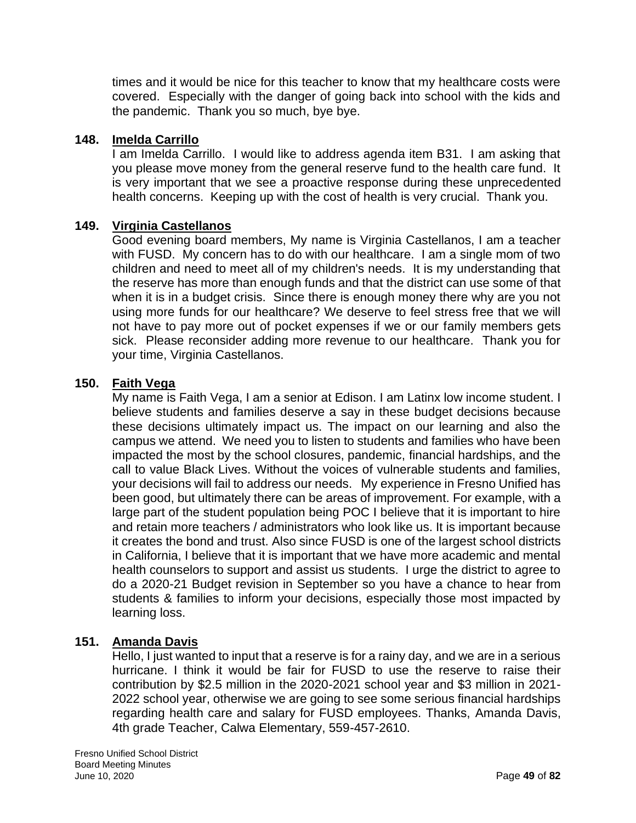times and it would be nice for this teacher to know that my healthcare costs were covered. Especially with the danger of going back into school with the kids and the pandemic. Thank you so much, bye bye.

### **148. Imelda Carrillo**

I am Imelda Carrillo. I would like to address agenda item B31. I am asking that you please move money from the general reserve fund to the health care fund. It is very important that we see a proactive response during these unprecedented health concerns. Keeping up with the cost of health is very crucial. Thank you.

### **149. Virginia Castellanos**

Good evening board members, My name is Virginia Castellanos, I am a teacher with FUSD. My concern has to do with our healthcare. I am a single mom of two children and need to meet all of my children's needs. It is my understanding that the reserve has more than enough funds and that the district can use some of that when it is in a budget crisis. Since there is enough money there why are you not using more funds for our healthcare? We deserve to feel stress free that we will not have to pay more out of pocket expenses if we or our family members gets sick. Please reconsider adding more revenue to our healthcare. Thank you for your time, Virginia Castellanos.

### **150. Faith Vega**

My name is Faith Vega, I am a senior at Edison. I am Latinx low income student. I believe students and families deserve a say in these budget decisions because these decisions ultimately impact us. The impact on our learning and also the campus we attend. We need you to listen to students and families who have been impacted the most by the school closures, pandemic, financial hardships, and the call to value Black Lives. Without the voices of vulnerable students and families, your decisions will fail to address our needs. My experience in Fresno Unified has been good, but ultimately there can be areas of improvement. For example, with a large part of the student population being POC I believe that it is important to hire and retain more teachers / administrators who look like us. It is important because it creates the bond and trust. Also since FUSD is one of the largest school districts in California, I believe that it is important that we have more academic and mental health counselors to support and assist us students. I urge the district to agree to do a 2020-21 Budget revision in September so you have a chance to hear from students & families to inform your decisions, especially those most impacted by learning loss.

### **151. Amanda Davis**

Hello, I just wanted to input that a reserve is for a rainy day, and we are in a serious hurricane. I think it would be fair for FUSD to use the reserve to raise their contribution by \$2.5 million in the 2020-2021 school year and \$3 million in 2021- 2022 school year, otherwise we are going to see some serious financial hardships regarding health care and salary for FUSD employees. Thanks, Amanda Davis, 4th grade Teacher, Calwa Elementary, 559-457-2610.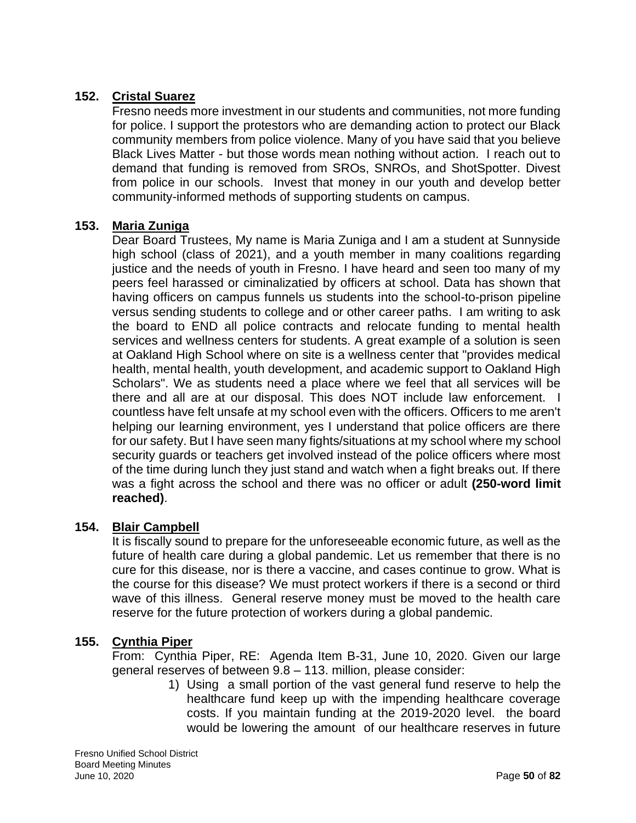# **152. Cristal Suarez**

Fresno needs more investment in our students and communities, not more funding for police. I support the protestors who are demanding action to protect our Black community members from police violence. Many of you have said that you believe Black Lives Matter - but those words mean nothing without action. I reach out to demand that funding is removed from SROs, SNROs, and ShotSpotter. Divest from police in our schools. Invest that money in our youth and develop better community-informed methods of supporting students on campus.

### **153. Maria Zuniga**

Dear Board Trustees, My name is Maria Zuniga and I am a student at Sunnyside high school (class of 2021), and a youth member in many coalitions regarding justice and the needs of youth in Fresno. I have heard and seen too many of my peers feel harassed or ciminalizatied by officers at school. Data has shown that having officers on campus funnels us students into the school-to-prison pipeline versus sending students to college and or other career paths. I am writing to ask the board to END all police contracts and relocate funding to mental health services and wellness centers for students. A great example of a solution is seen at Oakland High School where on site is a wellness center that "provides medical health, mental health, youth development, and academic support to Oakland High Scholars". We as students need a place where we feel that all services will be there and all are at our disposal. This does NOT include law enforcement. I countless have felt unsafe at my school even with the officers. Officers to me aren't helping our learning environment, yes I understand that police officers are there for our safety. But I have seen many fights/situations at my school where my school security guards or teachers get involved instead of the police officers where most of the time during lunch they just stand and watch when a fight breaks out. If there was a fight across the school and there was no officer or adult **(250-word limit reached)**.

### **154. Blair Campbell**

It is fiscally sound to prepare for the unforeseeable economic future, as well as the future of health care during a global pandemic. Let us remember that there is no cure for this disease, nor is there a vaccine, and cases continue to grow. What is the course for this disease? We must protect workers if there is a second or third wave of this illness. General reserve money must be moved to the health care reserve for the future protection of workers during a global pandemic.

### **155. Cynthia Piper**

From: Cynthia Piper, RE: Agenda Item B-31, June 10, 2020. Given our large general reserves of between 9.8 – 113. million, please consider:

1) Using a small portion of the vast general fund reserve to help the healthcare fund keep up with the impending healthcare coverage costs. If you maintain funding at the 2019-2020 level. the board would be lowering the amount of our healthcare reserves in future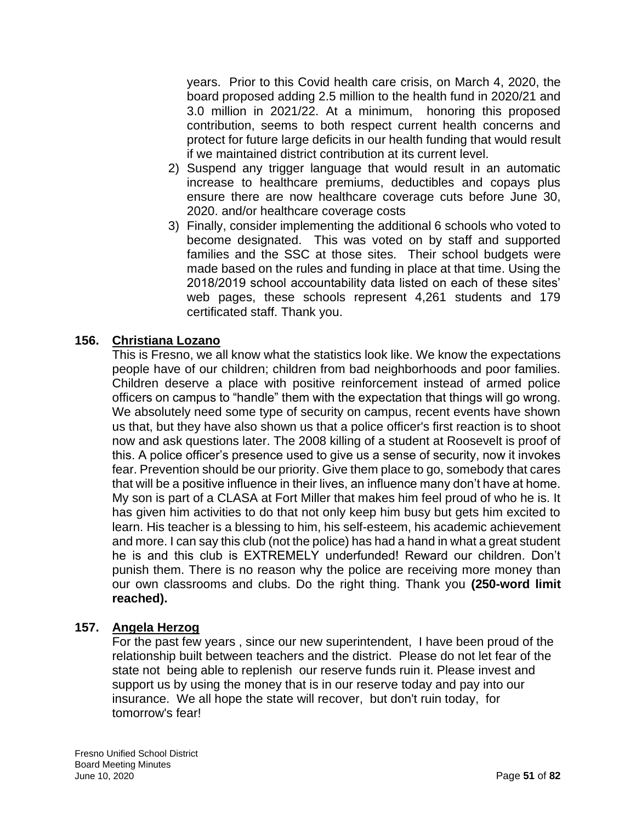years. Prior to this Covid health care crisis, on March 4, 2020, the board proposed adding 2.5 million to the health fund in 2020/21 and 3.0 million in 2021/22. At a minimum, honoring this proposed contribution, seems to both respect current health concerns and protect for future large deficits in our health funding that would result if we maintained district contribution at its current level.

- 2) Suspend any trigger language that would result in an automatic increase to healthcare premiums, deductibles and copays plus ensure there are now healthcare coverage cuts before June 30, 2020. and/or healthcare coverage costs
- 3) Finally, consider implementing the additional 6 schools who voted to become designated. This was voted on by staff and supported families and the SSC at those sites. Their school budgets were made based on the rules and funding in place at that time. Using the 2018/2019 school accountability data listed on each of these sites' web pages, these schools represent 4,261 students and 179 certificated staff. Thank you.

## **156. Christiana Lozano**

This is Fresno, we all know what the statistics look like. We know the expectations people have of our children; children from bad neighborhoods and poor families. Children deserve a place with positive reinforcement instead of armed police officers on campus to "handle" them with the expectation that things will go wrong. We absolutely need some type of security on campus, recent events have shown us that, but they have also shown us that a police officer's first reaction is to shoot now and ask questions later. The 2008 killing of a student at Roosevelt is proof of this. A police officer's presence used to give us a sense of security, now it invokes fear. Prevention should be our priority. Give them place to go, somebody that cares that will be a positive influence in their lives, an influence many don't have at home. My son is part of a CLASA at Fort Miller that makes him feel proud of who he is. It has given him activities to do that not only keep him busy but gets him excited to learn. His teacher is a blessing to him, his self-esteem, his academic achievement and more. I can say this club (not the police) has had a hand in what a great student he is and this club is EXTREMELY underfunded! Reward our children. Don't punish them. There is no reason why the police are receiving more money than our own classrooms and clubs. Do the right thing. Thank you **(250-word limit reached).**

### **157. Angela Herzog**

For the past few years , since our new superintendent, I have been proud of the relationship built between teachers and the district. Please do not let fear of the state not being able to replenish our reserve funds ruin it. Please invest and support us by using the money that is in our reserve today and pay into our insurance. We all hope the state will recover, but don't ruin today, for tomorrow's fear!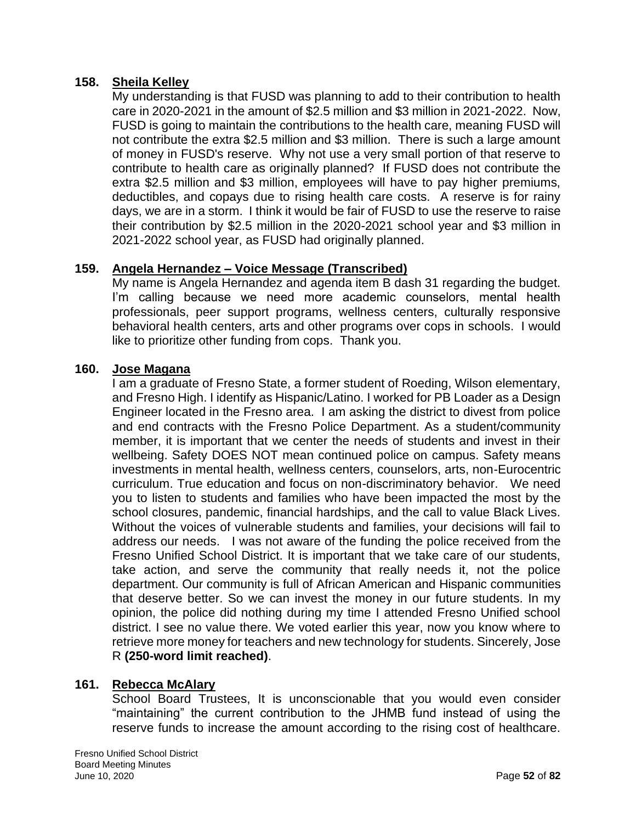### **158. Sheila Kelley**

My understanding is that FUSD was planning to add to their contribution to health care in 2020-2021 in the amount of \$2.5 million and \$3 million in 2021-2022. Now, FUSD is going to maintain the contributions to the health care, meaning FUSD will not contribute the extra \$2.5 million and \$3 million. There is such a large amount of money in FUSD's reserve. Why not use a very small portion of that reserve to contribute to health care as originally planned? If FUSD does not contribute the extra \$2.5 million and \$3 million, employees will have to pay higher premiums, deductibles, and copays due to rising health care costs. A reserve is for rainy days, we are in a storm. I think it would be fair of FUSD to use the reserve to raise their contribution by \$2.5 million in the 2020-2021 school year and \$3 million in 2021-2022 school year, as FUSD had originally planned.

# **159. Angela Hernandez – Voice Message (Transcribed)**

My name is Angela Hernandez and agenda item B dash 31 regarding the budget. I'm calling because we need more academic counselors, mental health professionals, peer support programs, wellness centers, culturally responsive behavioral health centers, arts and other programs over cops in schools. I would like to prioritize other funding from cops. Thank you.

### **160. Jose Magana**

I am a graduate of Fresno State, a former student of Roeding, Wilson elementary, and Fresno High. I identify as Hispanic/Latino. I worked for PB Loader as a Design Engineer located in the Fresno area. I am asking the district to divest from police and end contracts with the Fresno Police Department. As a student/community member, it is important that we center the needs of students and invest in their wellbeing. Safety DOES NOT mean continued police on campus. Safety means investments in mental health, wellness centers, counselors, arts, non-Eurocentric curriculum. True education and focus on non-discriminatory behavior. We need you to listen to students and families who have been impacted the most by the school closures, pandemic, financial hardships, and the call to value Black Lives. Without the voices of vulnerable students and families, your decisions will fail to address our needs. I was not aware of the funding the police received from the Fresno Unified School District. It is important that we take care of our students, take action, and serve the community that really needs it, not the police department. Our community is full of African American and Hispanic communities that deserve better. So we can invest the money in our future students. In my opinion, the police did nothing during my time I attended Fresno Unified school district. I see no value there. We voted earlier this year, now you know where to retrieve more money for teachers and new technology for students. Sincerely, Jose R **(250-word limit reached)**.

# **161. Rebecca McAlary**

School Board Trustees, It is unconscionable that you would even consider "maintaining" the current contribution to the JHMB fund instead of using the reserve funds to increase the amount according to the rising cost of healthcare.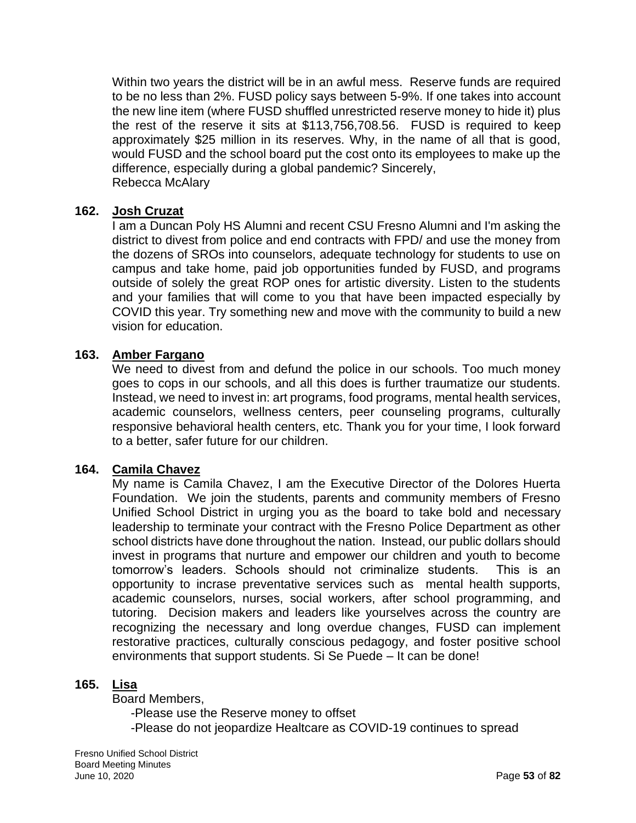Within two years the district will be in an awful mess. Reserve funds are required to be no less than 2%. FUSD policy says between 5-9%. If one takes into account the new line item (where FUSD shuffled unrestricted reserve money to hide it) plus the rest of the reserve it sits at \$113,756,708.56. FUSD is required to keep approximately \$25 million in its reserves. Why, in the name of all that is good, would FUSD and the school board put the cost onto its employees to make up the difference, especially during a global pandemic? Sincerely, Rebecca McAlary

### **162. Josh Cruzat**

I am a Duncan Poly HS Alumni and recent CSU Fresno Alumni and I'm asking the district to divest from police and end contracts with FPD/ and use the money from the dozens of SROs into counselors, adequate technology for students to use on campus and take home, paid job opportunities funded by FUSD, and programs outside of solely the great ROP ones for artistic diversity. Listen to the students and your families that will come to you that have been impacted especially by COVID this year. Try something new and move with the community to build a new vision for education.

#### **163. Amber Fargano**

We need to divest from and defund the police in our schools. Too much money goes to cops in our schools, and all this does is further traumatize our students. Instead, we need to invest in: art programs, food programs, mental health services, academic counselors, wellness centers, peer counseling programs, culturally responsive behavioral health centers, etc. Thank you for your time, I look forward to a better, safer future for our children.

#### **164. Camila Chavez**

My name is Camila Chavez, I am the Executive Director of the Dolores Huerta Foundation. We join the students, parents and community members of Fresno Unified School District in urging you as the board to take bold and necessary leadership to terminate your contract with the Fresno Police Department as other school districts have done throughout the nation. Instead, our public dollars should invest in programs that nurture and empower our children and youth to become tomorrow's leaders. Schools should not criminalize students. This is an opportunity to incrase preventative services such as mental health supports, academic counselors, nurses, social workers, after school programming, and tutoring. Decision makers and leaders like yourselves across the country are recognizing the necessary and long overdue changes, FUSD can implement restorative practices, culturally conscious pedagogy, and foster positive school environments that support students. Si Se Puede – It can be done!

#### **165. Lisa**

Board Members,

-Please use the Reserve money to offset -Please do not jeopardize Healtcare as COVID-19 continues to spread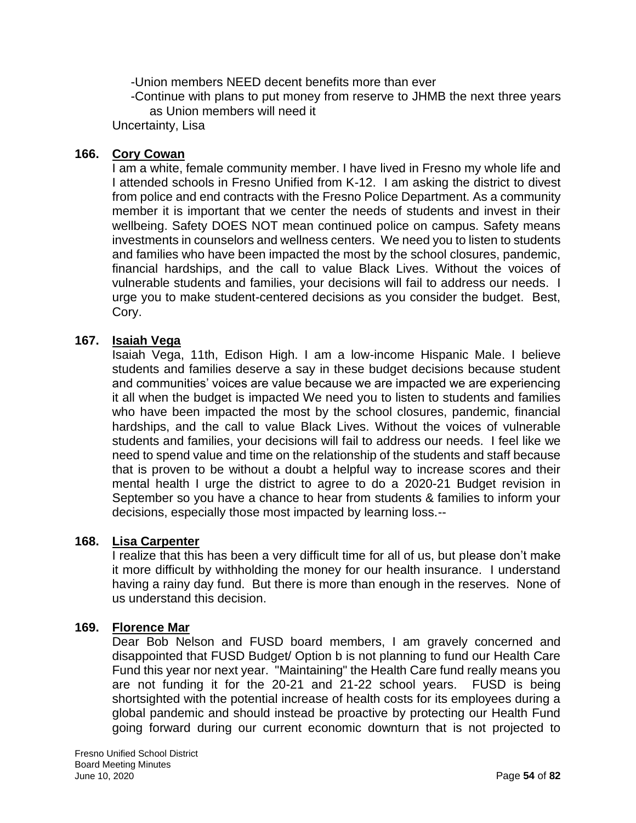-Union members NEED decent benefits more than ever

-Continue with plans to put money from reserve to JHMB the next three years as Union members will need it

Uncertainty, Lisa

## **166. Cory Cowan**

I am a white, female community member. I have lived in Fresno my whole life and I attended schools in Fresno Unified from K-12. I am asking the district to divest from police and end contracts with the Fresno Police Department. As a community member it is important that we center the needs of students and invest in their wellbeing. Safety DOES NOT mean continued police on campus. Safety means investments in counselors and wellness centers. We need you to listen to students and families who have been impacted the most by the school closures, pandemic, financial hardships, and the call to value Black Lives. Without the voices of vulnerable students and families, your decisions will fail to address our needs. I urge you to make student-centered decisions as you consider the budget. Best, Cory.

## **167. Isaiah Vega**

Isaiah Vega, 11th, Edison High. I am a low-income Hispanic Male. I believe students and families deserve a say in these budget decisions because student and communities' voices are value because we are impacted we are experiencing it all when the budget is impacted We need you to listen to students and families who have been impacted the most by the school closures, pandemic, financial hardships, and the call to value Black Lives. Without the voices of vulnerable students and families, your decisions will fail to address our needs. I feel like we need to spend value and time on the relationship of the students and staff because that is proven to be without a doubt a helpful way to increase scores and their mental health I urge the district to agree to do a 2020-21 Budget revision in September so you have a chance to hear from students & families to inform your decisions, especially those most impacted by learning loss.--

### **168. Lisa Carpenter**

I realize that this has been a very difficult time for all of us, but please don't make it more difficult by withholding the money for our health insurance. I understand having a rainy day fund. But there is more than enough in the reserves. None of us understand this decision.

### **169. Florence Mar**

Dear Bob Nelson and FUSD board members, I am gravely concerned and disappointed that FUSD Budget/ Option b is not planning to fund our Health Care Fund this year nor next year. "Maintaining" the Health Care fund really means you are not funding it for the 20-21 and 21-22 school years. FUSD is being shortsighted with the potential increase of health costs for its employees during a global pandemic and should instead be proactive by protecting our Health Fund going forward during our current economic downturn that is not projected to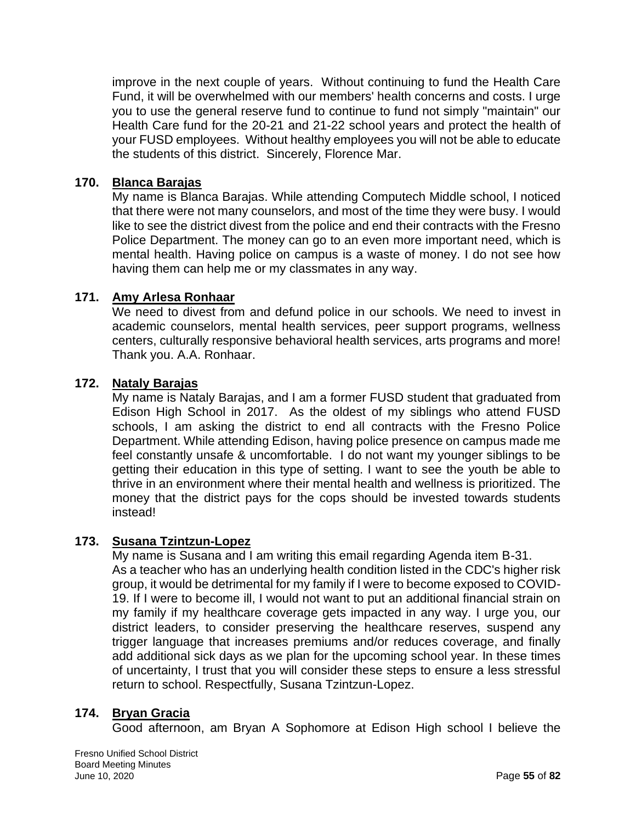improve in the next couple of years. Without continuing to fund the Health Care Fund, it will be overwhelmed with our members' health concerns and costs. I urge you to use the general reserve fund to continue to fund not simply "maintain" our Health Care fund for the 20-21 and 21-22 school years and protect the health of your FUSD employees. Without healthy employees you will not be able to educate the students of this district. Sincerely, Florence Mar.

### **170. Blanca Barajas**

My name is Blanca Barajas. While attending Computech Middle school, I noticed that there were not many counselors, and most of the time they were busy. I would like to see the district divest from the police and end their contracts with the Fresno Police Department. The money can go to an even more important need, which is mental health. Having police on campus is a waste of money. I do not see how having them can help me or my classmates in any way.

### **171. Amy Arlesa Ronhaar**

We need to divest from and defund police in our schools. We need to invest in academic counselors, mental health services, peer support programs, wellness centers, culturally responsive behavioral health services, arts programs and more! Thank you. A.A. Ronhaar.

## **172. Nataly Barajas**

My name is Nataly Barajas, and I am a former FUSD student that graduated from Edison High School in 2017. As the oldest of my siblings who attend FUSD schools, I am asking the district to end all contracts with the Fresno Police Department. While attending Edison, having police presence on campus made me feel constantly unsafe & uncomfortable. I do not want my younger siblings to be getting their education in this type of setting. I want to see the youth be able to thrive in an environment where their mental health and wellness is prioritized. The money that the district pays for the cops should be invested towards students instead!

### **173. Susana Tzintzun-Lopez**

My name is Susana and I am writing this email regarding Agenda item B-31. As a teacher who has an underlying health condition listed in the CDC's higher risk group, it would be detrimental for my family if I were to become exposed to COVID-19. If I were to become ill, I would not want to put an additional financial strain on my family if my healthcare coverage gets impacted in any way. I urge you, our district leaders, to consider preserving the healthcare reserves, suspend any trigger language that increases premiums and/or reduces coverage, and finally add additional sick days as we plan for the upcoming school year. In these times of uncertainty, I trust that you will consider these steps to ensure a less stressful return to school. Respectfully, Susana Tzintzun-Lopez.

### **174. Bryan Gracia**

Good afternoon, am Bryan A Sophomore at Edison High school I believe the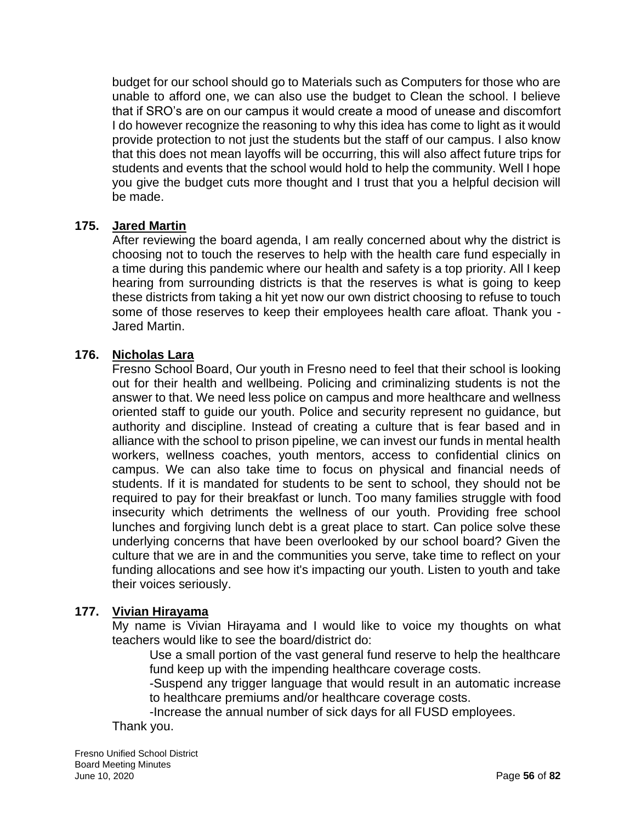budget for our school should go to Materials such as Computers for those who are unable to afford one, we can also use the budget to Clean the school. I believe that if SRO's are on our campus it would create a mood of unease and discomfort I do however recognize the reasoning to why this idea has come to light as it would provide protection to not just the students but the staff of our campus. I also know that this does not mean layoffs will be occurring, this will also affect future trips for students and events that the school would hold to help the community. Well I hope you give the budget cuts more thought and I trust that you a helpful decision will be made.

### **175. Jared Martin**

After reviewing the board agenda, I am really concerned about why the district is choosing not to touch the reserves to help with the health care fund especially in a time during this pandemic where our health and safety is a top priority. All I keep hearing from surrounding districts is that the reserves is what is going to keep these districts from taking a hit yet now our own district choosing to refuse to touch some of those reserves to keep their employees health care afloat. Thank you - Jared Martin.

## **176. Nicholas Lara**

Fresno School Board, Our youth in Fresno need to feel that their school is looking out for their health and wellbeing. Policing and criminalizing students is not the answer to that. We need less police on campus and more healthcare and wellness oriented staff to guide our youth. Police and security represent no guidance, but authority and discipline. Instead of creating a culture that is fear based and in alliance with the school to prison pipeline, we can invest our funds in mental health workers, wellness coaches, youth mentors, access to confidential clinics on campus. We can also take time to focus on physical and financial needs of students. If it is mandated for students to be sent to school, they should not be required to pay for their breakfast or lunch. Too many families struggle with food insecurity which detriments the wellness of our youth. Providing free school lunches and forgiving lunch debt is a great place to start. Can police solve these underlying concerns that have been overlooked by our school board? Given the culture that we are in and the communities you serve, take time to reflect on your funding allocations and see how it's impacting our youth. Listen to youth and take their voices seriously.

# **177. Vivian Hirayama**

My name is Vivian Hirayama and I would like to voice my thoughts on what teachers would like to see the board/district do:

Use a small portion of the vast general fund reserve to help the healthcare fund keep up with the impending healthcare coverage costs.

-Suspend any trigger language that would result in an automatic increase to healthcare premiums and/or healthcare coverage costs.

-Increase the annual number of sick days for all FUSD employees.

Thank you.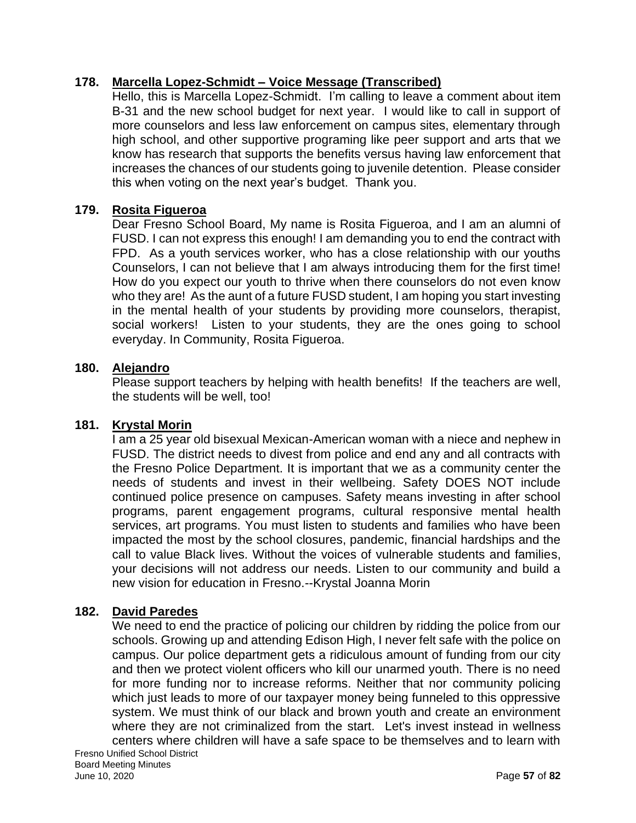# **178. Marcella Lopez-Schmidt – Voice Message (Transcribed)**

Hello, this is Marcella Lopez-Schmidt. I'm calling to leave a comment about item B-31 and the new school budget for next year. I would like to call in support of more counselors and less law enforcement on campus sites, elementary through high school, and other supportive programing like peer support and arts that we know has research that supports the benefits versus having law enforcement that increases the chances of our students going to juvenile detention. Please consider this when voting on the next year's budget. Thank you.

### **179. Rosita Figueroa**

Dear Fresno School Board, My name is Rosita Figueroa, and I am an alumni of FUSD. I can not express this enough! I am demanding you to end the contract with FPD. As a youth services worker, who has a close relationship with our youths Counselors, I can not believe that I am always introducing them for the first time! How do you expect our youth to thrive when there counselors do not even know who they are! As the aunt of a future FUSD student, I am hoping you start investing in the mental health of your students by providing more counselors, therapist, social workers! Listen to your students, they are the ones going to school everyday. In Community, Rosita Figueroa.

#### **180. Alejandro**

Please support teachers by helping with health benefits! If the teachers are well, the students will be well, too!

### **181. Krystal Morin**

I am a 25 year old bisexual Mexican-American woman with a niece and nephew in FUSD. The district needs to divest from police and end any and all contracts with the Fresno Police Department. It is important that we as a community center the needs of students and invest in their wellbeing. Safety DOES NOT include continued police presence on campuses. Safety means investing in after school programs, parent engagement programs, cultural responsive mental health services, art programs. You must listen to students and families who have been impacted the most by the school closures, pandemic, financial hardships and the call to value Black lives. Without the voices of vulnerable students and families, your decisions will not address our needs. Listen to our community and build a new vision for education in Fresno.--Krystal Joanna Morin

### **182. David Paredes**

We need to end the practice of policing our children by ridding the police from our schools. Growing up and attending Edison High, I never felt safe with the police on campus. Our police department gets a ridiculous amount of funding from our city and then we protect violent officers who kill our unarmed youth. There is no need for more funding nor to increase reforms. Neither that nor community policing which just leads to more of our taxpayer money being funneled to this oppressive system. We must think of our black and brown youth and create an environment where they are not criminalized from the start. Let's invest instead in wellness centers where children will have a safe space to be themselves and to learn with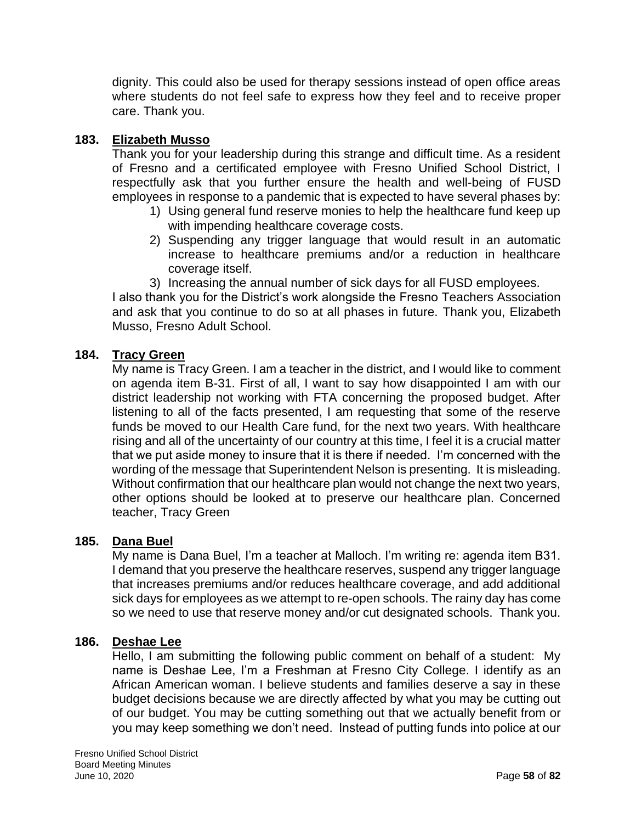dignity. This could also be used for therapy sessions instead of open office areas where students do not feel safe to express how they feel and to receive proper care. Thank you.

### **183. Elizabeth Musso**

Thank you for your leadership during this strange and difficult time. As a resident of Fresno and a certificated employee with Fresno Unified School District, I respectfully ask that you further ensure the health and well-being of FUSD employees in response to a pandemic that is expected to have several phases by:

- 1) Using general fund reserve monies to help the healthcare fund keep up with impending healthcare coverage costs.
- 2) Suspending any trigger language that would result in an automatic increase to healthcare premiums and/or a reduction in healthcare coverage itself.
- 3) Increasing the annual number of sick days for all FUSD employees.

I also thank you for the District's work alongside the Fresno Teachers Association and ask that you continue to do so at all phases in future. Thank you, Elizabeth Musso, Fresno Adult School.

### **184. Tracy Green**

My name is Tracy Green. I am a teacher in the district, and I would like to comment on agenda item B-31. First of all, I want to say how disappointed I am with our district leadership not working with FTA concerning the proposed budget. After listening to all of the facts presented, I am requesting that some of the reserve funds be moved to our Health Care fund, for the next two years. With healthcare rising and all of the uncertainty of our country at this time, I feel it is a crucial matter that we put aside money to insure that it is there if needed. I'm concerned with the wording of the message that Superintendent Nelson is presenting. It is misleading. Without confirmation that our healthcare plan would not change the next two years, other options should be looked at to preserve our healthcare plan. Concerned teacher, Tracy Green

#### **185. Dana Buel**

My name is Dana Buel, I'm a teacher at Malloch. I'm writing re: agenda item B31. I demand that you preserve the healthcare reserves, suspend any trigger language that increases premiums and/or reduces healthcare coverage, and add additional sick days for employees as we attempt to re-open schools. The rainy day has come so we need to use that reserve money and/or cut designated schools. Thank you.

#### **186. Deshae Lee**

Hello, I am submitting the following public comment on behalf of a student: My name is Deshae Lee, I'm a Freshman at Fresno City College. I identify as an African American woman. I believe students and families deserve a say in these budget decisions because we are directly affected by what you may be cutting out of our budget. You may be cutting something out that we actually benefit from or you may keep something we don't need. Instead of putting funds into police at our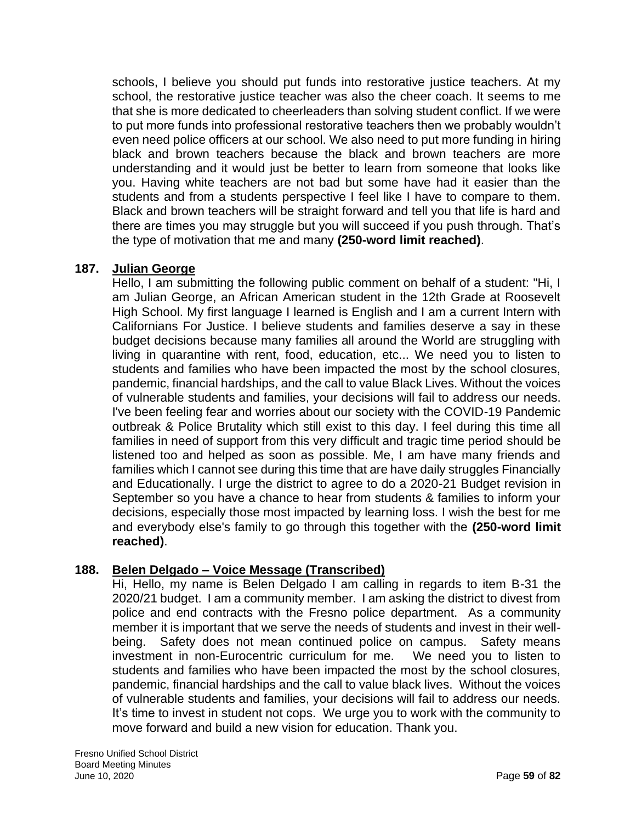schools, I believe you should put funds into restorative justice teachers. At my school, the restorative justice teacher was also the cheer coach. It seems to me that she is more dedicated to cheerleaders than solving student conflict. If we were to put more funds into professional restorative teachers then we probably wouldn't even need police officers at our school. We also need to put more funding in hiring black and brown teachers because the black and brown teachers are more understanding and it would just be better to learn from someone that looks like you. Having white teachers are not bad but some have had it easier than the students and from a students perspective I feel like I have to compare to them. Black and brown teachers will be straight forward and tell you that life is hard and there are times you may struggle but you will succeed if you push through. That's the type of motivation that me and many **(250-word limit reached)**.

## **187. Julian George**

Hello, I am submitting the following public comment on behalf of a student: "Hi, I am Julian George, an African American student in the 12th Grade at Roosevelt High School. My first language I learned is English and I am a current Intern with Californians For Justice. I believe students and families deserve a say in these budget decisions because many families all around the World are struggling with living in quarantine with rent, food, education, etc... We need you to listen to students and families who have been impacted the most by the school closures, pandemic, financial hardships, and the call to value Black Lives. Without the voices of vulnerable students and families, your decisions will fail to address our needs. I've been feeling fear and worries about our society with the COVID-19 Pandemic outbreak & Police Brutality which still exist to this day. I feel during this time all families in need of support from this very difficult and tragic time period should be listened too and helped as soon as possible. Me, I am have many friends and families which I cannot see during this time that are have daily struggles Financially and Educationally. I urge the district to agree to do a 2020-21 Budget revision in September so you have a chance to hear from students & families to inform your decisions, especially those most impacted by learning loss. I wish the best for me and everybody else's family to go through this together with the **(250-word limit reached)**.

# **188. Belen Delgado – Voice Message (Transcribed)**

Hi, Hello, my name is Belen Delgado I am calling in regards to item B-31 the 2020/21 budget. I am a community member. I am asking the district to divest from police and end contracts with the Fresno police department. As a community member it is important that we serve the needs of students and invest in their wellbeing. Safety does not mean continued police on campus. Safety means investment in non-Eurocentric curriculum for me. We need you to listen to students and families who have been impacted the most by the school closures, pandemic, financial hardships and the call to value black lives. Without the voices of vulnerable students and families, your decisions will fail to address our needs. It's time to invest in student not cops. We urge you to work with the community to move forward and build a new vision for education. Thank you.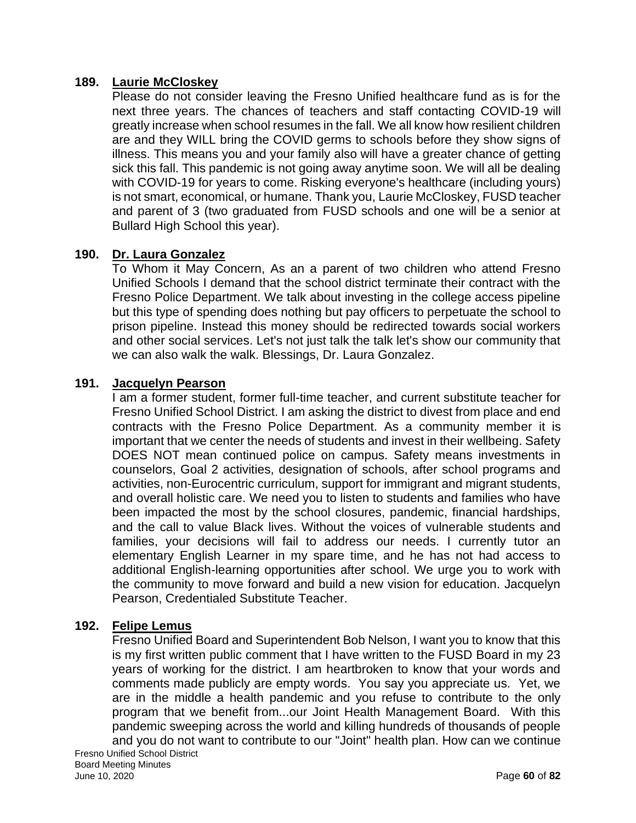### **189. Laurie McCloskey**

Please do not consider leaving the Fresno Unified healthcare fund as is for the next three years. The chances of teachers and staff contacting COVID-19 will greatly increase when school resumes in the fall. We all know how resilient children are and they WILL bring the COVID germs to schools before they show signs of illness. This means you and your family also will have a greater chance of getting sick this fall. This pandemic is not going away anytime soon. We will all be dealing with COVID-19 for years to come. Risking everyone's healthcare (including yours) is not smart, economical, or humane. Thank you, Laurie McCloskey, FUSD teacher and parent of 3 (two graduated from FUSD schools and one will be a senior at Bullard High School this year).

## **190. Dr. Laura Gonzalez**

To Whom it May Concern, As an a parent of two children who attend Fresno Unified Schools I demand that the school district terminate their contract with the Fresno Police Department. We talk about investing in the college access pipeline but this type of spending does nothing but pay officers to perpetuate the school to prison pipeline. Instead this money should be redirected towards social workers and other social services. Let's not just talk the talk let's show our community that we can also walk the walk. Blessings, Dr. Laura Gonzalez.

#### **191. Jacquelyn Pearson**

I am a former student, former full-time teacher, and current substitute teacher for Fresno Unified School District. I am asking the district to divest from place and end contracts with the Fresno Police Department. As a community member it is important that we center the needs of students and invest in their wellbeing. Safety DOES NOT mean continued police on campus. Safety means investments in counselors, Goal 2 activities, designation of schools, after school programs and activities, non-Eurocentric curriculum, support for immigrant and migrant students, and overall holistic care. We need you to listen to students and families who have been impacted the most by the school closures, pandemic, financial hardships, and the call to value Black lives. Without the voices of vulnerable students and families, your decisions will fail to address our needs. I currently tutor an elementary English Learner in my spare time, and he has not had access to additional English-learning opportunities after school. We urge you to work with the community to move forward and build a new vision for education. Jacquelyn Pearson, Credentialed Substitute Teacher.

### **192. Felipe Lemus**

Fresno Unified Board and Superintendent Bob Nelson, I want you to know that this is my first written public comment that I have written to the FUSD Board in my 23 years of working for the district. I am heartbroken to know that your words and comments made publicly are empty words. You say you appreciate us. Yet, we are in the middle a health pandemic and you refuse to contribute to the only program that we benefit from...our Joint Health Management Board. With this pandemic sweeping across the world and killing hundreds of thousands of people and you do not want to contribute to our "Joint" health plan. How can we continue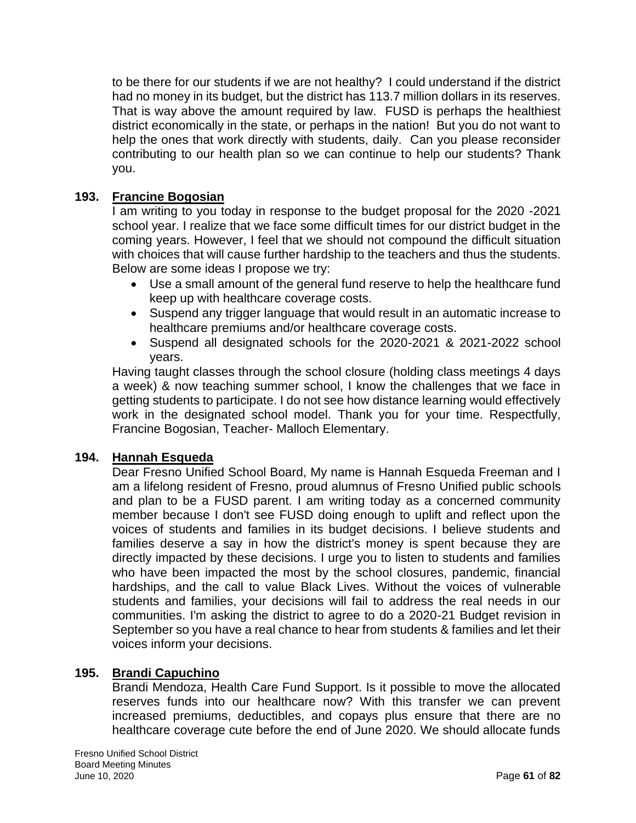to be there for our students if we are not healthy? I could understand if the district had no money in its budget, but the district has 113.7 million dollars in its reserves. That is way above the amount required by law. FUSD is perhaps the healthiest district economically in the state, or perhaps in the nation! But you do not want to help the ones that work directly with students, daily. Can you please reconsider contributing to our health plan so we can continue to help our students? Thank you.

# **193. Francine Bogosian**

I am writing to you today in response to the budget proposal for the 2020 -2021 school year. I realize that we face some difficult times for our district budget in the coming years. However, I feel that we should not compound the difficult situation with choices that will cause further hardship to the teachers and thus the students. Below are some ideas I propose we try:

- Use a small amount of the general fund reserve to help the healthcare fund keep up with healthcare coverage costs.
- Suspend any trigger language that would result in an automatic increase to healthcare premiums and/or healthcare coverage costs.
- Suspend all designated schools for the 2020-2021 & 2021-2022 school years.

Having taught classes through the school closure (holding class meetings 4 days a week) & now teaching summer school, I know the challenges that we face in getting students to participate. I do not see how distance learning would effectively work in the designated school model. Thank you for your time. Respectfully, Francine Bogosian, Teacher- Malloch Elementary.

### **194. Hannah Esqueda**

Dear Fresno Unified School Board, My name is Hannah Esqueda Freeman and I am a lifelong resident of Fresno, proud alumnus of Fresno Unified public schools and plan to be a FUSD parent. I am writing today as a concerned community member because I don't see FUSD doing enough to uplift and reflect upon the voices of students and families in its budget decisions. I believe students and families deserve a say in how the district's money is spent because they are directly impacted by these decisions. I urge you to listen to students and families who have been impacted the most by the school closures, pandemic, financial hardships, and the call to value Black Lives. Without the voices of vulnerable students and families, your decisions will fail to address the real needs in our communities. I'm asking the district to agree to do a 2020-21 Budget revision in September so you have a real chance to hear from students & families and let their voices inform your decisions.

### **195. Brandi Capuchino**

Brandi Mendoza, Health Care Fund Support. Is it possible to move the allocated reserves funds into our healthcare now? With this transfer we can prevent increased premiums, deductibles, and copays plus ensure that there are no healthcare coverage cute before the end of June 2020. We should allocate funds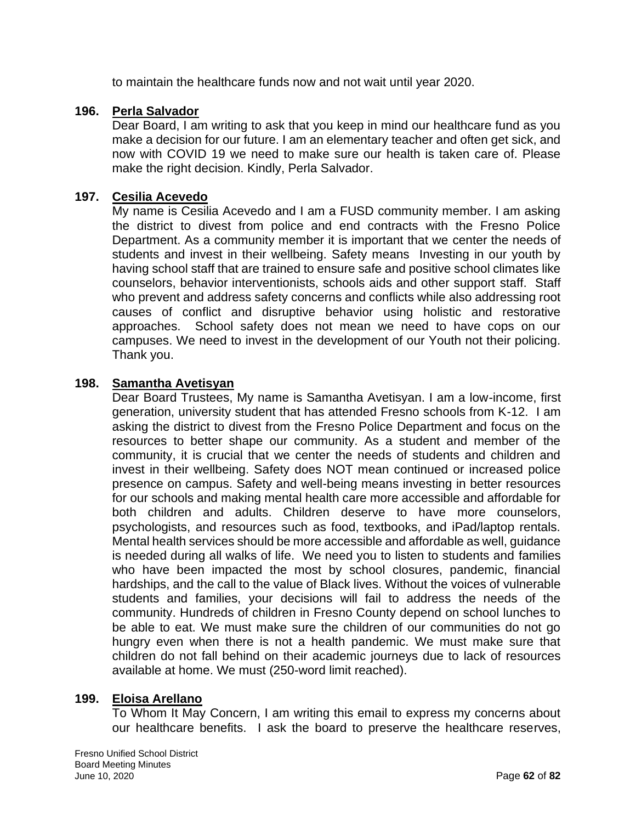to maintain the healthcare funds now and not wait until year 2020.

### **196. Perla Salvador**

Dear Board, I am writing to ask that you keep in mind our healthcare fund as you make a decision for our future. I am an elementary teacher and often get sick, and now with COVID 19 we need to make sure our health is taken care of. Please make the right decision. Kindly, Perla Salvador.

#### **197. Cesilia Acevedo**

My name is Cesilia Acevedo and I am a FUSD community member. I am asking the district to divest from police and end contracts with the Fresno Police Department. As a community member it is important that we center the needs of students and invest in their wellbeing. Safety means Investing in our youth by having school staff that are trained to ensure safe and positive school climates like counselors, behavior interventionists, schools aids and other support staff. Staff who prevent and address safety concerns and conflicts while also addressing root causes of conflict and disruptive behavior using holistic and restorative approaches. School safety does not mean we need to have cops on our campuses. We need to invest in the development of our Youth not their policing. Thank you.

#### **198. Samantha Avetisyan**

Dear Board Trustees, My name is Samantha Avetisyan. I am a low-income, first generation, university student that has attended Fresno schools from K-12. I am asking the district to divest from the Fresno Police Department and focus on the resources to better shape our community. As a student and member of the community, it is crucial that we center the needs of students and children and invest in their wellbeing. Safety does NOT mean continued or increased police presence on campus. Safety and well-being means investing in better resources for our schools and making mental health care more accessible and affordable for both children and adults. Children deserve to have more counselors, psychologists, and resources such as food, textbooks, and iPad/laptop rentals. Mental health services should be more accessible and affordable as well, guidance is needed during all walks of life. We need you to listen to students and families who have been impacted the most by school closures, pandemic, financial hardships, and the call to the value of Black lives. Without the voices of vulnerable students and families, your decisions will fail to address the needs of the community. Hundreds of children in Fresno County depend on school lunches to be able to eat. We must make sure the children of our communities do not go hungry even when there is not a health pandemic. We must make sure that children do not fall behind on their academic journeys due to lack of resources available at home. We must (250-word limit reached).

### **199. Eloisa Arellano**

To Whom It May Concern, I am writing this email to express my concerns about our healthcare benefits. I ask the board to preserve the healthcare reserves,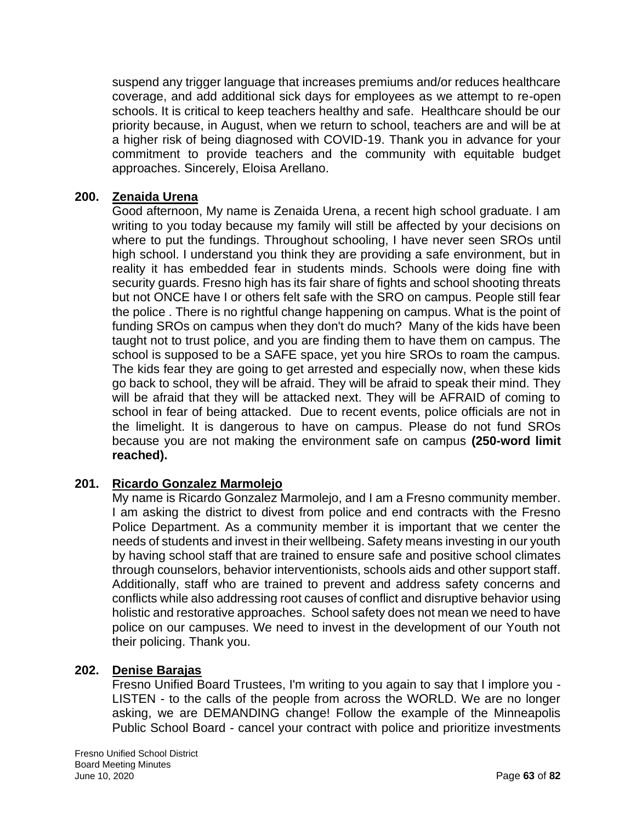suspend any trigger language that increases premiums and/or reduces healthcare coverage, and add additional sick days for employees as we attempt to re-open schools. It is critical to keep teachers healthy and safe. Healthcare should be our priority because, in August, when we return to school, teachers are and will be at a higher risk of being diagnosed with COVID-19. Thank you in advance for your commitment to provide teachers and the community with equitable budget approaches. Sincerely, Eloisa Arellano.

## **200. Zenaida Urena**

Good afternoon, My name is Zenaida Urena, a recent high school graduate. I am writing to you today because my family will still be affected by your decisions on where to put the fundings. Throughout schooling, I have never seen SROs until high school. I understand you think they are providing a safe environment, but in reality it has embedded fear in students minds. Schools were doing fine with security guards. Fresno high has its fair share of fights and school shooting threats but not ONCE have I or others felt safe with the SRO on campus. People still fear the police . There is no rightful change happening on campus. What is the point of funding SROs on campus when they don't do much? Many of the kids have been taught not to trust police, and you are finding them to have them on campus. The school is supposed to be a SAFE space, yet you hire SROs to roam the campus. The kids fear they are going to get arrested and especially now, when these kids go back to school, they will be afraid. They will be afraid to speak their mind. They will be afraid that they will be attacked next. They will be AFRAID of coming to school in fear of being attacked. Due to recent events, police officials are not in the limelight. It is dangerous to have on campus. Please do not fund SROs because you are not making the environment safe on campus **(250-word limit reached).**

# **201. Ricardo Gonzalez Marmolejo**

My name is Ricardo Gonzalez Marmolejo, and I am a Fresno community member. I am asking the district to divest from police and end contracts with the Fresno Police Department. As a community member it is important that we center the needs of students and invest in their wellbeing. Safety means investing in our youth by having school staff that are trained to ensure safe and positive school climates through counselors, behavior interventionists, schools aids and other support staff. Additionally, staff who are trained to prevent and address safety concerns and conflicts while also addressing root causes of conflict and disruptive behavior using holistic and restorative approaches. School safety does not mean we need to have police on our campuses. We need to invest in the development of our Youth not their policing. Thank you.

### **202. Denise Barajas**

Fresno Unified Board Trustees, I'm writing to you again to say that I implore you - LISTEN - to the calls of the people from across the WORLD. We are no longer asking, we are DEMANDING change! Follow the example of the Minneapolis Public School Board - cancel your contract with police and prioritize investments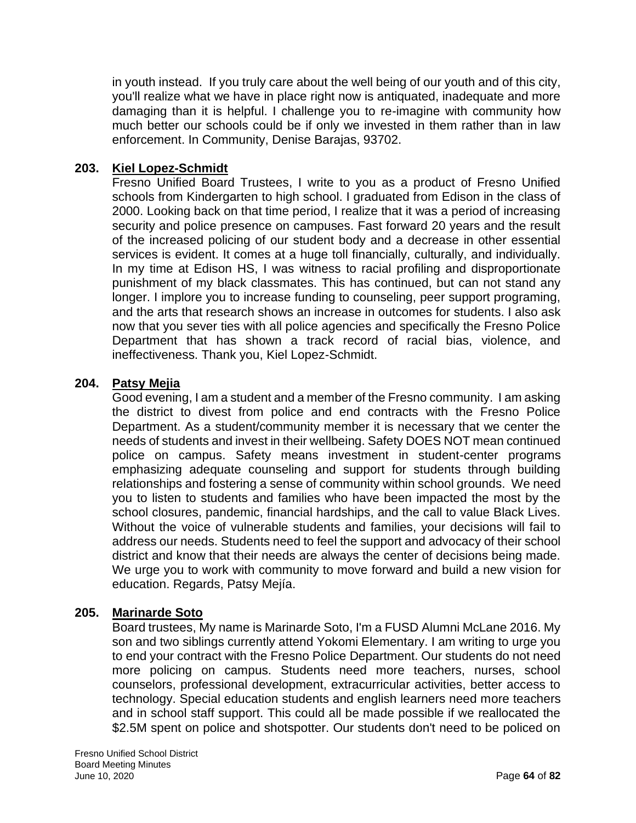in youth instead. If you truly care about the well being of our youth and of this city, you'll realize what we have in place right now is antiquated, inadequate and more damaging than it is helpful. I challenge you to re-imagine with community how much better our schools could be if only we invested in them rather than in law enforcement. In Community, Denise Barajas, 93702.

# **203. Kiel Lopez-Schmidt**

Fresno Unified Board Trustees, I write to you as a product of Fresno Unified schools from Kindergarten to high school. I graduated from Edison in the class of 2000. Looking back on that time period, I realize that it was a period of increasing security and police presence on campuses. Fast forward 20 years and the result of the increased policing of our student body and a decrease in other essential services is evident. It comes at a huge toll financially, culturally, and individually. In my time at Edison HS, I was witness to racial profiling and disproportionate punishment of my black classmates. This has continued, but can not stand any longer. I implore you to increase funding to counseling, peer support programing, and the arts that research shows an increase in outcomes for students. I also ask now that you sever ties with all police agencies and specifically the Fresno Police Department that has shown a track record of racial bias, violence, and ineffectiveness. Thank you, Kiel Lopez-Schmidt.

## **204. Patsy Mejia**

Good evening, I am a student and a member of the Fresno community. I am asking the district to divest from police and end contracts with the Fresno Police Department. As a student/community member it is necessary that we center the needs of students and invest in their wellbeing. Safety DOES NOT mean continued police on campus. Safety means investment in student-center programs emphasizing adequate counseling and support for students through building relationships and fostering a sense of community within school grounds. We need you to listen to students and families who have been impacted the most by the school closures, pandemic, financial hardships, and the call to value Black Lives. Without the voice of vulnerable students and families, your decisions will fail to address our needs. Students need to feel the support and advocacy of their school district and know that their needs are always the center of decisions being made. We urge you to work with community to move forward and build a new vision for education. Regards, Patsy Mejía.

# **205. Marinarde Soto**

Board trustees, My name is Marinarde Soto, I'm a FUSD Alumni McLane 2016. My son and two siblings currently attend Yokomi Elementary. I am writing to urge you to end your contract with the Fresno Police Department. Our students do not need more policing on campus. Students need more teachers, nurses, school counselors, professional development, extracurricular activities, better access to technology. Special education students and english learners need more teachers and in school staff support. This could all be made possible if we reallocated the \$2.5M spent on police and shotspotter. Our students don't need to be policed on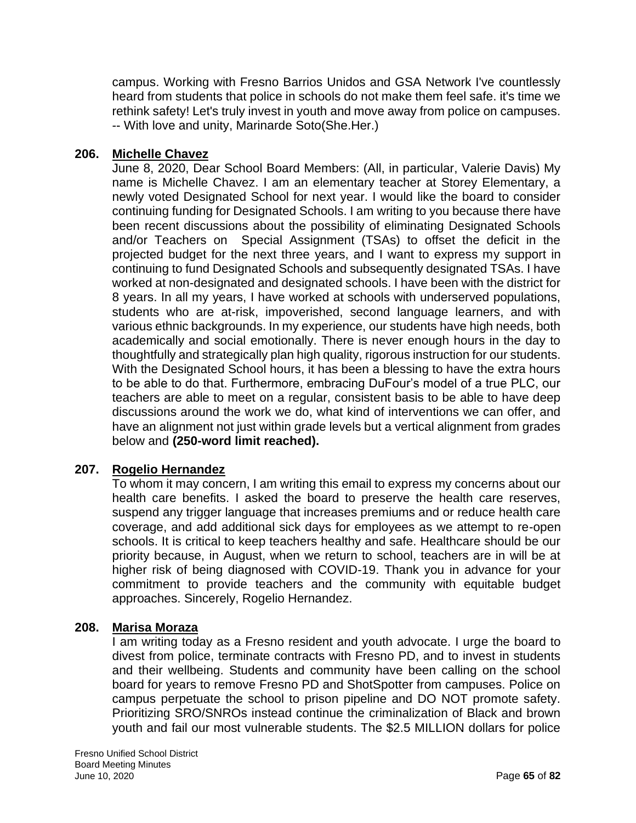campus. Working with Fresno Barrios Unidos and GSA Network I've countlessly heard from students that police in schools do not make them feel safe. it's time we rethink safety! Let's truly invest in youth and move away from police on campuses. -- With love and unity, Marinarde Soto(She.Her.)

## **206. Michelle Chavez**

June 8, 2020, Dear School Board Members: (All, in particular, Valerie Davis) My name is Michelle Chavez. I am an elementary teacher at Storey Elementary, a newly voted Designated School for next year. I would like the board to consider continuing funding for Designated Schools. I am writing to you because there have been recent discussions about the possibility of eliminating Designated Schools and/or Teachers on Special Assignment (TSAs) to offset the deficit in the projected budget for the next three years, and I want to express my support in continuing to fund Designated Schools and subsequently designated TSAs. I have worked at non-designated and designated schools. I have been with the district for 8 years. In all my years, I have worked at schools with underserved populations, students who are at-risk, impoverished, second language learners, and with various ethnic backgrounds. In my experience, our students have high needs, both academically and social emotionally. There is never enough hours in the day to thoughtfully and strategically plan high quality, rigorous instruction for our students. With the Designated School hours, it has been a blessing to have the extra hours to be able to do that. Furthermore, embracing DuFour's model of a true PLC, our teachers are able to meet on a regular, consistent basis to be able to have deep discussions around the work we do, what kind of interventions we can offer, and have an alignment not just within grade levels but a vertical alignment from grades below and **(250-word limit reached).**

### **207. Rogelio Hernandez**

To whom it may concern, I am writing this email to express my concerns about our health care benefits. I asked the board to preserve the health care reserves, suspend any trigger language that increases premiums and or reduce health care coverage, and add additional sick days for employees as we attempt to re-open schools. It is critical to keep teachers healthy and safe. Healthcare should be our priority because, in August, when we return to school, teachers are in will be at higher risk of being diagnosed with COVID-19. Thank you in advance for your commitment to provide teachers and the community with equitable budget approaches. Sincerely, Rogelio Hernandez.

### **208. Marisa Moraza**

I am writing today as a Fresno resident and youth advocate. I urge the board to divest from police, terminate contracts with Fresno PD, and to invest in students and their wellbeing. Students and community have been calling on the school board for years to remove Fresno PD and ShotSpotter from campuses. Police on campus perpetuate the school to prison pipeline and DO NOT promote safety. Prioritizing SRO/SNROs instead continue the criminalization of Black and brown youth and fail our most vulnerable students. The \$2.5 MILLION dollars for police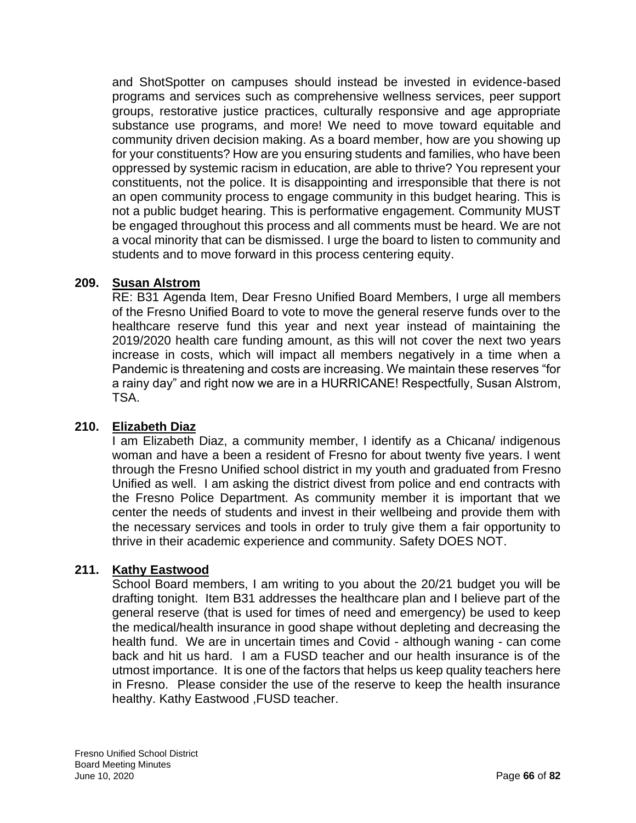and ShotSpotter on campuses should instead be invested in evidence-based programs and services such as comprehensive wellness services, peer support groups, restorative justice practices, culturally responsive and age appropriate substance use programs, and more! We need to move toward equitable and community driven decision making. As a board member, how are you showing up for your constituents? How are you ensuring students and families, who have been oppressed by systemic racism in education, are able to thrive? You represent your constituents, not the police. It is disappointing and irresponsible that there is not an open community process to engage community in this budget hearing. This is not a public budget hearing. This is performative engagement. Community MUST be engaged throughout this process and all comments must be heard. We are not a vocal minority that can be dismissed. I urge the board to listen to community and students and to move forward in this process centering equity.

## **209. Susan Alstrom**

RE: B31 Agenda Item, Dear Fresno Unified Board Members, I urge all members of the Fresno Unified Board to vote to move the general reserve funds over to the healthcare reserve fund this year and next year instead of maintaining the 2019/2020 health care funding amount, as this will not cover the next two years increase in costs, which will impact all members negatively in a time when a Pandemic is threatening and costs are increasing. We maintain these reserves "for a rainy day" and right now we are in a HURRICANE! Respectfully, Susan Alstrom, TSA.

# **210. Elizabeth Diaz**

I am Elizabeth Diaz, a community member, I identify as a Chicana/ indigenous woman and have a been a resident of Fresno for about twenty five years. I went through the Fresno Unified school district in my youth and graduated from Fresno Unified as well. I am asking the district divest from police and end contracts with the Fresno Police Department. As community member it is important that we center the needs of students and invest in their wellbeing and provide them with the necessary services and tools in order to truly give them a fair opportunity to thrive in their academic experience and community. Safety DOES NOT.

# **211. Kathy Eastwood**

School Board members, I am writing to you about the 20/21 budget you will be drafting tonight. Item B31 addresses the healthcare plan and I believe part of the general reserve (that is used for times of need and emergency) be used to keep the medical/health insurance in good shape without depleting and decreasing the health fund. We are in uncertain times and Covid - although waning - can come back and hit us hard. I am a FUSD teacher and our health insurance is of the utmost importance. It is one of the factors that helps us keep quality teachers here in Fresno. Please consider the use of the reserve to keep the health insurance healthy. Kathy Eastwood ,FUSD teacher.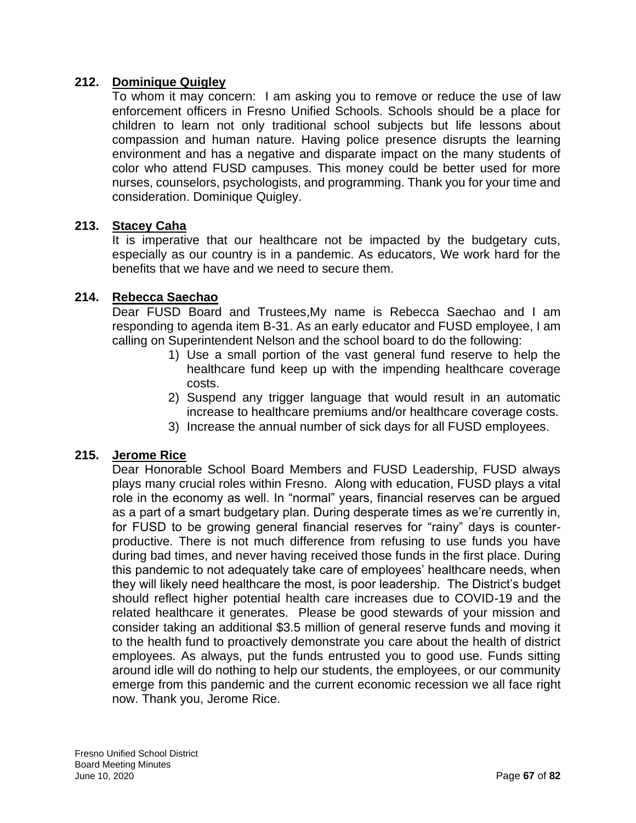## **212. Dominique Quigley**

To whom it may concern: I am asking you to remove or reduce the use of law enforcement officers in Fresno Unified Schools. Schools should be a place for children to learn not only traditional school subjects but life lessons about compassion and human nature. Having police presence disrupts the learning environment and has a negative and disparate impact on the many students of color who attend FUSD campuses. This money could be better used for more nurses, counselors, psychologists, and programming. Thank you for your time and consideration. Dominique Quigley.

### **213. Stacey Caha**

It is imperative that our healthcare not be impacted by the budgetary cuts, especially as our country is in a pandemic. As educators, We work hard for the benefits that we have and we need to secure them.

### **214. Rebecca Saechao**

Dear FUSD Board and Trustees,My name is Rebecca Saechao and I am responding to agenda item B-31. As an early educator and FUSD employee, I am calling on Superintendent Nelson and the school board to do the following:

- 1) Use a small portion of the vast general fund reserve to help the healthcare fund keep up with the impending healthcare coverage costs.
- 2) Suspend any trigger language that would result in an automatic increase to healthcare premiums and/or healthcare coverage costs.
- 3) Increase the annual number of sick days for all FUSD employees.

### **215. Jerome Rice**

Dear Honorable School Board Members and FUSD Leadership, FUSD always plays many crucial roles within Fresno. Along with education, FUSD plays a vital role in the economy as well. In "normal" years, financial reserves can be argued as a part of a smart budgetary plan. During desperate times as we're currently in, for FUSD to be growing general financial reserves for "rainy" days is counterproductive. There is not much difference from refusing to use funds you have during bad times, and never having received those funds in the first place. During this pandemic to not adequately take care of employees' healthcare needs, when they will likely need healthcare the most, is poor leadership. The District's budget should reflect higher potential health care increases due to COVID-19 and the related healthcare it generates. Please be good stewards of your mission and consider taking an additional \$3.5 million of general reserve funds and moving it to the health fund to proactively demonstrate you care about the health of district employees. As always, put the funds entrusted you to good use. Funds sitting around idle will do nothing to help our students, the employees, or our community emerge from this pandemic and the current economic recession we all face right now. Thank you, Jerome Rice.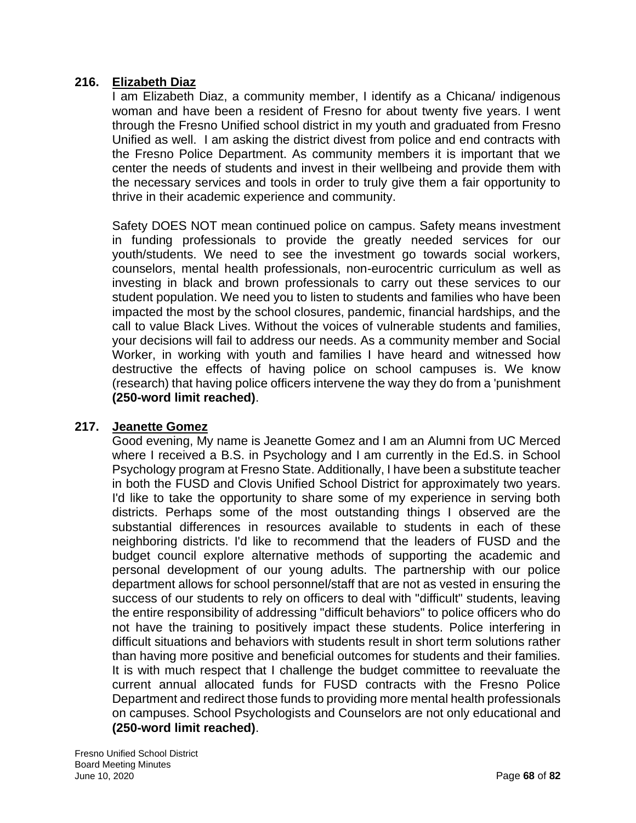## **216. Elizabeth Diaz**

I am Elizabeth Diaz, a community member, I identify as a Chicana/ indigenous woman and have been a resident of Fresno for about twenty five years. I went through the Fresno Unified school district in my youth and graduated from Fresno Unified as well. I am asking the district divest from police and end contracts with the Fresno Police Department. As community members it is important that we center the needs of students and invest in their wellbeing and provide them with the necessary services and tools in order to truly give them a fair opportunity to thrive in their academic experience and community.

Safety DOES NOT mean continued police on campus. Safety means investment in funding professionals to provide the greatly needed services for our youth/students. We need to see the investment go towards social workers, counselors, mental health professionals, non-eurocentric curriculum as well as investing in black and brown professionals to carry out these services to our student population. We need you to listen to students and families who have been impacted the most by the school closures, pandemic, financial hardships, and the call to value Black Lives. Without the voices of vulnerable students and families, your decisions will fail to address our needs. As a community member and Social Worker, in working with youth and families I have heard and witnessed how destructive the effects of having police on school campuses is. We know (research) that having police officers intervene the way they do from a 'punishment **(250-word limit reached)**.

### **217. Jeanette Gomez**

Good evening, My name is Jeanette Gomez and I am an Alumni from UC Merced where I received a B.S. in Psychology and I am currently in the Ed.S. in School Psychology program at Fresno State. Additionally, I have been a substitute teacher in both the FUSD and Clovis Unified School District for approximately two years. I'd like to take the opportunity to share some of my experience in serving both districts. Perhaps some of the most outstanding things I observed are the substantial differences in resources available to students in each of these neighboring districts. I'd like to recommend that the leaders of FUSD and the budget council explore alternative methods of supporting the academic and personal development of our young adults. The partnership with our police department allows for school personnel/staff that are not as vested in ensuring the success of our students to rely on officers to deal with "difficult" students, leaving the entire responsibility of addressing "difficult behaviors" to police officers who do not have the training to positively impact these students. Police interfering in difficult situations and behaviors with students result in short term solutions rather than having more positive and beneficial outcomes for students and their families. It is with much respect that I challenge the budget committee to reevaluate the current annual allocated funds for FUSD contracts with the Fresno Police Department and redirect those funds to providing more mental health professionals on campuses. School Psychologists and Counselors are not only educational and **(250-word limit reached)**.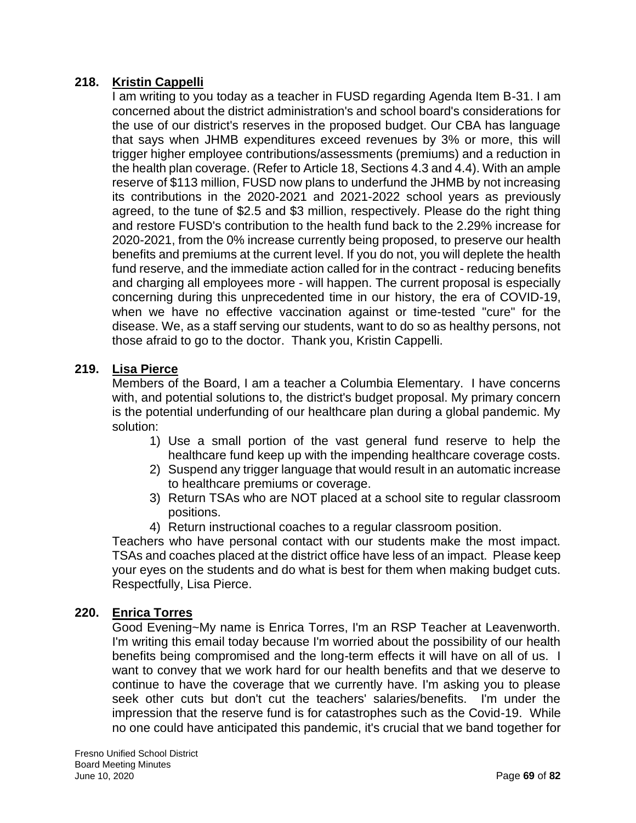## **218. Kristin Cappelli**

I am writing to you today as a teacher in FUSD regarding Agenda Item B-31. I am concerned about the district administration's and school board's considerations for the use of our district's reserves in the proposed budget. Our CBA has language that says when JHMB expenditures exceed revenues by 3% or more, this will trigger higher employee contributions/assessments (premiums) and a reduction in the health plan coverage. (Refer to Article 18, Sections 4.3 and 4.4). With an ample reserve of \$113 million, FUSD now plans to underfund the JHMB by not increasing its contributions in the 2020-2021 and 2021-2022 school years as previously agreed, to the tune of \$2.5 and \$3 million, respectively. Please do the right thing and restore FUSD's contribution to the health fund back to the 2.29% increase for 2020-2021, from the 0% increase currently being proposed, to preserve our health benefits and premiums at the current level. If you do not, you will deplete the health fund reserve, and the immediate action called for in the contract - reducing benefits and charging all employees more - will happen. The current proposal is especially concerning during this unprecedented time in our history, the era of COVID-19, when we have no effective vaccination against or time-tested "cure" for the disease. We, as a staff serving our students, want to do so as healthy persons, not those afraid to go to the doctor. Thank you, Kristin Cappelli.

### **219. Lisa Pierce**

Members of the Board, I am a teacher a Columbia Elementary. I have concerns with, and potential solutions to, the district's budget proposal. My primary concern is the potential underfunding of our healthcare plan during a global pandemic. My solution:

- 1) Use a small portion of the vast general fund reserve to help the healthcare fund keep up with the impending healthcare coverage costs.
- 2) Suspend any trigger language that would result in an automatic increase to healthcare premiums or coverage.
- 3) Return TSAs who are NOT placed at a school site to regular classroom positions.
- 4) Return instructional coaches to a regular classroom position.

Teachers who have personal contact with our students make the most impact. TSAs and coaches placed at the district office have less of an impact. Please keep your eyes on the students and do what is best for them when making budget cuts. Respectfully, Lisa Pierce.

### **220. Enrica Torres**

Good Evening~My name is Enrica Torres, I'm an RSP Teacher at Leavenworth. I'm writing this email today because I'm worried about the possibility of our health benefits being compromised and the long-term effects it will have on all of us. I want to convey that we work hard for our health benefits and that we deserve to continue to have the coverage that we currently have. I'm asking you to please seek other cuts but don't cut the teachers' salaries/benefits. I'm under the impression that the reserve fund is for catastrophes such as the Covid-19. While no one could have anticipated this pandemic, it's crucial that we band together for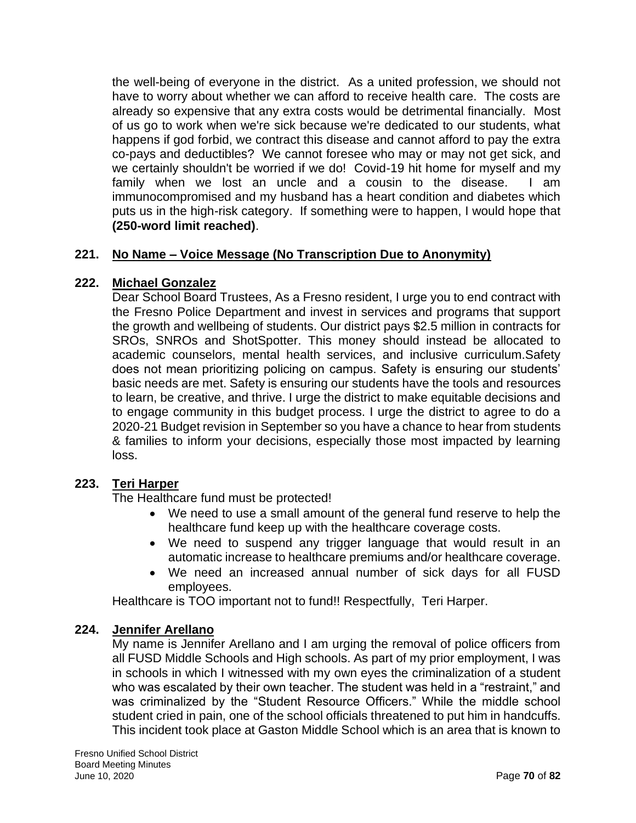the well-being of everyone in the district. As a united profession, we should not have to worry about whether we can afford to receive health care. The costs are already so expensive that any extra costs would be detrimental financially. Most of us go to work when we're sick because we're dedicated to our students, what happens if god forbid, we contract this disease and cannot afford to pay the extra co-pays and deductibles? We cannot foresee who may or may not get sick, and we certainly shouldn't be worried if we do! Covid-19 hit home for myself and my family when we lost an uncle and a cousin to the disease. I am immunocompromised and my husband has a heart condition and diabetes which puts us in the high-risk category. If something were to happen, I would hope that **(250-word limit reached)**.

## **221. No Name – Voice Message (No Transcription Due to Anonymity)**

#### **222. Michael Gonzalez**

Dear School Board Trustees, As a Fresno resident, I urge you to end contract with the Fresno Police Department and invest in services and programs that support the growth and wellbeing of students. Our district pays \$2.5 million in contracts for SROs, SNROs and ShotSpotter. This money should instead be allocated to academic counselors, mental health services, and inclusive curriculum.Safety does not mean prioritizing policing on campus. Safety is ensuring our students' basic needs are met. Safety is ensuring our students have the tools and resources to learn, be creative, and thrive. I urge the district to make equitable decisions and to engage community in this budget process. I urge the district to agree to do a 2020-21 Budget revision in September so you have a chance to hear from students & families to inform your decisions, especially those most impacted by learning loss.

### **223. Teri Harper**

The Healthcare fund must be protected!

- We need to use a small amount of the general fund reserve to help the healthcare fund keep up with the healthcare coverage costs.
- We need to suspend any trigger language that would result in an automatic increase to healthcare premiums and/or healthcare coverage.
- We need an increased annual number of sick days for all FUSD employees.

Healthcare is TOO important not to fund!! Respectfully, Teri Harper.

#### **224. Jennifer Arellano**

My name is Jennifer Arellano and I am urging the removal of police officers from all FUSD Middle Schools and High schools. As part of my prior employment, I was in schools in which I witnessed with my own eyes the criminalization of a student who was escalated by their own teacher. The student was held in a "restraint," and was criminalized by the "Student Resource Officers." While the middle school student cried in pain, one of the school officials threatened to put him in handcuffs. This incident took place at Gaston Middle School which is an area that is known to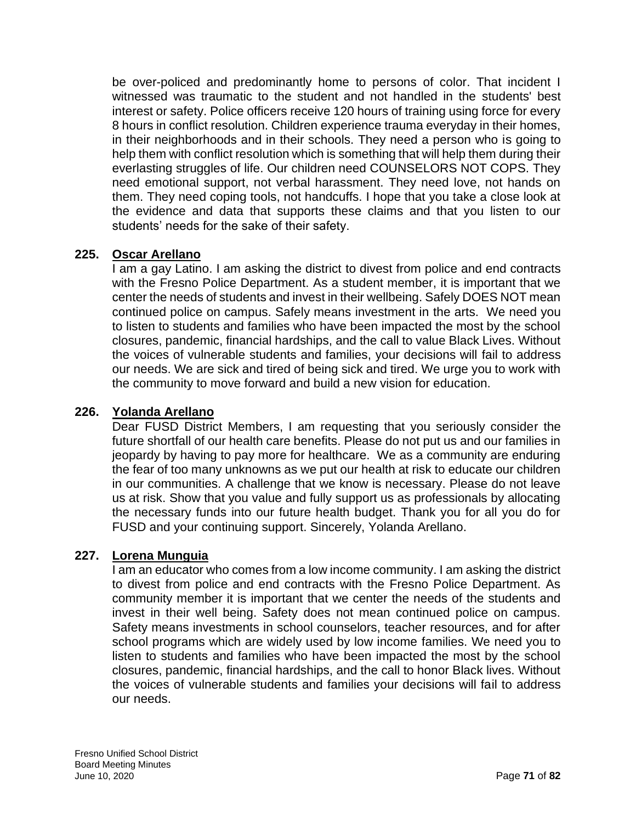be over-policed and predominantly home to persons of color. That incident I witnessed was traumatic to the student and not handled in the students' best interest or safety. Police officers receive 120 hours of training using force for every 8 hours in conflict resolution. Children experience trauma everyday in their homes, in their neighborhoods and in their schools. They need a person who is going to help them with conflict resolution which is something that will help them during their everlasting struggles of life. Our children need COUNSELORS NOT COPS. They need emotional support, not verbal harassment. They need love, not hands on them. They need coping tools, not handcuffs. I hope that you take a close look at the evidence and data that supports these claims and that you listen to our students' needs for the sake of their safety.

## **225. Oscar Arellano**

I am a gay Latino. I am asking the district to divest from police and end contracts with the Fresno Police Department. As a student member, it is important that we center the needs of students and invest in their wellbeing. Safely DOES NOT mean continued police on campus. Safely means investment in the arts. We need you to listen to students and families who have been impacted the most by the school closures, pandemic, financial hardships, and the call to value Black Lives. Without the voices of vulnerable students and families, your decisions will fail to address our needs. We are sick and tired of being sick and tired. We urge you to work with the community to move forward and build a new vision for education.

### **226. Yolanda Arellano**

Dear FUSD District Members, I am requesting that you seriously consider the future shortfall of our health care benefits. Please do not put us and our families in jeopardy by having to pay more for healthcare. We as a community are enduring the fear of too many unknowns as we put our health at risk to educate our children in our communities. A challenge that we know is necessary. Please do not leave us at risk. Show that you value and fully support us as professionals by allocating the necessary funds into our future health budget. Thank you for all you do for FUSD and your continuing support. Sincerely, Yolanda Arellano.

### **227. Lorena Munguia**

I am an educator who comes from a low income community. I am asking the district to divest from police and end contracts with the Fresno Police Department. As community member it is important that we center the needs of the students and invest in their well being. Safety does not mean continued police on campus. Safety means investments in school counselors, teacher resources, and for after school programs which are widely used by low income families. We need you to listen to students and families who have been impacted the most by the school closures, pandemic, financial hardships, and the call to honor Black lives. Without the voices of vulnerable students and families your decisions will fail to address our needs.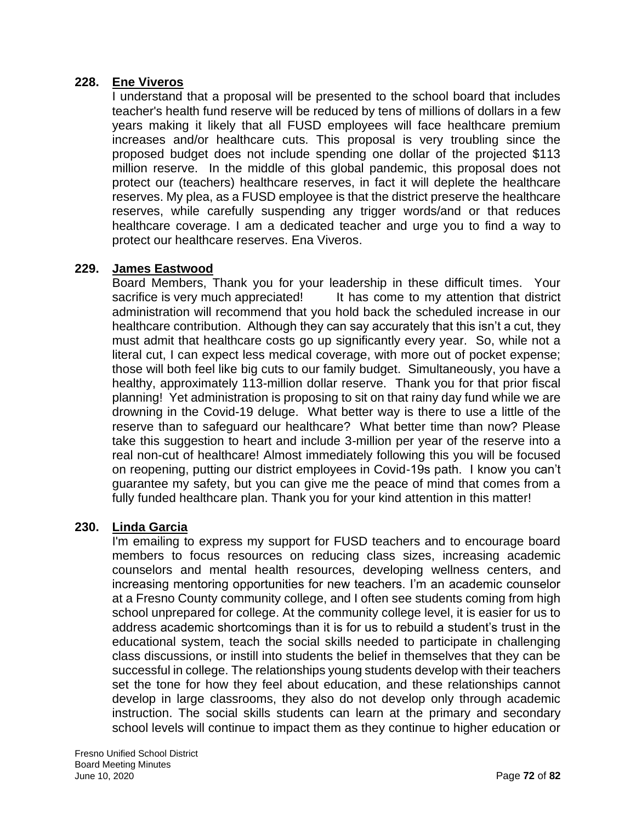### **228. Ene Viveros**

I understand that a proposal will be presented to the school board that includes teacher's health fund reserve will be reduced by tens of millions of dollars in a few years making it likely that all FUSD employees will face healthcare premium increases and/or healthcare cuts. This proposal is very troubling since the proposed budget does not include spending one dollar of the projected \$113 million reserve. In the middle of this global pandemic, this proposal does not protect our (teachers) healthcare reserves, in fact it will deplete the healthcare reserves. My plea, as a FUSD employee is that the district preserve the healthcare reserves, while carefully suspending any trigger words/and or that reduces healthcare coverage. I am a dedicated teacher and urge you to find a way to protect our healthcare reserves. Ena Viveros.

## **229. James Eastwood**

Board Members, Thank you for your leadership in these difficult times. Your sacrifice is very much appreciated! It has come to my attention that district administration will recommend that you hold back the scheduled increase in our healthcare contribution. Although they can say accurately that this isn't a cut, they must admit that healthcare costs go up significantly every year. So, while not a literal cut, I can expect less medical coverage, with more out of pocket expense; those will both feel like big cuts to our family budget. Simultaneously, you have a healthy, approximately 113-million dollar reserve. Thank you for that prior fiscal planning! Yet administration is proposing to sit on that rainy day fund while we are drowning in the Covid-19 deluge. What better way is there to use a little of the reserve than to safeguard our healthcare? What better time than now? Please take this suggestion to heart and include 3-million per year of the reserve into a real non-cut of healthcare! Almost immediately following this you will be focused on reopening, putting our district employees in Covid-19s path. I know you can't guarantee my safety, but you can give me the peace of mind that comes from a fully funded healthcare plan. Thank you for your kind attention in this matter!

### **230. Linda Garcia**

I'm emailing to express my support for FUSD teachers and to encourage board members to focus resources on reducing class sizes, increasing academic counselors and mental health resources, developing wellness centers, and increasing mentoring opportunities for new teachers. I'm an academic counselor at a Fresno County community college, and I often see students coming from high school unprepared for college. At the community college level, it is easier for us to address academic shortcomings than it is for us to rebuild a student's trust in the educational system, teach the social skills needed to participate in challenging class discussions, or instill into students the belief in themselves that they can be successful in college. The relationships young students develop with their teachers set the tone for how they feel about education, and these relationships cannot develop in large classrooms, they also do not develop only through academic instruction. The social skills students can learn at the primary and secondary school levels will continue to impact them as they continue to higher education or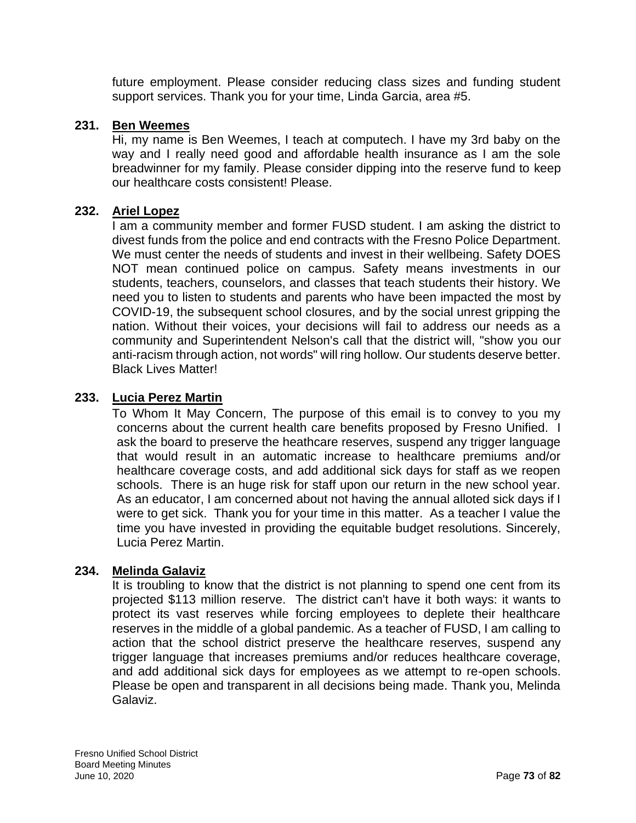future employment. Please consider reducing class sizes and funding student support services. Thank you for your time, Linda Garcia, area #5.

### **231. Ben Weemes**

Hi, my name is Ben Weemes, I teach at computech. I have my 3rd baby on the way and I really need good and affordable health insurance as I am the sole breadwinner for my family. Please consider dipping into the reserve fund to keep our healthcare costs consistent! Please.

### **232. Ariel Lopez**

I am a community member and former FUSD student. I am asking the district to divest funds from the police and end contracts with the Fresno Police Department. We must center the needs of students and invest in their wellbeing. Safety DOES NOT mean continued police on campus. Safety means investments in our students, teachers, counselors, and classes that teach students their history. We need you to listen to students and parents who have been impacted the most by COVID-19, the subsequent school closures, and by the social unrest gripping the nation. Without their voices, your decisions will fail to address our needs as a community and Superintendent Nelson's call that the district will, "show you our anti-racism through action, not words" will ring hollow. Our students deserve better. Black Lives Matter!

### **233. Lucia Perez Martin**

To Whom It May Concern, The purpose of this email is to convey to you my concerns about the current health care benefits proposed by Fresno Unified. I ask the board to preserve the heathcare reserves, suspend any trigger language that would result in an automatic increase to healthcare premiums and/or healthcare coverage costs, and add additional sick days for staff as we reopen schools. There is an huge risk for staff upon our return in the new school year. As an educator, I am concerned about not having the annual alloted sick days if I were to get sick. Thank you for your time in this matter. As a teacher I value the time you have invested in providing the equitable budget resolutions. Sincerely, Lucia Perez Martin.

### **234. Melinda Galaviz**

It is troubling to know that the district is not planning to spend one cent from its projected \$113 million reserve. The district can't have it both ways: it wants to protect its vast reserves while forcing employees to deplete their healthcare reserves in the middle of a global pandemic. As a teacher of FUSD, I am calling to action that the school district preserve the healthcare reserves, suspend any trigger language that increases premiums and/or reduces healthcare coverage, and add additional sick days for employees as we attempt to re-open schools. Please be open and transparent in all decisions being made. Thank you, Melinda Galaviz.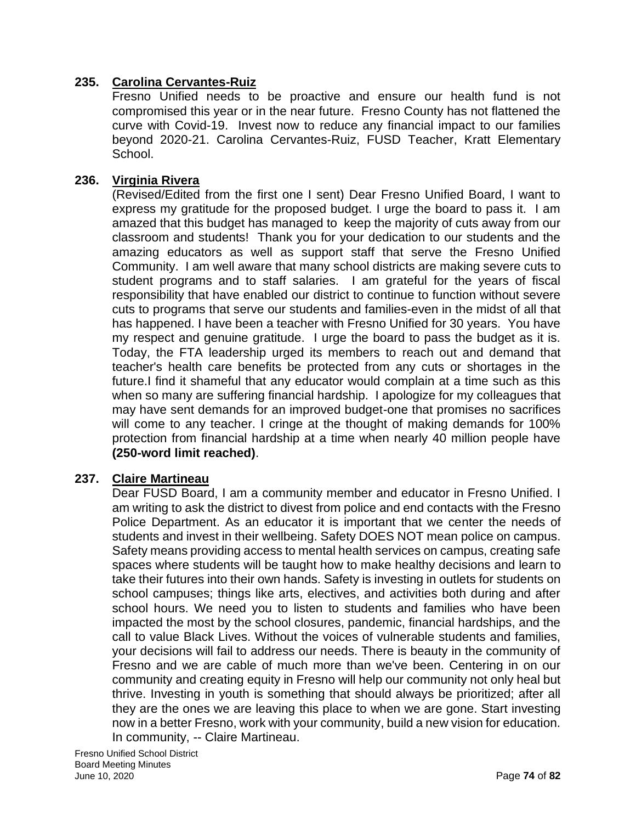### **235. Carolina Cervantes-Ruiz**

Fresno Unified needs to be proactive and ensure our health fund is not compromised this year or in the near future. Fresno County has not flattened the curve with Covid-19. Invest now to reduce any financial impact to our families beyond 2020-21. Carolina Cervantes-Ruiz, FUSD Teacher, Kratt Elementary School.

### **236. Virginia Rivera**

(Revised/Edited from the first one I sent) Dear Fresno Unified Board, I want to express my gratitude for the proposed budget. I urge the board to pass it. I am amazed that this budget has managed to keep the majority of cuts away from our classroom and students! Thank you for your dedication to our students and the amazing educators as well as support staff that serve the Fresno Unified Community. I am well aware that many school districts are making severe cuts to student programs and to staff salaries. I am grateful for the years of fiscal responsibility that have enabled our district to continue to function without severe cuts to programs that serve our students and families-even in the midst of all that has happened. I have been a teacher with Fresno Unified for 30 years. You have my respect and genuine gratitude. I urge the board to pass the budget as it is. Today, the FTA leadership urged its members to reach out and demand that teacher's health care benefits be protected from any cuts or shortages in the future.I find it shameful that any educator would complain at a time such as this when so many are suffering financial hardship. I apologize for my colleagues that may have sent demands for an improved budget-one that promises no sacrifices will come to any teacher. I cringe at the thought of making demands for 100% protection from financial hardship at a time when nearly 40 million people have **(250-word limit reached)**.

# **237. Claire Martineau**

Dear FUSD Board, I am a community member and educator in Fresno Unified. I am writing to ask the district to divest from police and end contacts with the Fresno Police Department. As an educator it is important that we center the needs of students and invest in their wellbeing. Safety DOES NOT mean police on campus. Safety means providing access to mental health services on campus, creating safe spaces where students will be taught how to make healthy decisions and learn to take their futures into their own hands. Safety is investing in outlets for students on school campuses; things like arts, electives, and activities both during and after school hours. We need you to listen to students and families who have been impacted the most by the school closures, pandemic, financial hardships, and the call to value Black Lives. Without the voices of vulnerable students and families, your decisions will fail to address our needs. There is beauty in the community of Fresno and we are cable of much more than we've been. Centering in on our community and creating equity in Fresno will help our community not only heal but thrive. Investing in youth is something that should always be prioritized; after all they are the ones we are leaving this place to when we are gone. Start investing now in a better Fresno, work with your community, build a new vision for education. In community, -- Claire Martineau.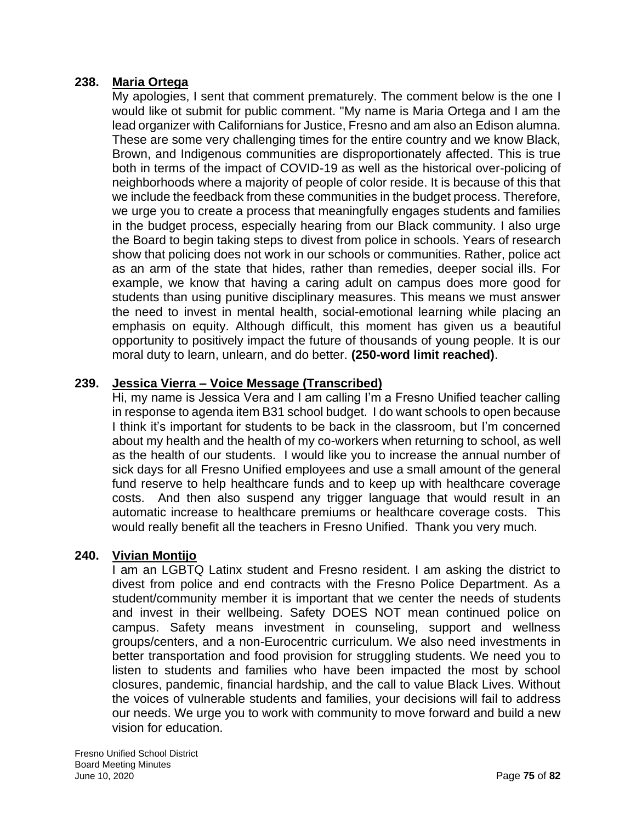### **238. Maria Ortega**

My apologies, I sent that comment prematurely. The comment below is the one I would like ot submit for public comment. "My name is Maria Ortega and I am the lead organizer with Californians for Justice, Fresno and am also an Edison alumna. These are some very challenging times for the entire country and we know Black, Brown, and Indigenous communities are disproportionately affected. This is true both in terms of the impact of COVID-19 as well as the historical over-policing of neighborhoods where a majority of people of color reside. It is because of this that we include the feedback from these communities in the budget process. Therefore, we urge you to create a process that meaningfully engages students and families in the budget process, especially hearing from our Black community. I also urge the Board to begin taking steps to divest from police in schools. Years of research show that policing does not work in our schools or communities. Rather, police act as an arm of the state that hides, rather than remedies, deeper social ills. For example, we know that having a caring adult on campus does more good for students than using punitive disciplinary measures. This means we must answer the need to invest in mental health, social-emotional learning while placing an emphasis on equity. Although difficult, this moment has given us a beautiful opportunity to positively impact the future of thousands of young people. It is our moral duty to learn, unlearn, and do better. **(250-word limit reached)**.

### **239. Jessica Vierra – Voice Message (Transcribed)**

Hi, my name is Jessica Vera and I am calling I'm a Fresno Unified teacher calling in response to agenda item B31 school budget. I do want schools to open because I think it's important for students to be back in the classroom, but I'm concerned about my health and the health of my co-workers when returning to school, as well as the health of our students. I would like you to increase the annual number of sick days for all Fresno Unified employees and use a small amount of the general fund reserve to help healthcare funds and to keep up with healthcare coverage costs. And then also suspend any trigger language that would result in an automatic increase to healthcare premiums or healthcare coverage costs. This would really benefit all the teachers in Fresno Unified. Thank you very much.

### **240. Vivian Montijo**

I am an LGBTQ Latinx student and Fresno resident. I am asking the district to divest from police and end contracts with the Fresno Police Department. As a student/community member it is important that we center the needs of students and invest in their wellbeing. Safety DOES NOT mean continued police on campus. Safety means investment in counseling, support and wellness groups/centers, and a non-Eurocentric curriculum. We also need investments in better transportation and food provision for struggling students. We need you to listen to students and families who have been impacted the most by school closures, pandemic, financial hardship, and the call to value Black Lives. Without the voices of vulnerable students and families, your decisions will fail to address our needs. We urge you to work with community to move forward and build a new vision for education.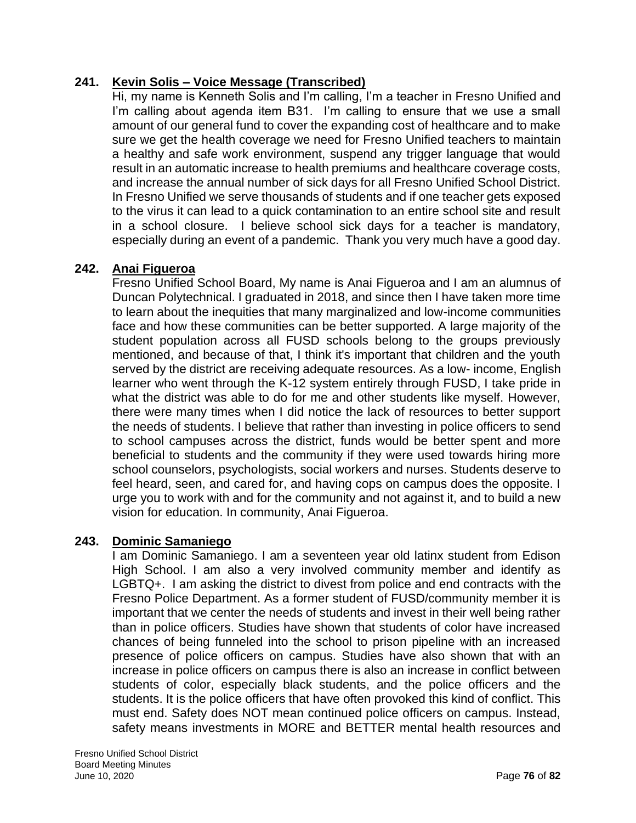# **241. Kevin Solis – Voice Message (Transcribed)**

Hi, my name is Kenneth Solis and I'm calling, I'm a teacher in Fresno Unified and I'm calling about agenda item B31. I'm calling to ensure that we use a small amount of our general fund to cover the expanding cost of healthcare and to make sure we get the health coverage we need for Fresno Unified teachers to maintain a healthy and safe work environment, suspend any trigger language that would result in an automatic increase to health premiums and healthcare coverage costs, and increase the annual number of sick days for all Fresno Unified School District. In Fresno Unified we serve thousands of students and if one teacher gets exposed to the virus it can lead to a quick contamination to an entire school site and result in a school closure. I believe school sick days for a teacher is mandatory, especially during an event of a pandemic. Thank you very much have a good day.

### **242. Anai Figueroa**

Fresno Unified School Board, My name is Anai Figueroa and I am an alumnus of Duncan Polytechnical. I graduated in 2018, and since then I have taken more time to learn about the inequities that many marginalized and low-income communities face and how these communities can be better supported. A large majority of the student population across all FUSD schools belong to the groups previously mentioned, and because of that, I think it's important that children and the youth served by the district are receiving adequate resources. As a low- income, English learner who went through the K-12 system entirely through FUSD, I take pride in what the district was able to do for me and other students like myself. However, there were many times when I did notice the lack of resources to better support the needs of students. I believe that rather than investing in police officers to send to school campuses across the district, funds would be better spent and more beneficial to students and the community if they were used towards hiring more school counselors, psychologists, social workers and nurses. Students deserve to feel heard, seen, and cared for, and having cops on campus does the opposite. I urge you to work with and for the community and not against it, and to build a new vision for education. In community, Anai Figueroa.

### **243. Dominic Samaniego**

I am Dominic Samaniego. I am a seventeen year old latinx student from Edison High School. I am also a very involved community member and identify as LGBTQ+. I am asking the district to divest from police and end contracts with the Fresno Police Department. As a former student of FUSD/community member it is important that we center the needs of students and invest in their well being rather than in police officers. Studies have shown that students of color have increased chances of being funneled into the school to prison pipeline with an increased presence of police officers on campus. Studies have also shown that with an increase in police officers on campus there is also an increase in conflict between students of color, especially black students, and the police officers and the students. It is the police officers that have often provoked this kind of conflict. This must end. Safety does NOT mean continued police officers on campus. Instead, safety means investments in MORE and BETTER mental health resources and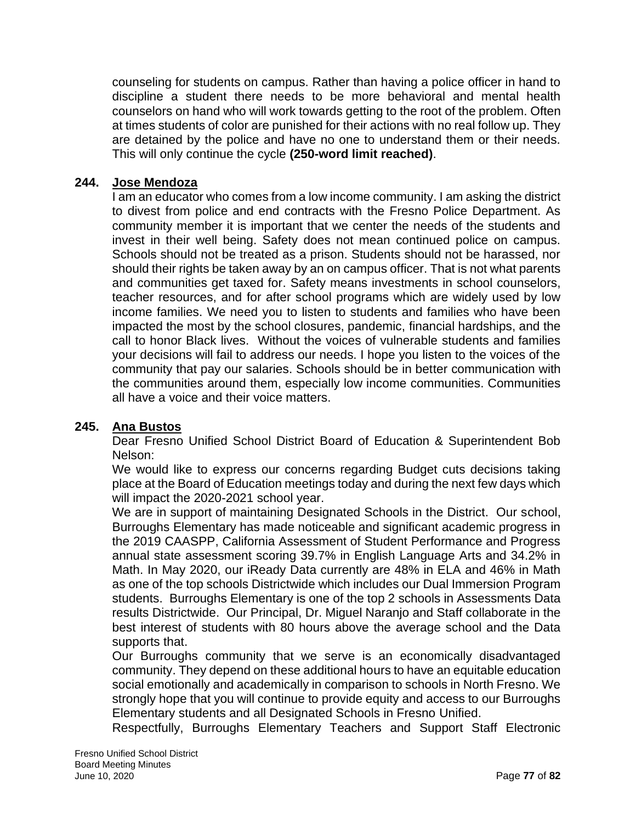counseling for students on campus. Rather than having a police officer in hand to discipline a student there needs to be more behavioral and mental health counselors on hand who will work towards getting to the root of the problem. Often at times students of color are punished for their actions with no real follow up. They are detained by the police and have no one to understand them or their needs. This will only continue the cycle **(250-word limit reached)**.

### **244. Jose Mendoza**

I am an educator who comes from a low income community. I am asking the district to divest from police and end contracts with the Fresno Police Department. As community member it is important that we center the needs of the students and invest in their well being. Safety does not mean continued police on campus. Schools should not be treated as a prison. Students should not be harassed, nor should their rights be taken away by an on campus officer. That is not what parents and communities get taxed for. Safety means investments in school counselors, teacher resources, and for after school programs which are widely used by low income families. We need you to listen to students and families who have been impacted the most by the school closures, pandemic, financial hardships, and the call to honor Black lives. Without the voices of vulnerable students and families your decisions will fail to address our needs. I hope you listen to the voices of the community that pay our salaries. Schools should be in better communication with the communities around them, especially low income communities. Communities all have a voice and their voice matters.

### **245. Ana Bustos**

Dear Fresno Unified School District Board of Education & Superintendent Bob Nelson:

We would like to express our concerns regarding Budget cuts decisions taking place at the Board of Education meetings today and during the next few days which will impact the 2020-2021 school year.

We are in support of maintaining Designated Schools in the District. Our school, Burroughs Elementary has made noticeable and significant academic progress in the 2019 CAASPP, California Assessment of Student Performance and Progress annual state assessment scoring 39.7% in English Language Arts and 34.2% in Math. In May 2020, our iReady Data currently are 48% in ELA and 46% in Math as one of the top schools Districtwide which includes our Dual Immersion Program students. Burroughs Elementary is one of the top 2 schools in Assessments Data results Districtwide. Our Principal, Dr. Miguel Naranjo and Staff collaborate in the best interest of students with 80 hours above the average school and the Data supports that.

Our Burroughs community that we serve is an economically disadvantaged community. They depend on these additional hours to have an equitable education social emotionally and academically in comparison to schools in North Fresno. We strongly hope that you will continue to provide equity and access to our Burroughs Elementary students and all Designated Schools in Fresno Unified.

Respectfully, Burroughs Elementary Teachers and Support Staff Electronic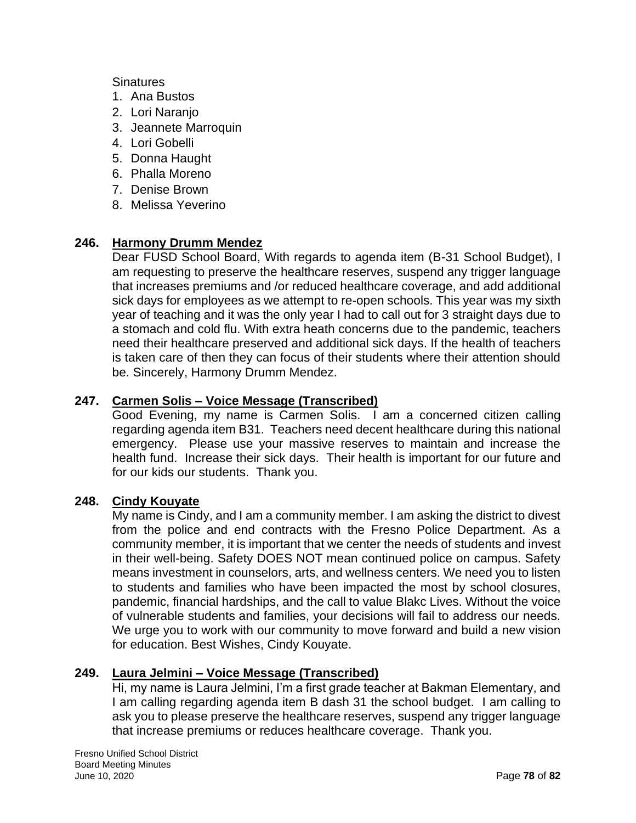### **Sinatures**

- 1. Ana Bustos
- 2. Lori Naranjo
- 3. Jeannete Marroquin
- 4. Lori Gobelli
- 5. Donna Haught
- 6. Phalla Moreno
- 7. Denise Brown
- 8. Melissa Yeverino

# **246. Harmony Drumm Mendez**

Dear FUSD School Board, With regards to agenda item (B-31 School Budget), I am requesting to preserve the healthcare reserves, suspend any trigger language that increases premiums and /or reduced healthcare coverage, and add additional sick days for employees as we attempt to re-open schools. This year was my sixth year of teaching and it was the only year I had to call out for 3 straight days due to a stomach and cold flu. With extra heath concerns due to the pandemic, teachers need their healthcare preserved and additional sick days. If the health of teachers is taken care of then they can focus of their students where their attention should be. Sincerely, Harmony Drumm Mendez.

### **247. Carmen Solis – Voice Message (Transcribed)**

Good Evening, my name is Carmen Solis. I am a concerned citizen calling regarding agenda item B31. Teachers need decent healthcare during this national emergency. Please use your massive reserves to maintain and increase the health fund. Increase their sick days. Their health is important for our future and for our kids our students. Thank you.

### **248. Cindy Kouyate**

My name is Cindy, and I am a community member. I am asking the district to divest from the police and end contracts with the Fresno Police Department. As a community member, it is important that we center the needs of students and invest in their well-being. Safety DOES NOT mean continued police on campus. Safety means investment in counselors, arts, and wellness centers. We need you to listen to students and families who have been impacted the most by school closures, pandemic, financial hardships, and the call to value Blakc Lives. Without the voice of vulnerable students and families, your decisions will fail to address our needs. We urge you to work with our community to move forward and build a new vision for education. Best Wishes, Cindy Kouyate.

### **249. Laura Jelmini – Voice Message (Transcribed)**

Hi, my name is Laura Jelmini, I'm a first grade teacher at Bakman Elementary, and I am calling regarding agenda item B dash 31 the school budget. I am calling to ask you to please preserve the healthcare reserves, suspend any trigger language that increase premiums or reduces healthcare coverage. Thank you.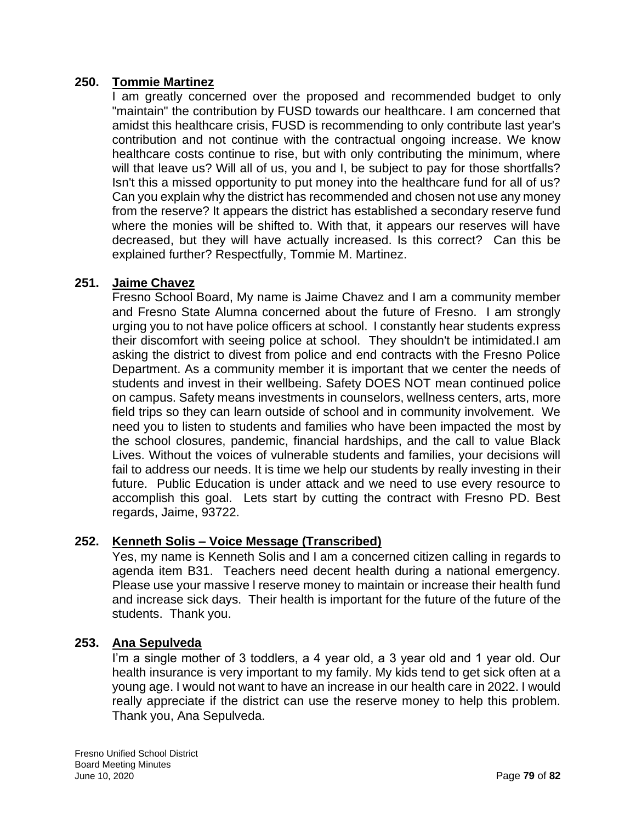### **250. Tommie Martinez**

I am greatly concerned over the proposed and recommended budget to only "maintain" the contribution by FUSD towards our healthcare. I am concerned that amidst this healthcare crisis, FUSD is recommending to only contribute last year's contribution and not continue with the contractual ongoing increase. We know healthcare costs continue to rise, but with only contributing the minimum, where will that leave us? Will all of us, you and I, be subject to pay for those shortfalls? Isn't this a missed opportunity to put money into the healthcare fund for all of us? Can you explain why the district has recommended and chosen not use any money from the reserve? It appears the district has established a secondary reserve fund where the monies will be shifted to. With that, it appears our reserves will have decreased, but they will have actually increased. Is this correct? Can this be explained further? Respectfully, Tommie M. Martinez.

### **251. Jaime Chavez**

Fresno School Board, My name is Jaime Chavez and I am a community member and Fresno State Alumna concerned about the future of Fresno. I am strongly urging you to not have police officers at school. I constantly hear students express their discomfort with seeing police at school. They shouldn't be intimidated.I am asking the district to divest from police and end contracts with the Fresno Police Department. As a community member it is important that we center the needs of students and invest in their wellbeing. Safety DOES NOT mean continued police on campus. Safety means investments in counselors, wellness centers, arts, more field trips so they can learn outside of school and in community involvement. We need you to listen to students and families who have been impacted the most by the school closures, pandemic, financial hardships, and the call to value Black Lives. Without the voices of vulnerable students and families, your decisions will fail to address our needs. It is time we help our students by really investing in their future. Public Education is under attack and we need to use every resource to accomplish this goal. Lets start by cutting the contract with Fresno PD. Best regards, Jaime, 93722.

### **252. Kenneth Solis – Voice Message (Transcribed)**

Yes, my name is Kenneth Solis and I am a concerned citizen calling in regards to agenda item B31. Teachers need decent health during a national emergency. Please use your massive l reserve money to maintain or increase their health fund and increase sick days. Their health is important for the future of the future of the students. Thank you.

### **253. Ana Sepulveda**

I'm a single mother of 3 toddlers, a 4 year old, a 3 year old and 1 year old. Our health insurance is very important to my family. My kids tend to get sick often at a young age. I would not want to have an increase in our health care in 2022. I would really appreciate if the district can use the reserve money to help this problem. Thank you, Ana Sepulveda.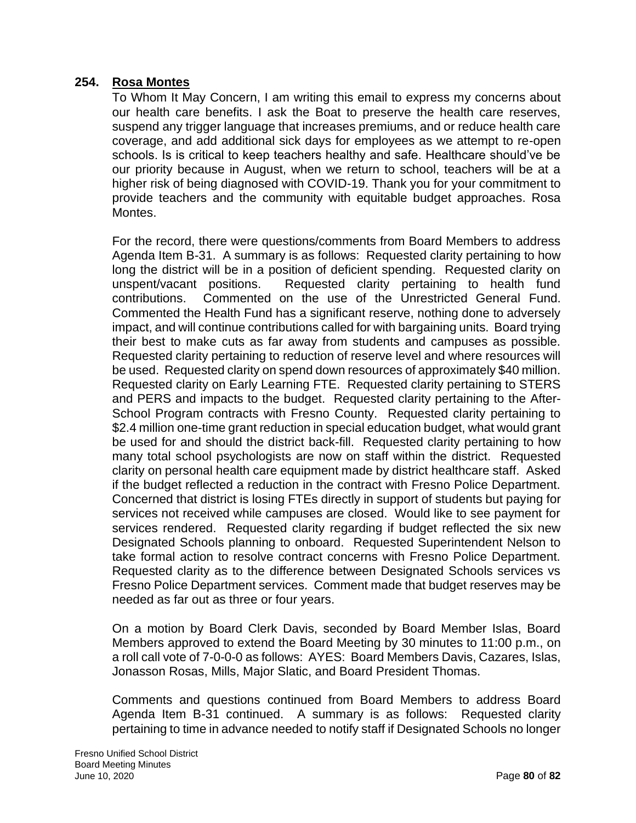### **254. Rosa Montes**

To Whom It May Concern, I am writing this email to express my concerns about our health care benefits. I ask the Boat to preserve the health care reserves, suspend any trigger language that increases premiums, and or reduce health care coverage, and add additional sick days for employees as we attempt to re-open schools. Is is critical to keep teachers healthy and safe. Healthcare should've be our priority because in August, when we return to school, teachers will be at a higher risk of being diagnosed with COVID-19. Thank you for your commitment to provide teachers and the community with equitable budget approaches. Rosa Montes.

For the record, there were questions/comments from Board Members to address Agenda Item B-31. A summary is as follows: Requested clarity pertaining to how long the district will be in a position of deficient spending. Requested clarity on unspent/vacant positions. Requested clarity pertaining to health fund contributions. Commented on the use of the Unrestricted General Fund. Commented the Health Fund has a significant reserve, nothing done to adversely impact, and will continue contributions called for with bargaining units. Board trying their best to make cuts as far away from students and campuses as possible. Requested clarity pertaining to reduction of reserve level and where resources will be used. Requested clarity on spend down resources of approximately \$40 million. Requested clarity on Early Learning FTE. Requested clarity pertaining to STERS and PERS and impacts to the budget. Requested clarity pertaining to the After-School Program contracts with Fresno County. Requested clarity pertaining to \$2.4 million one-time grant reduction in special education budget, what would grant be used for and should the district back-fill. Requested clarity pertaining to how many total school psychologists are now on staff within the district. Requested clarity on personal health care equipment made by district healthcare staff. Asked if the budget reflected a reduction in the contract with Fresno Police Department. Concerned that district is losing FTEs directly in support of students but paying for services not received while campuses are closed. Would like to see payment for services rendered. Requested clarity regarding if budget reflected the six new Designated Schools planning to onboard. Requested Superintendent Nelson to take formal action to resolve contract concerns with Fresno Police Department. Requested clarity as to the difference between Designated Schools services vs Fresno Police Department services. Comment made that budget reserves may be needed as far out as three or four years.

On a motion by Board Clerk Davis, seconded by Board Member Islas, Board Members approved to extend the Board Meeting by 30 minutes to 11:00 p.m., on a roll call vote of 7-0-0-0 as follows: AYES: Board Members Davis, Cazares, Islas, Jonasson Rosas, Mills, Major Slatic, and Board President Thomas.

Comments and questions continued from Board Members to address Board Agenda Item B-31 continued. A summary is as follows: Requested clarity pertaining to time in advance needed to notify staff if Designated Schools no longer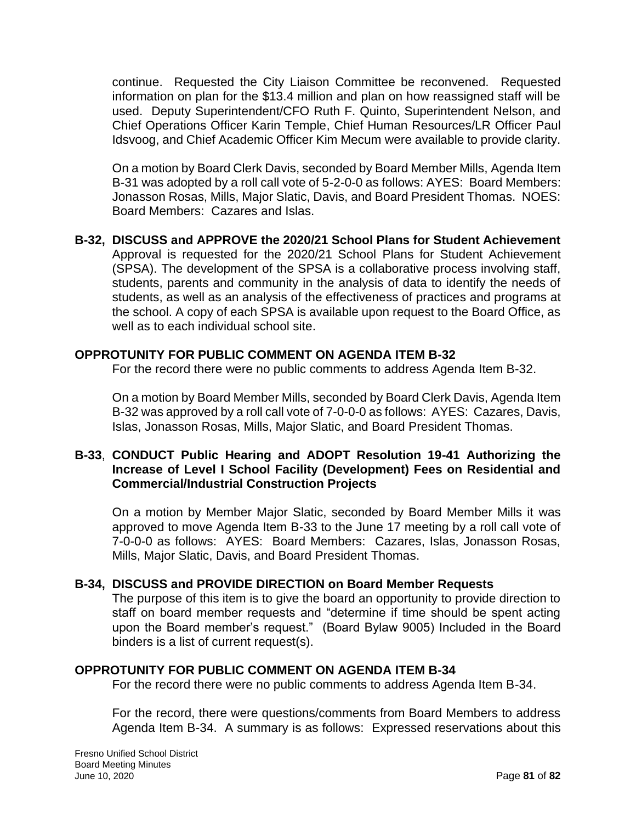continue. Requested the City Liaison Committee be reconvened. Requested information on plan for the \$13.4 million and plan on how reassigned staff will be used. Deputy Superintendent/CFO Ruth F. Quinto, Superintendent Nelson, and Chief Operations Officer Karin Temple, Chief Human Resources/LR Officer Paul Idsvoog, and Chief Academic Officer Kim Mecum were available to provide clarity.

On a motion by Board Clerk Davis, seconded by Board Member Mills, Agenda Item B-31 was adopted by a roll call vote of 5-2-0-0 as follows: AYES: Board Members: Jonasson Rosas, Mills, Major Slatic, Davis, and Board President Thomas. NOES: Board Members: Cazares and Islas.

**B-32, DISCUSS and APPROVE the 2020/21 School Plans for Student Achievement** Approval is requested for the 2020/21 School Plans for Student Achievement (SPSA). The development of the SPSA is a collaborative process involving staff, students, parents and community in the analysis of data to identify the needs of students, as well as an analysis of the effectiveness of practices and programs at the school. A copy of each SPSA is available upon request to the Board Office, as well as to each individual school site.

### **OPPROTUNITY FOR PUBLIC COMMENT ON AGENDA ITEM B-32**

For the record there were no public comments to address Agenda Item B-32.

On a motion by Board Member Mills, seconded by Board Clerk Davis, Agenda Item B-32 was approved by a roll call vote of 7-0-0-0 as follows: AYES: Cazares, Davis, Islas, Jonasson Rosas, Mills, Major Slatic, and Board President Thomas.

### **B-33**, **CONDUCT Public Hearing and ADOPT Resolution 19-41 Authorizing the Increase of Level I School Facility (Development) Fees on Residential and Commercial/Industrial Construction Projects**

On a motion by Member Major Slatic, seconded by Board Member Mills it was approved to move Agenda Item B-33 to the June 17 meeting by a roll call vote of 7-0-0-0 as follows: AYES: Board Members: Cazares, Islas, Jonasson Rosas, Mills, Major Slatic, Davis, and Board President Thomas.

### **B-34, DISCUSS and PROVIDE DIRECTION on Board Member Requests**

The purpose of this item is to give the board an opportunity to provide direction to staff on board member requests and "determine if time should be spent acting upon the Board member's request." (Board Bylaw 9005) Included in the Board binders is a list of current request(s).

### **OPPROTUNITY FOR PUBLIC COMMENT ON AGENDA ITEM B-34**

For the record there were no public comments to address Agenda Item B-34.

For the record, there were questions/comments from Board Members to address Agenda Item B-34. A summary is as follows: Expressed reservations about this